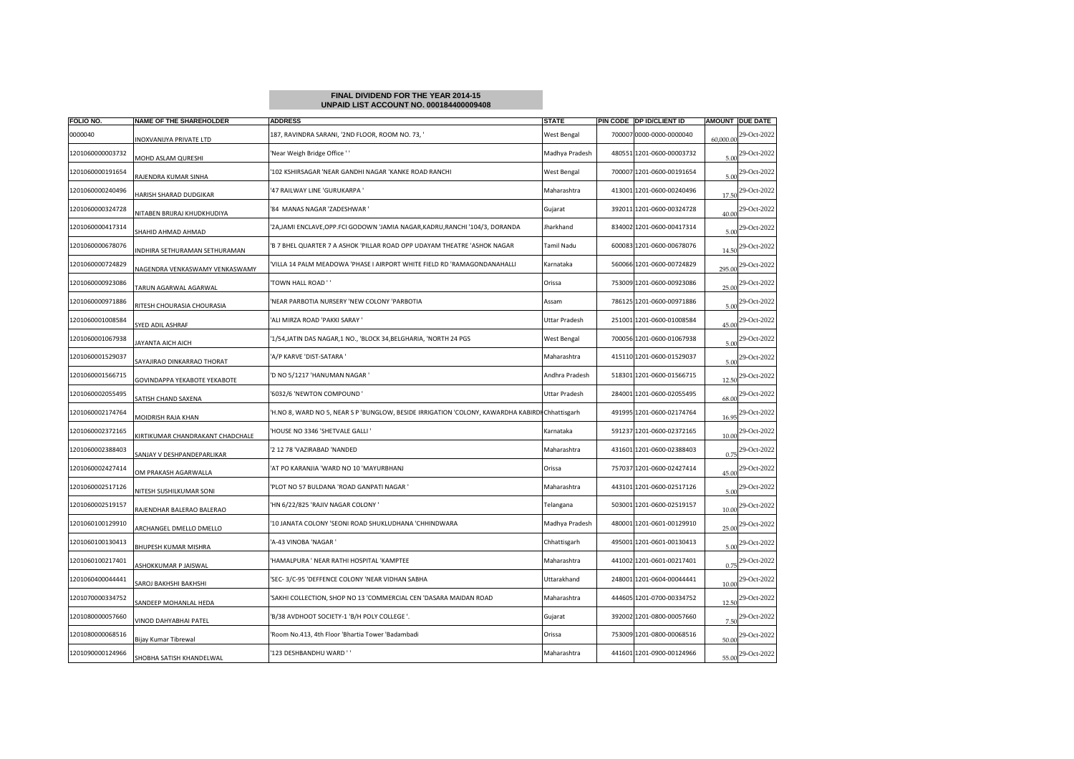## **FINAL DIVIDEND FOR THE YEAR 2014-15UNPAID LIST ACCOUNT NO. 000184400009408**

| FOLIO NO.        | NAME OF THE SHAREHOLDER          | <b>ADDRESS</b>                                                                                  | <b>STATE</b>   |        | PIN CODE OP ID/CLIENT ID  |           | AMOUNT DUE DATE |
|------------------|----------------------------------|-------------------------------------------------------------------------------------------------|----------------|--------|---------------------------|-----------|-----------------|
| 0000040          | INOXVANIJYA PRIVATE LTD          | 187, RAVINDRA SARANI, '2ND FLOOR, ROOM NO. 73, '                                                | West Bengal    | 700007 | 0000-0000-0000040         | 60,000.00 | 29-Oct-2022     |
| 1201060000003732 | <b>MOHD ASLAM QURESHI</b>        | 'Near Weigh Bridge Office ' '                                                                   | Madhya Pradesh |        | 480551 1201-0600-00003732 | 5.00      | 29-Oct-2022     |
| 1201060000191654 | RAJENDRA KUMAR SINHA             | 102 KSHIRSAGAR 'NEAR GANDHI NAGAR 'KANKE ROAD RANCHI                                            | West Bengal    |        | 700007 1201-0600-00191654 | 5.0       | 29-Oct-2022     |
| 1201060000240496 | HARISH SHARAD DUDGIKAR           | 47 RAILWAY LINE 'GURUKARPA '                                                                    | Maharashtra    |        | 413001 1201-0600-00240496 | 17.5      | 29-Oct-2022     |
| 1201060000324728 | NITABEN BRIJRAJ KHUDKHUDIYA      | '84 MANAS NAGAR 'ZADESHWAR '                                                                    | Gujarat        |        | 392011 1201-0600-00324728 | 40.0      | 29-Oct-2022     |
| 1201060000417314 | SHAHID AHMAD AHMAD               | '2A,JAMI ENCLAVE,OPP.FCI GODOWN 'JAMIA NAGAR,KADRU,RANCHI '104/3, DORANDA                       | Iharkhand      |        | 834002 1201-0600-00417314 | 5.00      | 29-Oct-2022     |
| 1201060000678076 | NDHIRA SETHURAMAN SETHURAMAN     | 'B 7 BHEL QUARTER 7 A ASHOK 'PILLAR ROAD OPP UDAYAM THEATRE 'ASHOK NAGAR                        | Tamil Nadu     |        | 600083 1201-0600-00678076 | 14.50     | 29-Oct-2022     |
| 1201060000724829 | NAGENDRA VENKASWAMY VENKASWAMY   | 'VILLA 14 PALM MEADOWA 'PHASE I AIRPORT WHITE FIELD RD 'RAMAGONDANAHALLI                        | Karnataka      |        | 560066 1201-0600-00724829 | 295.0     | 29-Oct-2022     |
| 1201060000923086 | <b>FARUN AGARWAL AGARWAL</b>     | 'TOWN HALL ROAD ' '                                                                             | Orissa         |        | 753009 1201-0600-00923086 | 25.00     | 29-Oct-2022     |
| 1201060000971886 | RITESH CHOURASIA CHOURASIA       | NEAR PARBOTIA NURSERY 'NEW COLONY 'PARBOTIA                                                     | Assam          |        | 786125 1201-0600-00971886 | 5.00      | 29-Oct-2022     |
| 1201060001008584 | SYED ADIL ASHRAF                 | 'ALI MIRZA ROAD 'PAKKI SARAY '                                                                  | Uttar Pradesh  |        | 251001 1201-0600-01008584 | 45.0      | 29-Oct-2022     |
| 1201060001067938 | <b>IAYANTA AICH AICH</b>         | '1/54, JATIN DAS NAGAR, 1 NO., 'BLOCK 34, BELGHARIA, 'NORTH 24 PGS                              | West Bengal    |        | 700056 1201-0600-01067938 | 5.00      | 29-Oct-2022     |
| 1201060001529037 | SAYAJIRAO DINKARRAO THORAT       | A/P KARVE 'DIST-SATARA '                                                                        | Maharashtra    |        | 415110 1201-0600-01529037 | 5.00      | 29-Oct-2022     |
| 1201060001566715 | GOVINDAPPA YEKABOTE YEKABOTE     | 'D NO 5/1217 'HANUMAN NAGAR '                                                                   | Andhra Pradesh |        | 518301 1201-0600-01566715 | 12.50     | 29-Oct-2022     |
| 1201060002055495 | SATISH CHAND SAXENA              | '6032/6 'NEWTON COMPOUND'                                                                       | Uttar Pradesh  |        | 284001 1201-0600-02055495 | 68.0      | 29-Oct-2022     |
| 1201060002174764 | MOIDRISH RAJA KHAN               | H.NO 8, WARD NO 5, NEAR S P 'BUNGLOW, BESIDE IRRIGATION 'COLONY, KAWARDHA KABIRDI Chhattisgarh' |                |        | 491995 1201-0600-02174764 | 16.95     | 29-Oct-2022     |
| 1201060002372165 | (IRTIKUMAR CHANDRAKANT CHADCHALE | HOUSE NO 3346 'SHETVALE GALLI'                                                                  | Karnataka      | 591237 | 1201-0600-02372165        | 10.0      | 29-Oct-2022     |
| 1201060002388403 | SANJAY V DESHPANDEPARLIKAR       | '2 12 78 'VAZIRABAD 'NANDED                                                                     | Maharashtra    |        | 431601 1201-0600-02388403 | 0.75      | 29-Oct-2022     |
| 1201060002427414 | OM PRAKASH AGARWALLA             | AT PO KARANJIA 'WARD NO 10 'MAYURBHANJ                                                          | Orissa         |        | 757037 1201-0600-02427414 | 45.0      | 29-Oct-2022     |
| 1201060002517126 | <b>NITESH SUSHILKUMAR SONI</b>   | 'PLOT NO 57 BULDANA 'ROAD GANPATI NAGAR '                                                       | Maharashtra    |        | 443101 1201-0600-02517126 | 5.00      | 29-Oct-2022     |
| 1201060002519157 | RAJENDHAR BALERAO BALERAO        | HN 6/22/825 'RAJIV NAGAR COLONY '                                                               | Telangana      |        | 503001 1201-0600-02519157 | 10.0      | 29-Oct-2022     |
| 1201060100129910 | ARCHANGEL DMELLO DMELLO          | '10 JANATA COLONY 'SEONI ROAD SHUKLUDHANA 'CHHINDWARA                                           | Madhya Pradesh |        | 480001 1201-0601-00129910 | 25.0      | 29-Oct-2022     |
| 1201060100130413 | BHUPESH KUMAR MISHRA             | A-43 VINOBA 'NAGAR'                                                                             | Chhattisgarh   | 495001 | 1201-0601-00130413        | 5.00      | 29-Oct-2022     |
| 1201060100217401 | ASHOKKUMAR P JAISWAL             | 'HAMALPURA ' NEAR RATHI HOSPITAL 'KAMPTEE                                                       | Maharashtra    |        | 441002 1201-0601-00217401 | 0.75      | 29-Oct-2022     |
| 1201060400044441 | SAROJ BAKHSHI BAKHSHI            | 'SEC-3/C-95 'DEFFENCE COLONY 'NEAR VIDHAN SABHA                                                 | Uttarakhand    |        | 248001 1201-0604-00044441 | 10.0      | 29-Oct-2022     |
| 1201070000334752 | SANDEEP MOHANLAL HEDA            | 'SAKHI COLLECTION, SHOP NO 13 'COMMERCIAL CEN 'DASARA MAIDAN ROAD                               | Maharashtra    |        | 444605 1201-0700-00334752 | 12.5      | 29-Oct-2022     |
| 1201080000057660 | VINOD DAHYABHAI PATEL            | 'B/38 AVDHOOT SOCIETY-1 'B/H POLY COLLEGE '.                                                    | Gujarat        |        | 392002 1201-0800-00057660 | 7.5(      | 29-Oct-2022     |
| 1201080000068516 | Bijay Kumar Tibrewal             | 'Room No.413, 4th Floor 'Bhartia Tower 'Badambadi                                               | Orissa         |        | 753009 1201-0800-00068516 | 50.0      | 29-Oct-2022     |
| 1201090000124966 | SHOBHA SATISH KHANDELWAL         | 123 DESHBANDHU WARD "                                                                           | Maharashtra    |        | 441601 1201-0900-00124966 | 55.00     | 29-Oct-2022     |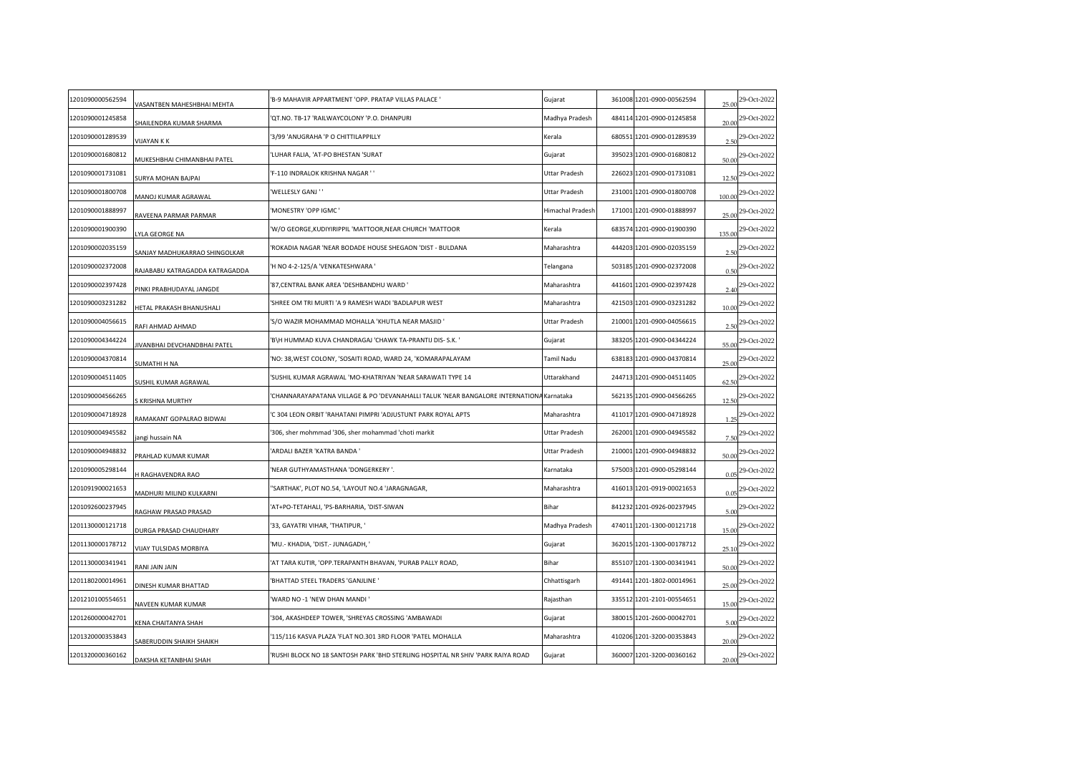| 1201090000562594 | VASANTBEN MAHESHBHAI MEHTA         | 'B-9 MAHAVIR APPARTMENT 'OPP. PRATAP VILLAS PALACE '                                    | Gujarat                 | 361008 1201-0900-00562594 | 25.00  | 29-Oct-2022 |
|------------------|------------------------------------|-----------------------------------------------------------------------------------------|-------------------------|---------------------------|--------|-------------|
| 1201090001245858 | SHAILENDRA KUMAR SHARMA            | QT.NO. TB-17 'RAILWAYCOLONY 'P.O. DHANPURI                                              | Madhya Pradesh          | 484114 1201-0900-01245858 | 20.00  | 29-Oct-2022 |
| 1201090001289539 | <b>JIJAYAN K K</b>                 | 3/99 'ANUGRAHA 'P O CHITTILAPPILLY                                                      | Kerala                  | 680551 1201-0900-01289539 | 2.50   | 29-Oct-2022 |
| 1201090001680812 | <b>MUKESHBHAI CHIMANBHAI PATEL</b> | LUHAR FALIA, 'AT-PO BHESTAN 'SURAT                                                      | Gujarat                 | 395023 1201-0900-01680812 | 50.00  | 29-Oct-2022 |
| 1201090001731081 | URYA MOHAN BAJPAI                  | F-110 INDRALOK KRISHNA NAGAR ''                                                         | Uttar Pradesh           | 226023 1201-0900-01731081 | 12.50  | 29-Oct-2022 |
| 1201090001800708 | MANOJ KUMAR AGRAWAL                | 'WELLESLY GANJ''                                                                        | Uttar Pradesh           | 231001 1201-0900-01800708 | 100.00 | 29-Oct-2022 |
| 1201090001888997 | RAVEENA PARMAR PARMAR              | MONESTRY 'OPP IGMC'                                                                     | <b>Himachal Pradesh</b> | 171001 1201-0900-01888997 | 25.00  | 29-Oct-2022 |
| 1201090001900390 | YLA GEORGE NA                      | W/O GEORGE, KUDIYIRIPPIL 'MATTOOR, NEAR CHURCH 'MATTOOR'                                | Kerala                  | 683574 1201-0900-01900390 | 135.00 | 29-Oct-2022 |
| 1201090002035159 | SANJAY MADHUKARRAO SHINGOLKAR      | ROKADIA NAGAR 'NEAR BODADE HOUSE SHEGAON 'DIST - BULDANA                                | Maharashtra             | 444203 1201-0900-02035159 | 2.50   | 29-Oct-2022 |
| 1201090002372008 | AJABABU KATRAGADDA KATRAGADDA      | 'H NO 4-2-125/A 'VENKATESHWARA '                                                        | Telangana               | 503185 1201-0900-02372008 | 0.50   | 29-Oct-2022 |
| 1201090002397428 | INKI PRABHUDAYAL JANGDE            | 87, CENTRAL BANK AREA 'DESHBANDHU WARD'                                                 | Maharashtra             | 441601 1201-0900-02397428 | 2.40   | 29-Oct-2022 |
| 1201090003231282 | <b>IETAL PRAKASH BHANUSHALI</b>    | SHREE OM TRI MURTI 'A 9 RAMESH WADI 'BADLAPUR WEST                                      | Maharashtra             | 421503 1201-0900-03231282 | 10.00  | 29-Oct-2022 |
| 1201090004056615 | RAFI AHMAD AHMAD                   | 'S/O WAZIR MOHAMMAD MOHALLA 'KHUTLA NEAR MASJID '                                       | Uttar Pradesh           | 210001 1201-0900-04056615 | 2.50   | 29-Oct-2022 |
| 1201090004344224 | IVANBHAI DEVCHANDBHAI PATEL        | 'B\H HUMMAD KUVA CHANDRAGAJ 'CHAWK TA-PRANTIJ DIS- S.K. '                               | Gujarat                 | 383205 1201-0900-04344224 | 55.00  | 29-Oct-2022 |
| 1201090004370814 | UMATHI H NA                        | NO: 38, WEST COLONY, 'SOSAITI ROAD, WARD 24, 'KOMARAPALAYAM                             | Tamil Nadu              | 638183 1201-0900-04370814 | 25.00  | 29-Oct-2022 |
| 1201090004511405 | SUSHIL KUMAR AGRAWAL               | SUSHIL KUMAR AGRAWAL 'MO-KHATRIYAN 'NEAR SARAWATI TYPE 14                               | Uttarakhand             | 244713 1201-0900-04511405 | 62.50  | 29-Oct-2022 |
| 1201090004566265 | <b>KRISHNA MURTHY</b>              | CHANNARAYAPATANA VILLAGE & PO 'DEVANAHALLI TALUK 'NEAR BANGALORE INTERNATIONA Karnataka |                         | 562135 1201-0900-04566265 | 12.50  | 29-Oct-2022 |
| 1201090004718928 | RAMAKANT GOPALRAO BIDWAI           | C 304 LEON ORBIT 'RAHATANI PIMPRI 'ADJUSTUNT PARK ROYAL APTS                            | Maharashtra             | 411017 1201-0900-04718928 | 1.25   | 29-Oct-2022 |
| 1201090004945582 | angi hussain NA                    | '306, sher mohmmad '306, sher mohammad 'choti markit                                    | Uttar Pradesh           | 262001 1201-0900-04945582 | 7.50   | 29-Oct-2022 |
| 1201090004948832 | PRAHLAD KUMAR KUMAR                | ARDALI BAZER 'KATRA BANDA '                                                             | Uttar Pradesh           | 210001 1201-0900-04948832 | 50.00  | 29-Oct-2022 |
| 1201090005298144 | <b>I RAGHAVENDRA RAO</b>           | NEAR GUTHYAMASTHANA 'DONGERKERY '.                                                      | Karnataka               | 575003 1201-0900-05298144 | 0.05   | 29-Oct-2022 |
| 1201091900021653 | MADHURI MILIND KULKARNI            | 'SARTHAK', PLOT NO.54, 'LAYOUT NO.4 'JARAGNAGAR,                                        | Maharashtra             | 416013 1201-0919-00021653 | 0.05   | 29-Oct-2022 |
| 1201092600237945 | RAGHAW PRASAD PRASAD               | AT+PO-TETAHALI, 'PS-BARHARIA, 'DIST-SIWAN                                               | Bihar                   | 841232 1201-0926-00237945 | 5.00   | 29-Oct-2022 |
| 1201130000121718 | <b>DURGA PRASAD CHAUDHARY</b>      | '33, GAYATRI VIHAR, 'THATIPUR, '                                                        | Madhya Pradesh          | 474011 1201-1300-00121718 | 15.00  | 29-Oct-2022 |
| 1201130000178712 | <b>IJAY TULSIDAS MORBIYA</b>       | MU.- KHADIA, 'DIST.- JUNAGADH, '                                                        | Gujarat                 | 362015 1201-1300-00178712 | 25.10  | 29-Oct-2022 |
| 1201130000341941 | RANI JAIN JAIN                     | AT TARA KUTIR, 'OPP.TERAPANTH BHAVAN, 'PURAB PALLY ROAD,                                | Bihar                   | 855107 1201-1300-00341941 | 50.00  | 29-Oct-2022 |
| 1201180200014961 | DINESH KUMAR BHATTAD               | BHATTAD STEEL TRADERS 'GANJLINE '                                                       | Chhattisgarh            | 491441 1201-1802-00014961 | 25.00  | 29-Oct-2022 |
| 1201210100554651 | NAVEEN KUMAR KUMAR                 | WARD NO -1 'NEW DHAN MANDI'                                                             | Rajasthan               | 335512 1201-2101-00554651 | 15.00  | 29-Oct-2022 |
| 1201260000042701 | <b>CENA CHAITANYA SHAH</b>         | 304, AKASHDEEP TOWER, 'SHREYAS CROSSING 'AMBAWADI                                       | Gujarat                 | 380015 1201-2600-00042701 | 5.00   | 29-Oct-2022 |
| 1201320000353843 | ABERUDDIN SHAIKH SHAIKH            | 115/116 KASVA PLAZA 'FLAT NO.301 3RD FLOOR 'PATEL MOHALLA                               | Maharashtra             | 410206 1201-3200-00353843 | 20.00  | 29-Oct-2022 |
| 1201320000360162 | DAKSHA KETANBHAI SHAH              | RUSHI BLOCK NO 18 SANTOSH PARK 'BHD STERLING HOSPITAL NR SHIV 'PARK RAIYA ROAD'         | Gujarat                 | 360007 1201-3200-00360162 | 20.00  | 29-Oct-2022 |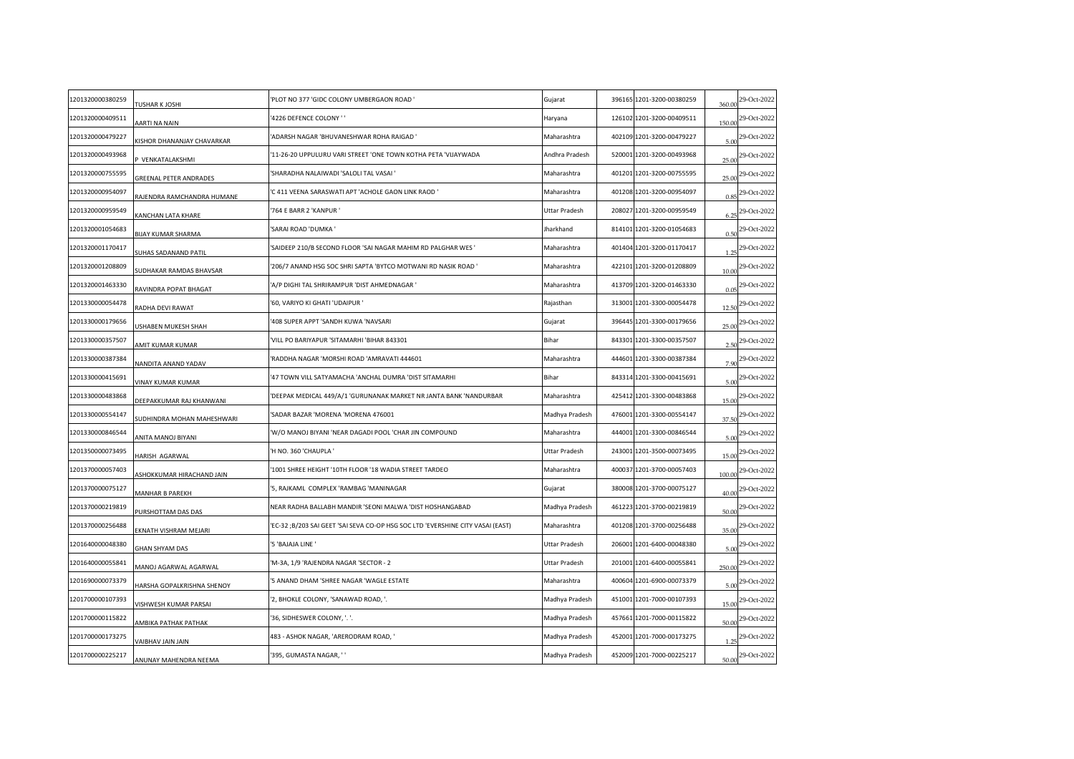| 1201320000380259 | TUSHAR K JOSHI                    | PLOT NO 377 'GIDC COLONY UMBERGAON ROAD '                                      | Gujarat        | 396165 1201-3200-00380259 | 360.00 | 29-Oct-2022 |
|------------------|-----------------------------------|--------------------------------------------------------------------------------|----------------|---------------------------|--------|-------------|
| 1201320000409511 | AARTI NA NAIN                     | 4226 DEFENCE COLONY ' '                                                        | Haryana        | 126102 1201-3200-00409511 | 150.00 | 29-Oct-2022 |
| 1201320000479227 | (ISHOR DHANANJAY CHAVARKAR        | ADARSH NAGAR 'BHUVANESHWAR ROHA RAIGAD '                                       | Maharashtra    | 402109 1201-3200-00479227 | 5.00   | 29-Oct-2022 |
| 1201320000493968 | VENKATALAKSHMI                    | 11-26-20 UPPULURU VARI STREET 'ONE TOWN KOTHA PETA 'VIJAYWADA'                 | Andhra Pradesh | 520001 1201-3200-00493968 | 25.00  | 29-Oct-2022 |
| 1201320000755595 | GREENAL PETER ANDRADES            | SHARADHA NALAIWADI 'SALOLI TAL VASAI '                                         | Maharashtra    | 401201 1201-3200-00755595 | 25.00  | 29-Oct-2022 |
| 1201320000954097 | RAJENDRA RAMCHANDRA HUMANE        | C 411 VEENA SARASWATI APT 'ACHOLE GAON LINK RAOD '                             | Maharashtra    | 401208 1201-3200-00954097 | 0.85   | 29-Oct-2022 |
| 1201320000959549 | KANCHAN LATA KHARE                | 764 E BARR 2 'KANPUR '                                                         | Uttar Pradesh  | 208027 1201-3200-00959549 | 6.25   | 29-Oct-2022 |
| 1201320001054683 | BIJAY KUMAR SHARMA                | 'SARAI ROAD 'DUMKA '                                                           | Jharkhand      | 814101 1201-3200-01054683 | 0.50   | 29-Oct-2022 |
| 1201320001170417 | SUHAS SADANAND PATIL              | SAIDEEP 210/B SECOND FLOOR 'SAI NAGAR MAHIM RD PALGHAR WES'                    | Maharashtra    | 401404 1201-3200-01170417 | 1.25   | 29-Oct-2022 |
| 1201320001208809 | UDHAKAR RAMDAS BHAVSAR            | 206/7 ANAND HSG SOC SHRI SAPTA 'BYTCO MOTWANI RD NASIK ROAD '                  | Maharashtra    | 422101 1201-3200-01208809 | 10.00  | 29-Oct-2022 |
| 1201320001463330 | RAVINDRA POPAT BHAGAT             | A/P DIGHI TAL SHRIRAMPUR 'DIST AHMEDNAGAR '                                    | Maharashtra    | 413709 1201-3200-01463330 | 0.05   | 29-Oct-2022 |
| 1201330000054478 | RADHA DEVI RAWAT                  | 60, VARIYO KI GHATI 'UDAIPUR '                                                 | Rajasthan      | 313001 1201-3300-00054478 | 12.50  | 29-Oct-2022 |
| 1201330000179656 | JSHABEN MUKESH SHAH               | 408 SUPER APPT 'SANDH KUWA 'NAVSARI                                            | Gujarat        | 396445 1201-3300-00179656 | 25.00  | 29-Oct-2022 |
| 1201330000357507 | <b>MIT KUMAR KUMAR</b>            | VILL PO BARIYAPUR 'SITAMARHI 'BIHAR 843301                                     | Bihar          | 843301 1201-3300-00357507 | 2.50   | 29-Oct-2022 |
| 1201330000387384 | NANDITA ANAND YADAV               | RADDHA NAGAR 'MORSHI ROAD 'AMRAVATI 444601                                     | Maharashtra    | 444601 1201-3300-00387384 | 7.90   | 29-Oct-2022 |
| 1201330000415691 | /INAY KUMAR KUMAR                 | 47 TOWN VILL SATYAMACHA 'ANCHAL DUMRA 'DIST SITAMARHI                          | Bihar          | 843314 1201-3300-00415691 | 5.00   | 29-Oct-2022 |
| 1201330000483868 | DEEPAKKUMAR RAJ KHANWANI          | DEEPAK MEDICAL 449/A/1 'GURUNANAK MARKET NR JANTA BANK 'NANDURBAR              | Maharashtra    | 425412 1201-3300-00483868 | 15.00  | 29-Oct-2022 |
| 1201330000554147 | JUDHINDRA MOHAN MAHESHWARI        | SADAR BAZAR 'MORENA 'MORENA 476001                                             | Madhya Pradesh | 476001 1201-3300-00554147 | 37.50  | 29-Oct-2022 |
| 1201330000846544 | ANITA MANOJ BIYANI                | W/O MANOJ BIYANI 'NEAR DAGADI POOL 'CHAR JIN COMPOUND'                         | Maharashtra    | 444001 1201-3300-00846544 | 5.00   | 29-Oct-2022 |
| 1201350000073495 | <b>HARISH AGARWAL</b>             | H NO. 360 'CHAUPLA '                                                           | Uttar Pradesh  | 243001 1201-3500-00073495 | 15.00  | 29-Oct-2022 |
| 1201370000057403 | ASHOKKUMAR HIRACHAND JAIN         | 1001 SHREE HEIGHT '10TH FLOOR '18 WADIA STREET TARDEO                          | Maharashtra    | 400037 1201-3700-00057403 | 100.00 | 29-Oct-2022 |
| 1201370000075127 | <b>MANHAR B PAREKH</b>            | 5, RAJKAML COMPLEX 'RAMBAG 'MANINAGAR'                                         | Gujarat        | 380008 1201-3700-00075127 | 40.00  | 29-Oct-2022 |
| 1201370000219819 | <b>URSHOTTAM DAS DAS</b>          | NEAR RADHA BALLABH MANDIR 'SEONI MALWA 'DIST HOSHANGABAD                       | Madhya Pradesh | 461223 1201-3700-00219819 | 50.00  | 29-Oct-2022 |
| 1201370000256488 | EKNATH VISHRAM MEJARI             | EC-32 ;B/203 SAI GEET 'SAI SEVA CO-OP HSG SOC LTD 'EVERSHINE CITY VASAI (EAST) | Maharashtra    | 401208 1201-3700-00256488 | 35.00  | 29-Oct-2022 |
| 1201640000048380 | <b>GHAN SHYAM DAS</b>             | 5 'BAJAJA LINE'                                                                | Uttar Pradesh  | 206001 1201-6400-00048380 | 5.00   | 29-Oct-2022 |
| 1201640000055841 | MANOJ AGARWAL AGARWAL             | M-3A, 1/9 'RAJENDRA NAGAR 'SECTOR - 2                                          | Uttar Pradesh  | 201001 1201-6400-00055841 | 250.00 | 29-Oct-2022 |
| 1201690000073379 | <b>HARSHA GOPALKRISHNA SHENOY</b> | 5 ANAND DHAM 'SHREE NAGAR 'WAGLE ESTATE'                                       | Maharashtra    | 400604 1201-6900-00073379 | 5.00   | 29-Oct-2022 |
| 1201700000107393 | <b>ISHWESH KUMAR PARSAI</b>       | '2, BHOKLE COLONY, 'SANAWAD ROAD, '.                                           | Madhya Pradesh | 451001 1201-7000-00107393 | 15.00  | 29-Oct-2022 |
| 1201700000115822 | МВІКА РАТНАК РАТНАК               | 36, SIDHESWER COLONY, '. '.                                                    | Madhya Pradesh | 457661 1201-7000-00115822 | 50.00  | 29-Oct-2022 |
| 1201700000173275 | <b>AIBHAV JAIN JAIN</b>           | 483 - ASHOK NAGAR, 'ARERODRAM ROAD, '                                          | Madhya Pradesh | 452001 1201-7000-00173275 |        | 29-Oct-2022 |
| 1201700000225217 | ANUNAY MAHENDRA NEEMA             | 395, GUMASTA NAGAR, ''                                                         | Madhya Pradesh | 452009 1201-7000-00225217 | 50.00  | 29-Oct-2022 |
|                  |                                   |                                                                                |                |                           |        |             |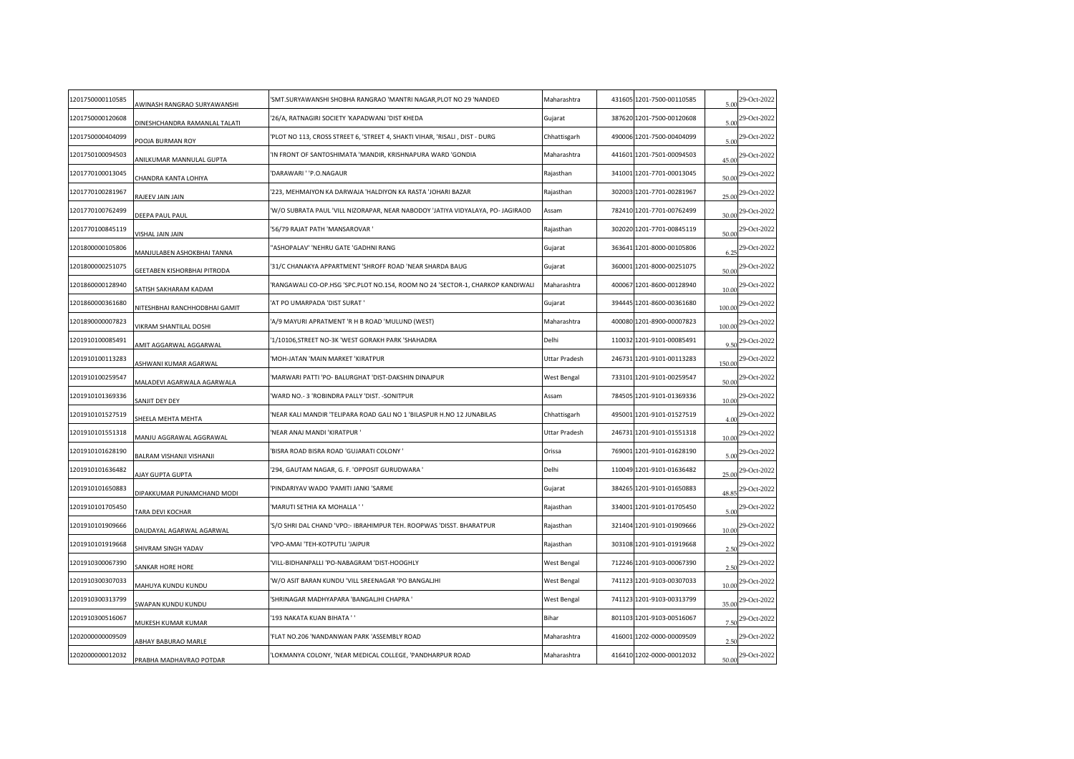| 1201750000110585 | AWINASH RANGRAO SURYAWANSHI     | SMT.SURYAWANSHI SHOBHA RANGRAO 'MANTRI NAGAR,PLOT NO 29 'NANDED'                | Maharashtra   | 431605 1201-7500-00110585 | 5.00   | 29-Oct-2022 |
|------------------|---------------------------------|---------------------------------------------------------------------------------|---------------|---------------------------|--------|-------------|
| 1201750000120608 | DINESHCHANDRA RAMANLAL TALATI   | '26/A, RATNAGIRI SOCIETY 'KAPADWANJ 'DIST KHEDA                                 | Gujarat       | 387620 1201-7500-00120608 | 5.00   | 29-Oct-2022 |
| 1201750000404099 | OOJA BURMAN ROY                 | PLOT NO 113, CROSS STREET 6, 'STREET 4, SHAKTI VIHAR, 'RISALI, DIST - DURG      | Chhattisgarh  | 490006 1201-7500-00404099 | 5.00   | 29-Oct-2022 |
| 1201750100094503 | ANILKUMAR MANNULAL GUPTA        | IN FRONT OF SANTOSHIMATA 'MANDIR, KRISHNAPURA WARD 'GONDIA                      | Maharashtra   | 441601 1201-7501-00094503 | 45.00  | 29-Oct-2022 |
| 1201770100013045 | CHANDRA KANTA LOHIYA            | DARAWARI ' 'P.O.NAGAUR                                                          | Rajasthan     | 341001 1201-7701-00013045 | 50.00  | 29-Oct-2022 |
| 1201770100281967 | RAJEEV JAIN JAIN                | 223, MEHMAIYON KA DARWAJA 'HALDIYON KA RASTA 'JOHARI BAZAR                      | Rajasthan     | 302003 1201-7701-00281967 | 25.00  | 29-Oct-2022 |
| 1201770100762499 | DEEPA PAUL PAUL                 | 'W/O SUBRATA PAUL 'VILL NIZORAPAR, NEAR NABODOY 'JATIYA VIDYALAYA, PO- JAGIRAOD | Assam         | 782410 1201-7701-00762499 | 30.00  | 29-Oct-2022 |
| 1201770100845119 | <b>ISHAL JAIN JAIN</b>          | '56/79 RAJAT PATH 'MANSAROVAR '                                                 | Rajasthan     | 302020 1201-7701-00845119 | 50.00  | 29-Oct-2022 |
| 1201800000105806 | MANJULABEN ASHOKBHAI TANNA      | 'ASHOPALAV' 'NEHRU GATE 'GADHNI RANG                                            | Gujarat       | 363641 1201-8000-00105806 | 6.25   | 29-Oct-2022 |
| 1201800000251075 | GEETABEN KISHORBHAI PITRODA     | 31/C CHANAKYA APPARTMENT 'SHROFF ROAD 'NEAR SHARDA BAUG                         | Gujarat       | 360001 1201-8000-00251075 | 50.00  | 29-Oct-2022 |
| 1201860000128940 | <b>SATISH SAKHARAM KADAM</b>    | RANGAWALI CO-OP.HSG 'SPC.PLOT NO.154, ROOM NO 24 'SECTOR-1, CHARKOP KANDIWALI   | Maharashtra   | 400067 1201-8600-00128940 | 10.00  | 29-Oct-2022 |
| 1201860000361680 | NITESHBHAI RANCHHODBHAI GAMIT   | AT PO UMARPADA 'DIST SURAT'                                                     | Gujarat       | 394445 1201-8600-00361680 | 100.00 | 29-Oct-2022 |
| 1201890000007823 | <b>/IKRAM SHANTILAL DOSHI</b>   | A/9 MAYURI APRATMENT 'R H B ROAD 'MULUND (WEST)                                 | Maharashtra   | 400080 1201-8900-00007823 | 100.00 | 29-Oct-2022 |
| 1201910100085491 | <b>MIT AGGARWAL AGGARWAL</b>    | 1/10106,STREET NO-3K 'WEST GORAKH PARK 'SHAHADRA                                | Delhi         | 110032 1201-9101-00085491 | 9.50   | 29-Oct-2022 |
| 1201910100113283 | <b>ISHWANI KUMAR AGARWAL</b>    | MOH-JATAN 'MAIN MARKET 'KIRATPUR                                                | Uttar Pradesh | 246731 1201-9101-00113283 | 150.00 | 29-Oct-2022 |
| 1201910100259547 | MALADEVI AGARWALA AGARWALA      | MARWARI PATTI 'PO- BALURGHAT 'DIST-DAKSHIN DINAJPUR                             | West Bengal   | 733101 1201-9101-00259547 | 50.00  | 29-Oct-2022 |
| 1201910101369336 | SANJIT DEY DEY                  | WARD NO. - 3 'ROBINDRA PALLY 'DIST. - SONITPUR                                  | Assam         | 784505 1201-9101-01369336 | 10.00  | 29-Oct-2022 |
| 1201910101527519 | HEELA MEHTA MEHTA               | NEAR KALI MANDIR 'TELIPARA ROAD GALI NO 1 'BILASPUR H.NO 12 JUNABILAS'          | Chhattisgarh  | 495001 1201-9101-01527519 | 4.00   | 29-Oct-2022 |
| 1201910101551318 | MANJU AGGRAWAL AGGRAWAL         | NEAR ANAJ MANDI 'KIRATPUR'                                                      | Uttar Pradesh | 246731 1201-9101-01551318 | 10.00  | 29-Oct-2022 |
| 1201910101628190 | <b>BALRAM VISHANJI VISHANJI</b> | BISRA ROAD BISRA ROAD 'GUJARATI COLONY '                                        | Orissa        | 769001 1201-9101-01628190 | 5.00   | 29-Oct-2022 |
| 1201910101636482 | AJAY GUPTA GUPTA                | 294, GAUTAM NAGAR, G. F. 'OPPOSIT GURUDWARA'                                    | Delhi         | 110049 1201-9101-01636482 | 25.00  | 29-Oct-2022 |
| 1201910101650883 | DIPAKKUMAR PUNAMCHAND MODI      | PINDARIYAV WADO 'PAMITI JANKI 'SARME                                            | Gujarat       | 384265 1201-9101-01650883 | 48.85  | 29-Oct-2022 |
| 1201910101705450 | TARA DEVI KOCHAR                | MARUTI SETHIA KA MOHALLA ' '                                                    | Rajasthan     | 334001 1201-9101-01705450 | 5.00   | 29-Oct-2022 |
| 1201910101909666 | DAUDAYAL AGARWAL AGARWAL        | 'S/O SHRI DAL CHAND 'VPO:- IBRAHIMPUR TEH. ROOPWAS 'DISST. BHARATPUR            | Rajasthan     | 321404 1201-9101-01909666 | 10.00  | 29-Oct-2022 |
| 1201910101919668 | HIVRAM SINGH YADAV              | VPO-AMAI 'TEH-KOTPUTLI 'JAIPUR                                                  | Rajasthan     | 303108 1201-9101-01919668 | 2.50   | 29-Oct-2022 |
| 1201910300067390 | <b>SANKAR HORE HORE</b>         | VILL-BIDHANPALLI 'PO-NABAGRAM 'DIST-HOOGHLY                                     | West Bengal   | 712246 1201-9103-00067390 | 2.50   | 29-Oct-2022 |
| 1201910300307033 | MAHUYA KUNDU KUNDU              | W/O ASIT BARAN KUNDU 'VILL SREENAGAR 'PO BANGALJHI                              | West Bengal   | 741123 1201-9103-00307033 | 10.00  | 29-Oct-2022 |
| 1201910300313799 | WAPAN KUNDU KUNDU               | SHRINAGAR MADHYAPARA 'BANGALJHI CHAPRA '                                        | West Bengal   | 741123 1201-9103-00313799 | 35.00  | 29-Oct-2022 |
| 1201910300516067 | MUKESH KUMAR KUMAR              | 193 NAKATA KUAN BIHATA ' '                                                      | Bihar         | 801103 1201-9103-00516067 | 7.50   | 29-Oct-2022 |
| 1202000000009509 | <b>ABHAY BABURAO MARLE</b>      | FLAT NO.206 'NANDANWAN PARK 'ASSEMBLY ROAD                                      | Maharashtra   | 416001 1202-0000-00009509 |        | 29-Oct-2022 |
| 1202000000012032 | PRABHA MADHAVRAO POTDAR         | LOKMANYA COLONY, 'NEAR MEDICAL COLLEGE, 'PANDHARPUR ROAD                        | Maharashtra   | 416410 1202-0000-00012032 | 50.00  | 29-Oct-2022 |
|                  |                                 |                                                                                 |               |                           |        |             |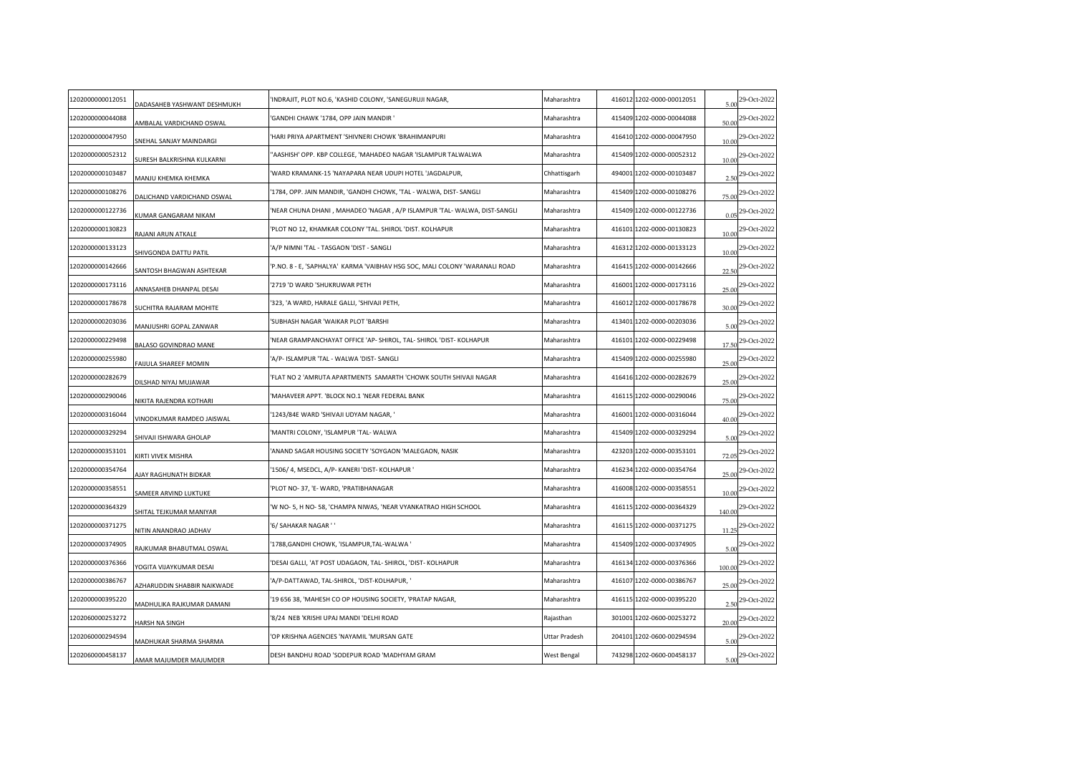| 1202000000012051 | DADASAHEB YASHWANT DESHMUKH     | INDRAJIT, PLOT NO.6, 'KASHID COLONY, 'SANEGURUJI NAGAR,                     | Maharashtra   | 416012 1202-0000-00012051 | 5.00   | 29-Oct-2022                 |
|------------------|---------------------------------|-----------------------------------------------------------------------------|---------------|---------------------------|--------|-----------------------------|
| 1202000000044088 | AMBALAL VARDICHAND OSWAL        | 'GANDHI CHAWK '1784, OPP JAIN MANDIR '                                      | Maharashtra   | 415409 1202-0000-00044088 | 50.00  | 29-Oct-2022                 |
| 1202000000047950 | SNEHAL SANJAY MAINDARGI         | HARI PRIYA APARTMENT 'SHIVNERI CHOWK 'BRAHIMANPURI                          | Maharashtra   | 416410 1202-0000-00047950 | 10.00  | 29-Oct-2022                 |
| 1202000000052312 | SURESH BALKRISHNA KULKARNI      | 'AASHISH' OPP. KBP COLLEGE, 'MAHADEO NAGAR 'ISLAMPUR TALWALWA               | Maharashtra   | 415409 1202-0000-00052312 | 10.00  | 29-Oct-2022                 |
| 1202000000103487 | MANJU KHEMKA KHEMKA             | WARD KRAMANK-15 'NAYAPARA NEAR UDUPI HOTEL 'JAGDALPUR,                      | Chhattisgarh  | 494001 1202-0000-00103487 | 2.50   | 29-Oct-2022                 |
| 1202000000108276 | DALICHAND VARDICHAND OSWAL      | 1784, OPP. JAIN MANDIR, 'GANDHI CHOWK, 'TAL - WALWA, DIST- SANGLI           | Maharashtra   | 415409 1202-0000-00108276 | 75.00  | 29-Oct-2022                 |
| 1202000000122736 | <b>KUMAR GANGARAM NIKAM</b>     | 'NEAR CHUNA DHANI , MAHADEO 'NAGAR , A/P ISLAMPUR 'TAL- WALWA, DIST-SANGLI  | Maharashtra   | 415409 1202-0000-00122736 | 0.05   | 29-Oct-2022                 |
| 1202000000130823 | RAJANI ARUN ATKALE              | PLOT NO 12, KHAMKAR COLONY 'TAL. SHIROL 'DIST. KOLHAPUR                     | Maharashtra   | 416101 1202-0000-00130823 | 10.00  | 29-Oct-2022                 |
| 1202000000133123 | SHIVGONDA DATTU PATIL           | A/P NIMNI 'TAL - TASGAON 'DIST - SANGLI                                     | Maharashtra   | 416312 1202-0000-00133123 | 10.00  | 29-Oct-2022                 |
| 1202000000142666 | <b>SANTOSH BHAGWAN ASHTEKAR</b> | 'P.NO. 8 - E, 'SAPHALYA' KARMA 'VAIBHAV HSG SOC, MALI COLONY 'WARANALI ROAD | Maharashtra   | 416415 1202-0000-00142666 | 22.50  | 29-Oct-2022                 |
| 1202000000173116 | ANNASAHEB DHANPAL DESAI         | '2719 'D WARD 'SHUKRUWAR PETH                                               | Maharashtra   | 416001 1202-0000-00173116 | 25.00  | 29-Oct-2022                 |
| 1202000000178678 | SUCHITRA RAJARAM MOHITE         | '323, 'A WARD, HARALE GALLI, 'SHIVAJI PETH,                                 | Maharashtra   | 416012 1202-0000-00178678 | 30.00  | 29-Oct-2022                 |
| 1202000000203036 | MANJUSHRI GOPAL ZANWAR          | 'SUBHASH NAGAR 'WAIKAR PLOT 'BARSHI                                         | Maharashtra   | 413401 1202-0000-00203036 | 5.00   | 29-Oct-2022                 |
| 1202000000229498 | BALASO GOVINDRAO MANE           | NEAR GRAMPANCHAYAT OFFICE 'AP- SHIROL, TAL- SHIROL 'DIST- KOLHAPUR          | Maharashtra   | 416101 1202-0000-00229498 | 17.50  | 29-Oct-2022                 |
| 1202000000255980 | FAIJULA SHAREEF MOMIN           | A/P- ISLAMPUR 'TAL - WALWA 'DIST- SANGLI                                    | Maharashtra   | 415409 1202-0000-00255980 | 25.00  | 29-Oct-2022                 |
| 1202000000282679 | DILSHAD NIYAJ MUJAWAR           | FLAT NO 2 'AMRUTA APARTMENTS SAMARTH 'CHOWK SOUTH SHIVAJI NAGAR             | Maharashtra   | 416416 1202-0000-00282679 | 25.00  | 29-Oct-2022                 |
| 1202000000290046 | NIKITA RAJENDRA KOTHARI         | MAHAVEER APPT. 'BLOCK NO.1 'NEAR FEDERAL BANK                               | Maharashtra   | 416115 1202-0000-00290046 | 75.00  | 29-Oct-2022                 |
| 1202000000316044 | VINODKUMAR RAMDEO JAISWAL       | '1243/84E WARD 'SHIVAJI UDYAM NAGAR, '                                      | Maharashtra   | 416001 1202-0000-00316044 | 40.00  | 29-Oct-2022                 |
| 1202000000329294 | SHIVAJI ISHWARA GHOLAP          | 'MANTRI COLONY, 'ISLAMPUR 'TAL- WALWA                                       | Maharashtra   | 415409 1202-0000-00329294 | 5.00   | 29-Oct-2022                 |
| 1202000000353101 | KIRTI VIVEK MISHRA              | ANAND SAGAR HOUSING SOCIETY 'SOYGAON 'MALEGAON, NASIK                       | Maharashtra   | 423203 1202-0000-00353101 | 72.05  | 29-Oct-2022                 |
| 1202000000354764 | <b>NJAY RAGHUNATH BIDKAR</b>    | '1506/ 4, MSEDCL, A/P- KANERI 'DIST- KOLHAPUR '                             | Maharashtra   | 416234 1202-0000-00354764 | 25.00  | 29-Oct-2022                 |
| 1202000000358551 | SAMEER ARVIND LUKTUKE           | 'PLOT NO-37, 'E-WARD, 'PRATIBHANAGAR                                        | Maharashtra   | 416008 1202-0000-00358551 | 10.00  | 29-Oct-2022                 |
| 1202000000364329 | SHITAL TEJKUMAR MANIYAR         | 'W NO-5, H NO-58, 'CHAMPA NIWAS, 'NEAR VYANKATRAO HIGH SCHOOL               | Maharashtra   | 416115 1202-0000-00364329 | 140.00 | 29-Oct-2022                 |
| 1202000000371275 | NITIN ANANDRAO JADHAV           | '6/ SAHAKAR NAGAR ' '                                                       | Maharashtra   | 416115 1202-0000-00371275 | 11.25  | 29-Oct-2022                 |
| 1202000000374905 | AJKUMAR BHABUTMAL OSWAL         | '1788, GANDHI CHOWK, 'ISLAMPUR, TAL-WALWA'                                  | Maharashtra   | 415409 1202-0000-00374905 | 5.00   | 29-Oct-2022                 |
| 1202000000376366 | YOGITA VIJAYKUMAR DESAI         | 'DESAI GALLI, 'AT POST UDAGAON, TAL- SHIROL, 'DIST- KOLHAPUR                | Maharashtra   | 416134 1202-0000-00376366 | 100.00 | 29-Oct-2022                 |
| 1202000000386767 | AZHARUDDIN SHABBIR NAIKWADE     | 'A/P-DATTAWAD, TAL-SHIROL, 'DIST-KOLHAPUR, '                                | Maharashtra   | 416107 1202-0000-00386767 | 25.00  | 29-Oct-2022                 |
| 1202000000395220 | MADHULIKA RAJKUMAR DAMANI       | 19 656 38, 'MAHESH CO OP HOUSING SOCIETY, 'PRATAP NAGAR,                    | Maharashtra   | 416115 1202-0000-00395220 | 2.50   | 29-Oct-2022                 |
| 1202060000253272 | <b>HARSH NA SINGH</b>           | '8/24 NEB 'KRISHI UPAJ MANDI 'DELHI ROAD                                    | Rajasthan     | 301001 1202-0600-00253272 | 20.00  | 29-Oct-2022                 |
| 1202060000294594 | MADHUKAR SHARMA SHARMA          | OP KRISHNA AGENCIES 'NAYAMIL 'MURSAN GATE                                   | Uttar Pradesh | 204101 1202-0600-00294594 | 5.00   | 29-Oct-2022                 |
| 1202060000458137 | AMAR MAJUMDER MAJUMDER          | DESH BANDHU ROAD 'SODEPUR ROAD 'MADHYAM GRAM                                | West Bengal   | 743298 1202-0600-00458137 |        | $\frac{5.00}{29}$ -Oct-2022 |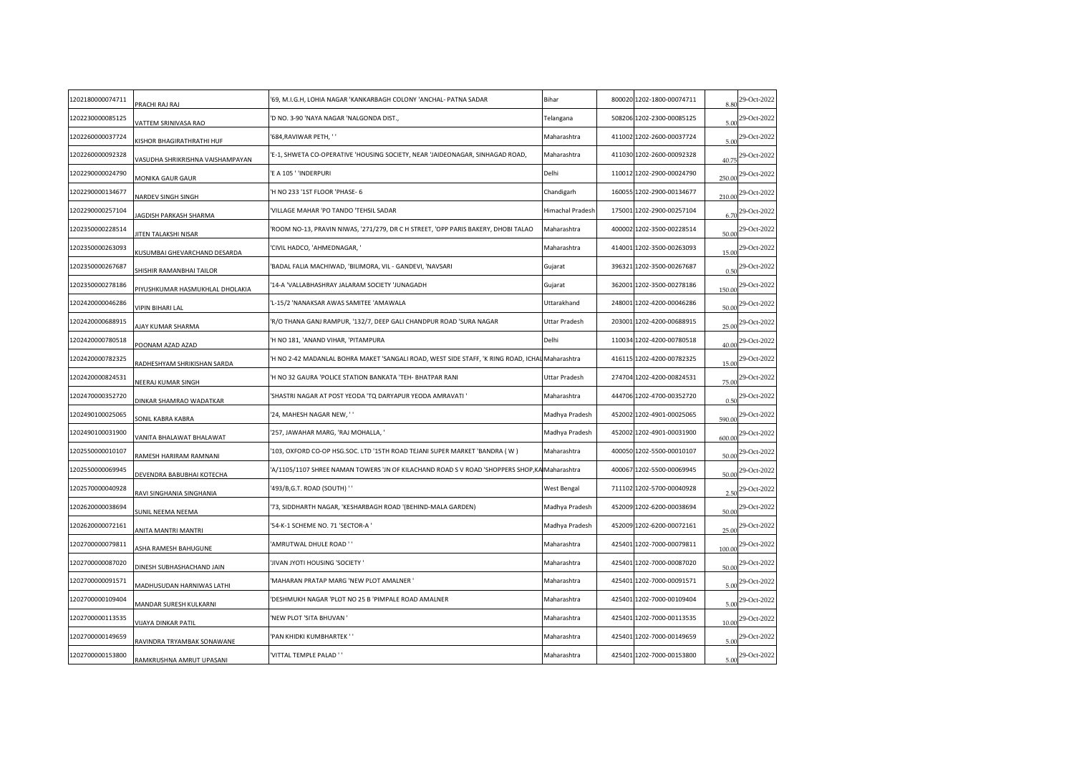| 1202180000074711 | PRACHI RAJ RAJ                   | '69, M.I.G.H, LOHIA NAGAR 'KANKARBAGH COLONY 'ANCHAL- PATNA SADAR                              | Bihar                   | 800020 1202-1800-00074711 | 8.80   | 29-Oct-2022                 |
|------------------|----------------------------------|------------------------------------------------------------------------------------------------|-------------------------|---------------------------|--------|-----------------------------|
| 1202230000085125 | <b>/ATTEM SRINIVASA RAO</b>      | D NO. 3-90 'NAYA NAGAR 'NALGONDA DIST.,                                                        | Telangana               | 508206 1202-2300-00085125 | 5.00   | 29-Oct-2022                 |
| 1202260000037724 | KISHOR BHAGIRATHRATHI HUF        | 684, RAVIWAR PETH, ''                                                                          | Maharashtra             | 411002 1202-2600-00037724 | 5.00   | 29-Oct-2022                 |
| 1202260000092328 | /ASUDHA SHRIKRISHNA VAISHAMPAYAN | 'E-1, SHWETA CO-OPERATIVE 'HOUSING SOCIETY, NEAR 'JAIDEONAGAR, SINHAGAD ROAD,                  | Maharashtra             | 411030 1202-2600-00092328 | 40.75  | 29-Oct-2022                 |
| 1202290000024790 | MONIKA GAUR GAUR                 | E A 105 ' 'INDERPURI                                                                           | Delhi                   | 110012 1202-2900-00024790 | 250.00 | 29-Oct-2022                 |
| 1202290000134677 | NARDEV SINGH SINGH               | H NO 233 '1ST FLOOR 'PHASE- 6                                                                  | Chandigarh              | 160055 1202-2900-00134677 | 210.00 | 29-Oct-2022                 |
| 1202290000257104 | JAGDISH PARKASH SHARMA           | VILLAGE MAHAR 'PO TANDO 'TEHSIL SADAR                                                          | <b>Himachal Pradesh</b> | 175001 1202-2900-00257104 | 6.70   | 29-Oct-2022                 |
| 1202350000228514 | <b>ITEN TALAKSHI NISAR</b>       | ROOM NO-13, PRAVIN NIWAS, '271/279, DR C H STREET, 'OPP PARIS BAKERY, DHOBI TALAO              | Maharashtra             | 400002 1202-3500-00228514 | 50.00  | 29-Oct-2022                 |
| 1202350000263093 | KUSUMBAI GHEVARCHAND DESARDA     | CIVIL HADCO, 'AHMEDNAGAR, '                                                                    | Maharashtra             | 414001 1202-3500-00263093 | 15.00  | 29-Oct-2022                 |
| 1202350000267687 | HISHIR RAMANBHAI TAILOR          | BADAL FALIA MACHIWAD, 'BILIMORA, VIL - GANDEVI, 'NAVSARI                                       | Gujarat                 | 396321 1202-3500-00267687 | 0.50   | 29-Oct-2022                 |
| 1202350000278186 | PIYUSHKUMAR HASMUKHLAL DHOLAKIA  | 14-A 'VALLABHASHRAY JALARAM SOCIETY 'JUNAGADH                                                  | Gujarat                 | 362001 1202-3500-00278186 | 150.00 | 29-Oct-2022                 |
| 1202420000046286 | <b>/IPIN BIHARI LAL</b>          | L-15/2 'NANAKSAR AWAS SAMITEE 'AMAWALA                                                         | Uttarakhand             | 248001 1202-4200-00046286 | 50.00  | 29-Oct-2022                 |
| 1202420000688915 | UAY KUMAR SHARMA                 | R/O THANA GANJ RAMPUR, '132/7, DEEP GALI CHANDPUR ROAD 'SURA NAGAR                             | Uttar Pradesh           | 203001 1202-4200-00688915 | 25.00  | 29-Oct-2022                 |
| 1202420000780518 | OONAM AZAD AZAD                  | H NO 181, 'ANAND VIHAR, 'PITAMPURA                                                             | Delhi                   | 110034 1202-4200-00780518 | 40.00  | 29-Oct-2022                 |
| 1202420000782325 | ADHESHYAM SHRIKISHAN SARDA       | H NO 2-42 MADANLAL BOHRA MAKET 'SANGALI ROAD, WEST SIDE STAFF, 'K RING ROAD, ICHAL Maharashtra |                         | 416115 1202-4200-00782325 | 15.00  | 29-Oct-2022                 |
| 1202420000824531 | VEERAJ KUMAR SINGH               | H NO 32 GAURA 'POLICE STATION BANKATA 'TEH- BHATPAR RANI                                       | Uttar Pradesh           | 274704 1202-4200-00824531 | 75.00  | 29-Oct-2022                 |
| 1202470000352720 | DINKAR SHAMRAO WADATKAR          | SHASTRI NAGAR AT POST YEODA 'TQ DARYAPUR YEODA AMRAVATI '                                      | Maharashtra             | 444706 1202-4700-00352720 | 0.50   | 29-Oct-2022                 |
| 1202490100025065 | ONIL KABRA KABRA                 | 24, MAHESH NAGAR NEW, ''                                                                       | Madhya Pradesh          | 452002 1202-4901-00025065 | 590.00 | 29-Oct-2022                 |
| 1202490100031900 | ANITA BHALAWAT BHALAWAT          | '257, JAWAHAR MARG, 'RAJ MOHALLA, '                                                            | Madhya Pradesh          | 452002 1202-4901-00031900 | 600.00 | 29-Oct-2022                 |
| 1202550000010107 | RAMESH HARIRAM RAMNANI           | 103, OXFORD CO-OP HSG.SOC. LTD '15TH ROAD TEJANI SUPER MARKET 'BANDRA (W)                      | Maharashtra             | 400050 1202-5500-00010107 | 50.00  | 29-Oct-2022                 |
| 1202550000069945 | DEVENDRA BABUBHAI KOTECHA        | A/1105/1107 SHREE NAMAN TOWERS 'JN OF KILACHAND ROAD S V ROAD 'SHOPPERS SHOP, KA Maharashtra   |                         | 400067 1202-5500-00069945 | 50.00  | 29-Oct-2022                 |
| 1202570000040928 | RAVI SINGHANIA SINGHANIA         | 493/B, G.T. ROAD (SOUTH) ''                                                                    | West Bengal             | 711102 1202-5700-00040928 | 2.50   | 29-Oct-2022                 |
| 1202620000038694 | UNIL NEEMA NEEMA                 | 73, SIDDHARTH NAGAR, 'KESHARBAGH ROAD '(BEHIND-MALA GARDEN)                                    | Madhya Pradesh          | 452009 1202-6200-00038694 | 50.00  | 29-Oct-2022                 |
| 1202620000072161 | <b>INITA MANTRI MANTRI</b>       | 54-K-1 SCHEME NO. 71 'SECTOR-A '                                                               | Madhya Pradesh          | 452009 1202-6200-00072161 | 25.00  | 29-Oct-2022                 |
| 1202700000079811 | SHA RAMESH BAHUGUNE              | AMRUTWAL DHULE ROAD ''                                                                         | Maharashtra             | 425401 1202-7000-00079811 | 100.00 | 29-Oct-2022                 |
| 1202700000087020 | DINESH SUBHASHACHAND JAIN        | JIVAN JYOTI HOUSING 'SOCIETY '                                                                 | Maharashtra             | 425401 1202-7000-00087020 | 50.00  | 29-Oct-2022                 |
| 1202700000091571 | MADHUSUDAN HARNIWAS LATHI        | MAHARAN PRATAP MARG 'NEW PLOT AMALNER '                                                        | Maharashtra             | 425401 1202-7000-00091571 | 5.00   | 29-Oct-2022                 |
| 1202700000109404 | MANDAR SURESH KULKARNI           | DESHMUKH NAGAR 'PLOT NO 25 B 'PIMPALE ROAD AMALNER                                             | Maharashtra             | 425401 1202-7000-00109404 | 5.00   | 29-Oct-2022                 |
| 1202700000113535 | <b>IIJAYA DINKAR PATIL</b>       | 'NEW PLOT 'SITA BHUVAN '                                                                       | Maharashtra             | 425401 1202-7000-00113535 | 10.00  | 29-Oct-2022                 |
| 1202700000149659 | RAVINDRA TRYAMBAK SONAWANE       | PAN KHIDKI KUMBHARTEK ''                                                                       | Maharashtra             | 425401 1202-7000-00149659 | 5.00   | 29-Oct-2022                 |
| 1202700000153800 | RAMKRUSHNA AMRUT UPASANI         | 'VITTAL TEMPLE PALAD ' '                                                                       | Maharashtra             | 425401 1202-7000-00153800 |        | $\frac{5.00}{29}$ -Oct-2022 |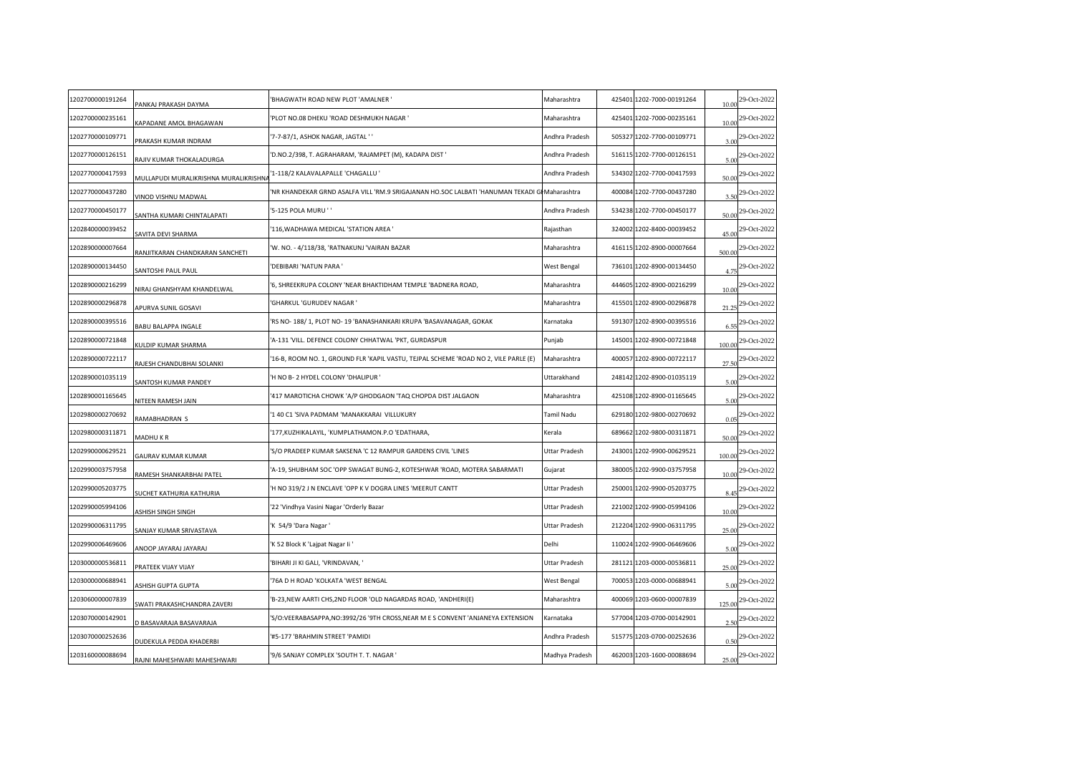| 1202700000191264 | PANKAJ PRAKASH DAYMA                  | BHAGWATH ROAD NEW PLOT 'AMALNER '                                                             | Maharashtra    | 425401 1202-7000-00191264 | 10.00  | 29-Oct-2022                  |
|------------------|---------------------------------------|-----------------------------------------------------------------------------------------------|----------------|---------------------------|--------|------------------------------|
| 1202700000235161 | <b>KAPADANE AMOL BHAGAWAN</b>         | PLOT NO.08 DHEKU 'ROAD DESHMUKH NAGAR '                                                       | Maharashtra    | 425401 1202-7000-00235161 | 10.00  | 29-Oct-2022                  |
| 1202770000109771 | <b>PRAKASH KUMAR INDRAM</b>           | 7-7-87/1, ASHOK NAGAR, JAGTAL ''                                                              | Andhra Pradesh | 505327 1202-7700-00109771 | 3.00   | 29-Oct-2022                  |
| 1202770000126151 | RAJIV KUMAR THOKALADURGA              | 'D.NO.2/398, T. AGRAHARAM, 'RAJAMPET (M), KADAPA DIST '                                       | Andhra Pradesh | 516115 1202-7700-00126151 | 5.00   | 29-Oct-2022                  |
| 1202770000417593 | MULLAPUDI MURALIKRISHNA MURALIKRISHNA | 1-118/2 KALAVALAPALLE 'CHAGALLU '                                                             | Andhra Pradesh | 534302 1202-7700-00417593 | 50.00  | 29-Oct-2022                  |
| 1202770000437280 | <b>/INOD VISHNU MADWAL</b>            | NR KHANDEKAR GRND ASALFA VILL 'RM.9 SRIGAJANAN HO.SOC LALBATI 'HANUMAN TEKADI GI Maharashtra' |                | 400084 1202-7700-00437280 | 3.50   | 29-Oct-2022                  |
| 1202770000450177 | ANTHA KUMARI CHINTALAPATI             | 5-125 POLA MURU ' '                                                                           | Andhra Pradesh | 534238 1202-7700-00450177 | 50.00  | 29-Oct-2022                  |
| 1202840000039452 | AVITA DEVI SHARMA                     | 116, WADHAWA MEDICAL 'STATION AREA'                                                           | Rajasthan      | 324002 1202-8400-00039452 | 45.00  | 29-Oct-2022                  |
| 1202890000007664 | RANJITKARAN CHANDKARAN SANCHETI       | W. NO. - 4/118/38, 'RATNAKUNJ 'VAIRAN BAZAR'                                                  | Maharashtra    | 416115 1202-8900-00007664 | 500.00 | 29-Oct-2022                  |
| 1202890000134450 | ANTOSHI PAUL PAUL                     | DEBIBARI 'NATUN PARA '                                                                        | West Bengal    | 736101 1202-8900-00134450 | 4.75   | 29-Oct-2022                  |
| 1202890000216299 | NIRAJ GHANSHYAM KHANDELWAL            | '6, SHREEKRUPA COLONY 'NEAR BHAKTIDHAM TEMPLE 'BADNERA ROAD,                                  | Maharashtra    | 444605 1202-8900-00216299 | 10.00  | 29-Oct-2022                  |
| 1202890000296878 | <b>APURVA SUNIL GOSAVI</b>            | <b>GHARKUL 'GURUDEV NAGAR'</b>                                                                | Maharashtra    | 415501 1202-8900-00296878 | 21.25  | 29-Oct-2022                  |
| 1202890000395516 | <b>BABU BALAPPA INGALE</b>            | RS NO-188/1, PLOT NO-19 'BANASHANKARI KRUPA 'BASAVANAGAR, GOKAK                               | Karnataka      | 591307 1202-8900-00395516 | 6.55   | 29-Oct-2022                  |
| 1202890000721848 | (ULDIP KUMAR SHARMA                   | 'A-131 'VILL. DEFENCE COLONY CHHATWAL 'PKT, GURDASPUR                                         | Punjab         | 145001 1202-8900-00721848 | 100.00 | 29-Oct-2022                  |
| 1202890000722117 | RAJESH CHANDUBHAI SOLANKI             | '16-B, ROOM NO. 1, GROUND FLR 'KAPIL VASTU, TEJPAL SCHEME 'ROAD NO 2, VILE PARLE (E)          | Maharashtra    | 400057 1202-8900-00722117 | 27.50  | 29-Oct-2022                  |
| 1202890001035119 | SANTOSH KUMAR PANDEY                  | H NO B- 2 HYDEL COLONY 'DHALIPUR '                                                            | Uttarakhand    | 248142 1202-8900-01035119 | 5.00   | 29-Oct-2022                  |
| 1202890001165645 | <b>NITEEN RAMESH JAIN</b>             | 417 MAROTICHA CHOWK 'A/P GHODGAON 'TAQ CHOPDA DIST JALGAON                                    | Maharashtra    | 425108 1202-8900-01165645 | 5.00   | 29-Oct-2022                  |
| 1202980000270692 | RAMABHADRAN S                         | 1 40 C1 'SIVA PADMAM 'MANAKKARAI VILLUKURY                                                    | Tamil Nadu     | 629180 1202-9800-00270692 | 0.05   | 29-Oct-2022                  |
| 1202980000311871 | MADHU K R                             | 177, KUZHIKALAYIL, 'KUMPLATHAMON.P.O 'EDATHARA,                                               | Kerala         | 689662 1202-9800-00311871 | 50.00  | 29-Oct-2022                  |
| 1202990000629521 | GAURAV KUMAR KUMAR                    | 'S/O PRADEEP KUMAR SAKSENA 'C 12 RAMPUR GARDENS CIVIL 'LINES                                  | Uttar Pradesh  | 243001 1202-9900-00629521 | 100.00 | 29-Oct-2022                  |
| 1202990003757958 | RAMESH SHANKARBHAI PATEL              | A-19, SHUBHAM SOC 'OPP SWAGAT BUNG-2, KOTESHWAR 'ROAD, MOTERA SABARMATI                       | Gujarat        | 380005 1202-9900-03757958 | 10.00  | 29-Oct-2022                  |
| 1202990005203775 | UCHET KATHURIA KATHURIA               | H NO 319/2 J N ENCLAVE 'OPP K V DOGRA LINES 'MEERUT CANTT'                                    | Uttar Pradesh  | 250001 1202-9900-05203775 | 8.45   | 29-Oct-2022                  |
| 1202990005994106 | <b>ISHISH SINGH SINGH</b>             | '22 'Vindhya Vasini Nagar 'Orderly Bazar                                                      | Uttar Pradesh  | 221002 1202-9900-05994106 | 10.00  | 29-Oct-2022                  |
| 1202990006311795 | SANJAY KUMAR SRIVASTAVA               | 'K 54/9 'Dara Nagar '                                                                         | Uttar Pradesh  | 212204 1202-9900-06311795 |        | 25.00 <sup>29-Oct-2022</sup> |
| 1202990006469606 | LARAYAL LARAYAL JOONA                 | K 52 Block K 'Lajpat Nagar Ii '                                                               | Delhi          | 110024 1202-9900-06469606 | 5.00   | 29-Oct-2022                  |
| 1203000000536811 | PRATEEK VIJAY VIJAY                   | BIHARI JI KI GALI, 'VRINDAVAN, '                                                              | Uttar Pradesh  | 281121 1203-0000-00536811 | 25.00  | 29-Oct-2022                  |
| 1203000000688941 | <b>SHISH GUPTA GUPTA</b>              | 76A D H ROAD 'KOLKATA 'WEST BENGAL                                                            | West Bengal    | 700053 1203-0000-00688941 | 5.00   | 29-Oct-2022                  |
| 1203060000007839 | WATI PRAKASHCHANDRA ZAVERI            | 'B-23, NEW AARTI CHS, 2ND FLOOR 'OLD NAGARDAS ROAD, 'ANDHERI(E)                               | Maharashtra    | 400069 1203-0600-00007839 | 125.00 | 29-Oct-2022                  |
| 1203070000142901 | D BASAVARAJA BASAVARAJA               | 'S/O:VEERABASAPPA, NO:3992/26 '9TH CROSS, NEAR M E S CONVENT 'ANJANEYA EXTENSION              | Karnataka      | 577004 1203-0700-00142901 | 2.50   | 29-Oct-2022                  |
| 1203070000252636 | DUDEKULA PEDDA KHADERBI               | #5-177 'BRAHMIN STREET 'PAMIDI                                                                | Andhra Pradesh | 515775 1203-0700-00252636 |        | 29-Oct-2022                  |
| 1203160000088694 | RAJNI MAHESHWARI MAHESHWARI           | 9/6 SANJAY COMPLEX 'SOUTH T. T. NAGAR '                                                       | Madhya Pradesh | 462003 1203-1600-00088694 | 25.00  | 29-Oct-2022                  |
|                  |                                       |                                                                                               |                |                           |        |                              |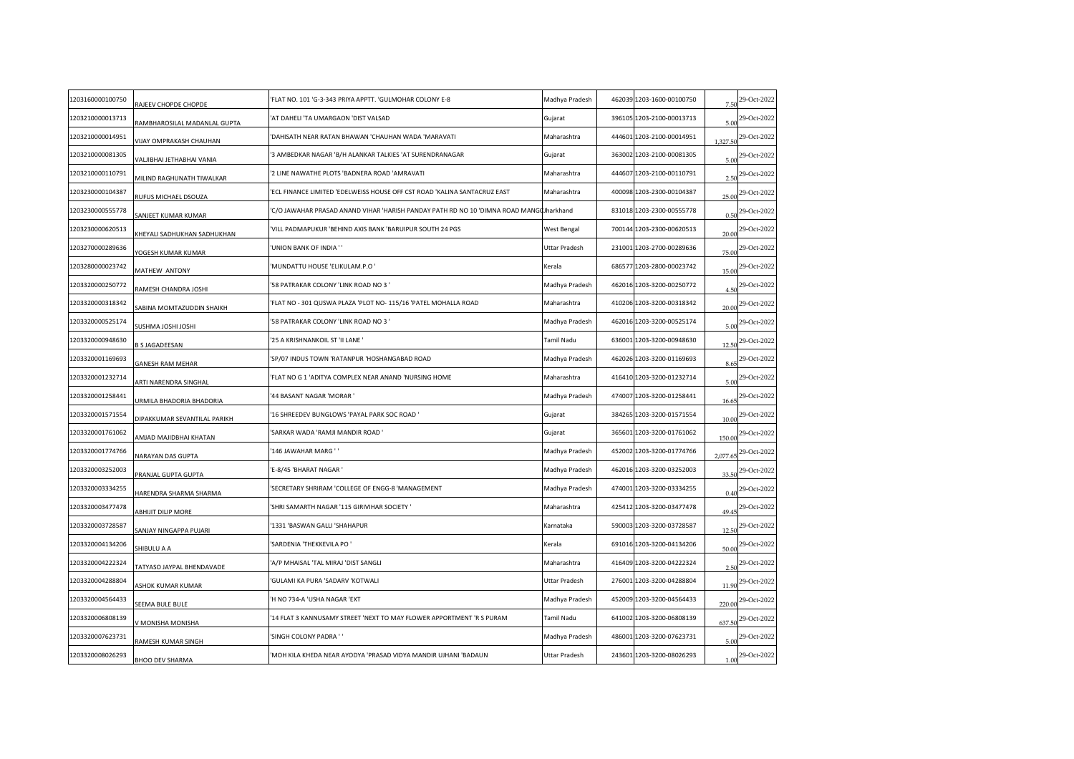| 1203160000100750 | RAJEEV CHOPDE CHOPDE                | FLAT NO. 101 'G-3-343 PRIYA APPTT. 'GULMOHAR COLONY E-8'                                 | Madhya Pradesh       | 462039 1203-1600-00100750 | 7.50     | 29-Oct-2022                   |
|------------------|-------------------------------------|------------------------------------------------------------------------------------------|----------------------|---------------------------|----------|-------------------------------|
| 1203210000013713 | RAMBHAROSILAL MADANLAL GUPTA        | 'AT DAHELI 'TA UMARGAON 'DIST VALSAD                                                     | Gujarat              | 396105 1203-2100-00013713 |          | $5.00$ <sup>29-Oct-2022</sup> |
| 1203210000014951 | VIJAY OMPRAKASH CHAUHAN             | 'DAHISATH NEAR RATAN BHAWAN 'CHAUHAN WADA 'MARAVATI                                      | Maharashtra          | 444601 1203-2100-00014951 | 1,327.50 | 29-Oct-2022                   |
| 1203210000081305 | VALJIBHAI JETHABHAI VANIA           | 3 AMBEDKAR NAGAR 'B/H ALANKAR TALKIES 'AT SURENDRANAGAR                                  | Gujarat              | 363002 1203-2100-00081305 | 5.00     | 29-Oct-2022                   |
| 1203210000110791 | MILIND RAGHUNATH TIWALKAR           | 2 LINE NAWATHE PLOTS 'BADNERA ROAD 'AMRAVATI'                                            | Maharashtra          | 444607 1203-2100-00110791 | 2.50     | 29-Oct-2022                   |
| 1203230000104387 | RUFUS MICHAEL DSOUZA                | ECL FINANCE LIMITED 'EDELWEISS HOUSE OFF CST ROAD 'KALINA SANTACRUZ EAST                 | Maharashtra          | 400098 1203-2300-00104387 | 25.00    | 29-Oct-2022                   |
| 1203230000555778 | SANJEET KUMAR KUMAR                 | 'C/O JAWAHAR PRASAD ANAND VIHAR 'HARISH PANDAY PATH RD NO 10 'DIMNA ROAD MANG(JJharkhand |                      | 831018 1203-2300-00555778 | 0.50     | 29-Oct-2022                   |
| 1203230000620513 | HEYALI SADHUKHAN SADHUKHAN          | VILL PADMAPUKUR 'BEHIND AXIS BANK 'BARUIPUR SOUTH 24 PGS                                 | West Bengal          | 700144 1203-2300-00620513 | 20.00    | 29-Oct-2022                   |
| 1203270000289636 | YOGESH KUMAR KUMAR                  | UNION BANK OF INDIA ' '                                                                  | <b>Uttar Pradesh</b> | 231001 1203-2700-00289636 | 75.00    | 29-Oct-2022                   |
| 1203280000023742 | MATHEW ANTONY                       | MUNDATTU HOUSE 'ELIKULAM.P.O'                                                            | Kerala               | 686577 1203-2800-00023742 | 15.00    | 29-Oct-2022                   |
| 1203320000250772 | RAMESH CHANDRA JOSHI                | 58 PATRAKAR COLONY 'LINK ROAD NO 3 '                                                     | Madhya Pradesh       | 462016 1203-3200-00250772 | 4.50     | 29-Oct-2022                   |
| 1203320000318342 | SABINA MOMTAZUDDIN SHAIKH           | FLAT NO - 301 QUSWA PLAZA 'PLOT NO- 115/16 'PATEL MOHALLA ROAD                           | Maharashtra          | 410206 1203-3200-00318342 | 20.00    | 29-Oct-2022                   |
| 1203320000525174 | <b>IH2OL IH2OL AMHZU3</b>           | '58 PATRAKAR COLONY 'LINK ROAD NO 3 '                                                    | Madhya Pradesh       | 462016 1203-3200-00525174 | 5.00     | 29-Oct-2022                   |
| 1203320000948630 | 3 S JAGADEESAN                      | '25 A KRISHNANKOIL ST 'II LANE '                                                         | Tamil Nadu           | 636001 1203-3200-00948630 | 12.50    | 29-Oct-2022                   |
| 1203320001169693 | <b>GANESH RAM MEHAR</b>             | SP/07 INDUS TOWN 'RATANPUR 'HOSHANGABAD ROAD                                             | Madhya Pradesh       | 462026 1203-3200-01169693 | 8.65     | 29-Oct-2022                   |
| 1203320001232714 | ARTI NARENDRA SINGHAL               | FLAT NO G 1 'ADITYA COMPLEX NEAR ANAND 'NURSING HOME                                     | Maharashtra          | 416410 1203-3200-01232714 | 5.00     | 29-Oct-2022                   |
| 1203320001258441 | URMILA BHADORIA BHADORIA            | 44 BASANT NAGAR 'MORAR '                                                                 | Madhya Pradesh       | 474007 1203-3200-01258441 | 16.65    | 29-Oct-2022                   |
| 1203320001571554 | <b>DIPAKKUMAR SEVANTILAL PARIKH</b> | '16 SHREEDEV BUNGLOWS 'PAYAL PARK SOC ROAD '                                             | Gujarat              | 384265 1203-3200-01571554 | 10.00    | 29-Oct-2022                   |
| 1203320001761062 | AMJAD MAJIDBHAI KHATAN              | 'SARKAR WADA 'RAMJI MANDIR ROAD '                                                        | Gujarat              | 365601 1203-3200-01761062 | 150.00   | 29-Oct-2022                   |
| 1203320001774766 | NARAYAN DAS GUPTA                   | 146 JAWAHAR MARG ' '                                                                     | Madhya Pradesh       | 452002 1203-3200-01774766 | 2,077.65 | 29-Oct-2022                   |
| 1203320003252003 | PRANJAL GUPTA GUPTA                 | E-8/45 'BHARAT NAGAR '                                                                   | Madhya Pradesh       | 462016 1203-3200-03252003 | 33.50    | 29-Oct-2022                   |
| 1203320003334255 | HARENDRA SHARMA SHARMA              | SECRETARY SHRIRAM 'COLLEGE OF ENGG-8 'MANAGEMENT'                                        | Madhya Pradesh       | 474001 1203-3200-03334255 | 0.40     | 29-Oct-2022                   |
| 1203320003477478 | ABHIJIT DILIP MORE                  | 'SHRI SAMARTH NAGAR '115 GIRIVIHAR SOCIETY '                                             | Maharashtra          | 425412 1203-3200-03477478 | 49.45    | 29-Oct-2022                   |
| 1203320003728587 | SANJAY NINGAPPA PUJARI              | '1331 'BASWAN GALLI 'SHAHAPUR                                                            | Karnataka            | 590003 1203-3200-03728587 |          | 12.50 29-Oct-2022             |
| 1203320004134206 | <b>SHIBULU A A</b>                  | SARDENIA 'THEKKEVILA PO                                                                  | Kerala               | 691016 1203-3200-04134206 | 50.00    | 29-Oct-2022                   |
| 1203320004222324 | TATYASO JAYPAL BHENDAVADE           | A/P MHAISAL 'TAL MIRAJ 'DIST SANGLI                                                      | Maharashtra          | 416409 1203-3200-04222324 | 2.50     | 29-Oct-2022                   |
| 1203320004288804 | ASHOK KUMAR KUMAR                   | GULAMI KA PURA 'SADARV 'KOTWALI                                                          | Uttar Pradesh        | 276001 1203-3200-04288804 | 11.90    | 29-Oct-2022                   |
| 1203320004564433 | SEEMA BULE BULE                     | 'H NO 734-A 'USHA NAGAR 'EXT                                                             | Madhya Pradesh       | 452009 1203-3200-04564433 | 220.00   | 29-Oct-2022                   |
| 1203320006808139 | / MONISHA MONISHA                   | '14 FLAT 3 KANNUSAMY STREET 'NEXT TO MAY FLOWER APPORTMENT 'R S PURAM                    | <b>Tamil Nadu</b>    | 641002 1203-3200-06808139 | 637.50   | 29-Oct-2022                   |
| 1203320007623731 | RAMESH KUMAR SINGH                  | 'SINGH COLONY PADRA ' '                                                                  | Madhya Pradesh       | 486001 1203-3200-07623731 |          | 29-Oct-2022                   |
| 1203320008026293 | <b>BHOO DEV SHARMA</b>              | MOH KILA KHEDA NEAR AYODYA 'PRASAD VIDYA MANDIR UJHANI 'BADAUN'                          | <b>Uttar Pradesh</b> | 243601 1203-3200-08026293 |          | $1.00$ <sup>29-Oct-2022</sup> |
|                  |                                     |                                                                                          |                      |                           |          |                               |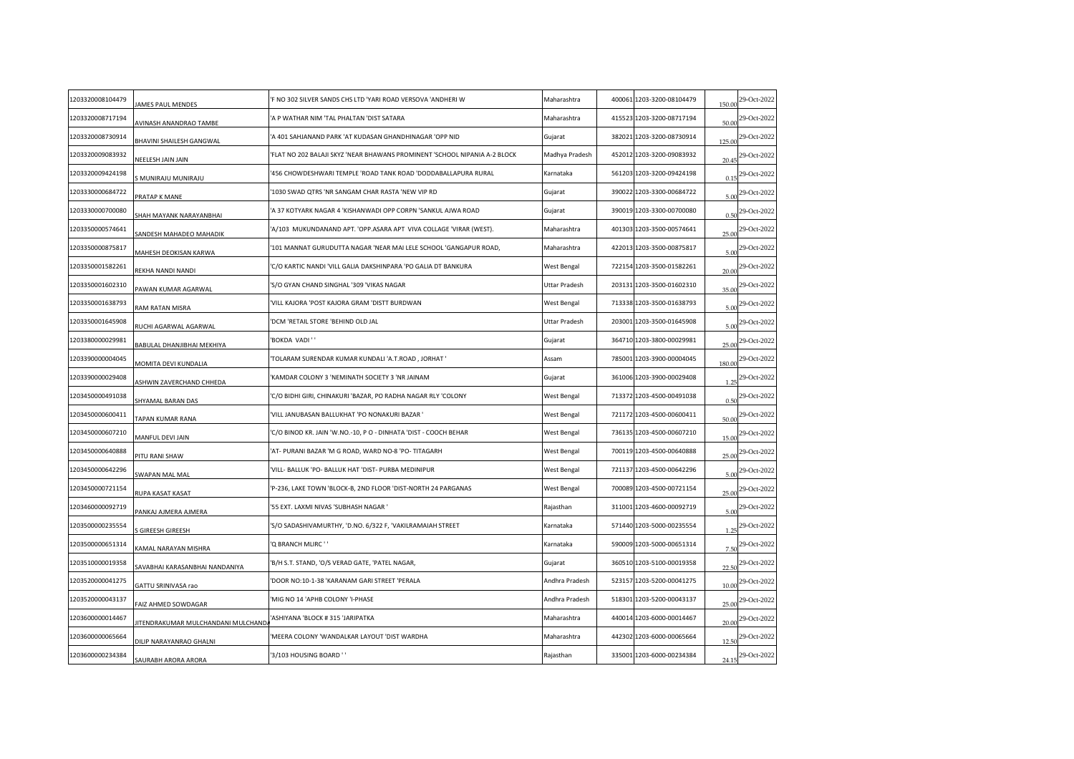| 1203320008104479 | JAMES PAUL MENDES                 | F NO 302 SILVER SANDS CHS LTD 'YARI ROAD VERSOVA 'ANDHERI W               | Maharashtra    | 400061 1203-3200-08104479 | 150.00 | 29-Oct-2022 |
|------------------|-----------------------------------|---------------------------------------------------------------------------|----------------|---------------------------|--------|-------------|
| 1203320008717194 | AVINASH ANANDRAO TAMBE            | A P WATHAR NIM 'TAL PHALTAN 'DIST SATARA                                  | Maharashtra    | 415523 1203-3200-08717194 | 50.00  | 29-Oct-2022 |
| 1203320008730914 | BHAVINI SHAILESH GANGWAL          | A 401 SAHJANAND PARK 'AT KUDASAN GHANDHINAGAR 'OPP NID                    | Gujarat        | 382021 1203-3200-08730914 | 125.00 | 29-Oct-2022 |
| 1203320009083932 | <b>VEELESH JAIN JAIN</b>          | FLAT NO 202 BALAJI SKYZ 'NEAR BHAWANS PROMINENT 'SCHOOL NIPANIA A-2 BLOCK | Madhya Pradesh | 452012 1203-3200-09083932 | 20.45  | 29-Oct-2022 |
| 1203320009424198 | MUNIRAJU MUNIRAJU                 | 456 CHOWDESHWARI TEMPLE 'ROAD TANK ROAD 'DODDABALLAPURA RURAL             | Karnataka      | 561203 1203-3200-09424198 | 0.15   | 29-Oct-2022 |
| 1203330000684722 | PRATAP K MANE                     | 1030 SWAD QTRS 'NR SANGAM CHAR RASTA 'NEW VIP RD                          | Gujarat        | 390022 1203-3300-00684722 | 5.00   | 29-Oct-2022 |
| 1203330000700080 | SHAH MAYANK NARAYANBHAI           | A 37 KOTYARK NAGAR 4 'KISHANWADI OPP CORPN 'SANKUL AJWA ROAD              | Gujarat        | 390019 1203-3300-00700080 | 0.50   | 29-Oct-2022 |
| 1203350000574641 | ANDESH MAHADEO MAHADIK            | A/103 MUKUNDANAND APT. 'OPP.ASARA APT VIVA COLLAGE 'VIRAR (WEST).         | Maharashtra    | 401303 1203-3500-00574641 | 25.00  | 29-Oct-2022 |
| 1203350000875817 | MAHESH DEOKISAN KARWA             | 101 MANNAT GURUDUTTA NAGAR 'NEAR MAI LELE SCHOOL 'GANGAPUR ROAD,          | Maharashtra    | 422013 1203-3500-00875817 | 5.00   | 29-Oct-2022 |
| 1203350001582261 | <b>REKHA NANDI NANDI</b>          | C/O KARTIC NANDI 'VILL GALIA DAKSHINPARA 'PO GALIA DT BANKURA             | West Bengal    | 722154 1203-3500-01582261 | 20.00  | 29-Oct-2022 |
| 1203350001602310 | PAWAN KUMAR AGARWAL               | 'S/O GYAN CHAND SINGHAL '309 'VIKAS NAGAR                                 | Uttar Pradesh  | 203131 1203-3500-01602310 | 35.00  | 29-Oct-2022 |
| 1203350001638793 | RAM RATAN MISRA                   | VILL KAJORA 'POST KAJORA GRAM 'DISTT BURDWAN                              | West Bengal    | 713338 1203-3500-01638793 | 5.00   | 29-Oct-2022 |
| 1203350001645908 | RUCHI AGARWAL AGARWAL             | DCM 'RETAIL STORE 'BEHIND OLD JAL                                         | Uttar Pradesh  | 203001 1203-3500-01645908 | 5.00   | 29-Oct-2022 |
| 1203380000029981 | BABULAL DHANJIBHAI MEKHIYA        | 'BOKDA VADI''                                                             | Gujarat        | 364710 1203-3800-00029981 | 25.00  | 29-Oct-2022 |
| 1203390000004045 | MOMITA DEVI KUNDALIA              | TOLARAM SURENDAR KUMAR KUNDALI 'A.T.ROAD, JORHAT '                        | Assam          | 785001 1203-3900-00004045 | 180.00 | 29-Oct-2022 |
| 1203390000029408 | <b>SHWIN ZAVERCHAND CHHEDA</b>    | KAMDAR COLONY 3 'NEMINATH SOCIETY 3 'NR JAINAM                            | Gujarat        | 361006 1203-3900-00029408 | 1.25   | 29-Oct-2022 |
| 1203450000491038 | SHYAMAL BARAN DAS                 | C/O BIDHI GIRI, CHINAKURI 'BAZAR, PO RADHA NAGAR RLY 'COLONY              | West Bengal    | 713372 1203-4500-00491038 | 0.50   | 29-Oct-2022 |
| 1203450000600411 | TAPAN KUMAR RANA                  | VILL JANUBASAN BALLUKHAT 'PO NONAKURI BAZAR '                             | West Bengal    | 721172 1203-4500-00600411 | 50.00  | 29-Oct-2022 |
| 1203450000607210 | MANFUL DEVI JAIN                  | C/O BINOD KR. JAIN 'W.NO.-10, P O - DINHATA 'DIST - COOCH BEHAR           | West Bengal    | 736135 1203-4500-00607210 | 15.00  | 29-Oct-2022 |
| 1203450000640888 | <b>PITU RANI SHAW</b>             | AT- PURANI BAZAR 'M G ROAD, WARD NO-8 'PO- TITAGARH                       | West Bengal    | 700119 1203-4500-00640888 | 25.00  | 29-Oct-2022 |
| 1203450000642296 | WAPAN MAL MAL                     | VILL- BALLUK 'PO- BALLUK HAT 'DIST- PURBA MEDINIPUR                       | West Bengal    | 721137 1203-4500-00642296 | 5.00   | 29-Oct-2022 |
| 1203450000721154 | <b>NUPA KASAT KASAT</b>           | P-236, LAKE TOWN 'BLOCK-B, 2ND FLOOR 'DIST-NORTH 24 PARGANAS'             | West Bengal    | 700089 1203-4500-00721154 | 25.00  | 29-Oct-2022 |
| 1203460000092719 | ANKAJ AJMERA AJMERA               | '55 EXT. LAXMI NIVAS 'SUBHASH NAGAR '                                     | Rajasthan      | 311001 1203-4600-00092719 | 5.00   | 29-Oct-2022 |
| 1203500000235554 | <b>GIREESH GIREESH</b>            | 'S/O SADASHIVAMURTHY, 'D.NO. 6/322 F, 'VAKILRAMAIAH STREET                | Karnataka      | 571440 1203-5000-00235554 | 1.25   | 29-Oct-2022 |
| 1203500000651314 | <b>CAMAL NARAYAN MISHRA</b>       | Q BRANCH MLIRC ' '                                                        | Karnataka      | 590009 1203-5000-00651314 | 7.50   | 29-Oct-2022 |
| 1203510000019358 | SAVABHAI KARASANBHAI NANDANIYA    | B/H S.T. STAND, 'O/S VERAD GATE, 'PATEL NAGAR,                            | Gujarat        | 360510 1203-5100-00019358 | 22.50  | 29-Oct-2022 |
| 1203520000041275 | GATTU SRINIVASA rao               | DOOR NO:10-1-38 'KARANAM GARI STREET 'PERALA                              | Andhra Pradesh | 523157 1203-5200-00041275 | 10.00  | 29-Oct-2022 |
| 1203520000043137 | AIZ AHMED SOWDAGAR                | MIG NO 14 'APHB COLONY 'I-PHASE                                           | Andhra Pradesh | 518301 1203-5200-00043137 | 25.00  | 29-Oct-2022 |
| 1203600000014467 | ITENDRAKUMAR MULCHANDANI MULCHAND | ASHIYANA 'BLOCK #315 'JARIPATKA                                           | Maharashtra    | 440014 1203-6000-00014467 | 20.00  | 29-Oct-2022 |
| 1203600000065664 | <b>DILIP NARAYANRAO GHALNI</b>    | MEERA COLONY 'WANDALKAR LAYOUT 'DIST WARDHA                               | Maharashtra    | 442302 1203-6000-00065664 | 12.50  | 29-Oct-2022 |
| 1203600000234384 | SAURABH ARORA ARORA               | 3/103 HOUSING BOARD ''                                                    | Rajasthan      | 335001 1203-6000-00234384 | 24.15  | 29-Oct-2022 |
|                  |                                   |                                                                           |                |                           |        |             |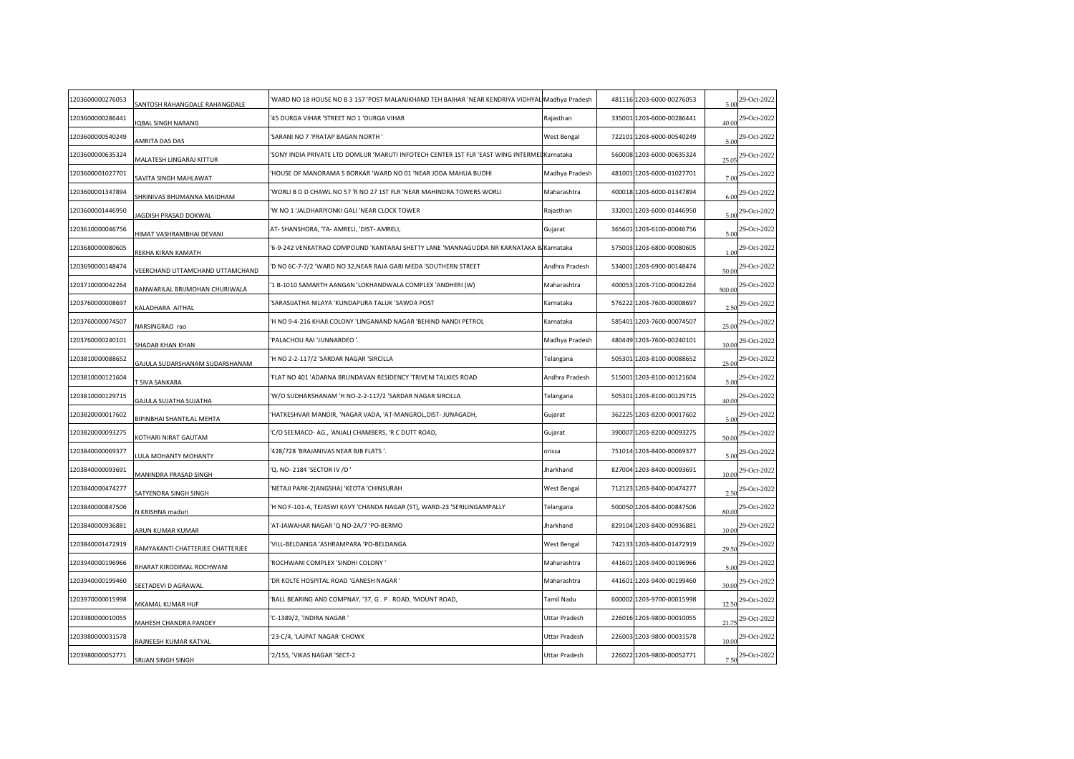| 1203600000276053 | <b>SANTOSH RAHANGDALE RAHANGDALE</b>   | WARD NO 18 HOUSE NO B 3 157 'POST MALANJKHAND TEH BAIHAR 'NEAR KENDRIYA VIDHYAL Madhya Pradesh' |                | 481116 1203-6000-00276053 | 5.00   | 29-Oct-2022 |
|------------------|----------------------------------------|-------------------------------------------------------------------------------------------------|----------------|---------------------------|--------|-------------|
| 1203600000286441 | <b>QBAL SINGH NARANG</b>               | 45 DURGA VIHAR 'STREET NO 1 'DURGA VIHAR                                                        | Rajasthan      | 335001 1203-6000-00286441 | 40.00  | 29-Oct-2022 |
| 1203600000540249 | <b>MRITA DAS DAS</b>                   | SARANI NO 7 'PRATAP BAGAN NORTH '                                                               | West Bengal    | 722101 1203-6000-00540249 | 5.00   | 29-Oct-2022 |
| 1203600000635324 | MALATESH LINGARAJ KITTUR               | SONY INDIA PRIVATE LTD DOMLUR 'MARUTI INFOTECH CENTER 1ST FLR 'EAST WING INTERMELKarnataka'     |                | 560008 1203-6000-00635324 | 25.05  | 29-Oct-2022 |
| 1203600001027701 | AVITA SINGH MAHLAWAT                   | HOUSE OF MANORAMA S BORKAR 'WARD NO 01 'NEAR JODA MAHUA BUDHI                                   | Madhya Pradesh | 481001 1203-6000-01027701 | 7.00   | 29-Oct-2022 |
| 1203600001347894 | <b>SHRINIVAS BHUMANNA MAIDHAM</b>      | WORLI B D D CHAWL NO 57 'R NO 27 1ST FLR 'NEAR MAHINDRA TOWERS WORLI                            | Maharashtra    | 400018 1203-6000-01347894 | 6.00   | 29-Oct-2022 |
| 1203600001446950 | JAGDISH PRASAD DOKWAL                  | W NO 1 'JALDHARIYONKI GALI 'NEAR CLOCK TOWER'                                                   | Rajasthan      | 332001 1203-6000-01446950 | 5.00   | 29-Oct-2022 |
| 1203610000046756 | <b>IIMAT VASHRAMBHAI DEVANI</b>        | AT- SHANSHORA, 'TA- AMRELI, 'DIST- AMRELI,                                                      | Gujarat        | 365601 1203-6100-00046756 | 5.00   | 29-Oct-2022 |
| 1203680000080605 | REKHA KIRAN KAMATH                     | 6-9-242 VENKATRAO COMPOUND 'KANTARAJ SHETTY LANE 'MANNAGUDDA NR KARNATAKA BAKarnataka'          |                | 575003 1203-6800-00080605 | 1.00   | 29-Oct-2022 |
| 1203690000148474 | <b>/EERCHAND UTTAMCHAND UTTAMCHAND</b> | D NO 6C-7-7/2 'WARD NO 32, NEAR RAJA GARI MEDA 'SOUTHERN STREET                                 | Andhra Pradesh | 534001 1203-6900-00148474 | 50.00  | 29-Oct-2022 |
| 1203710000042264 | BANWARILAL BRIJMOHAN CHURIWALA         | 1 B-1010 SAMARTH AANGAN 'LOKHANDWALA COMPLEX 'ANDHERI (W)                                       | Maharashtra    | 400053 1203-7100-00042264 | 500.00 | 29-Oct-2022 |
| 1203760000008697 | KALADHARA AITHAL                       | SARASIJATHA NILAYA 'KUNDAPURA TALUK 'SAWDA POST                                                 | Karnataka      | 576222 1203-7600-00008697 | 2.50   | 29-Oct-2022 |
| 1203760000074507 | NARSINGRAO rao                         | H NO 9-4-216 KHAJI COLONY 'LINGANAND NAGAR 'BEHIND NANDI PETROL                                 | Karnataka      | 585401 1203-7600-00074507 | 25.00  | 29-Oct-2022 |
| 1203760000240101 | SHADAB KHAN KHAN                       | PALACHOU RAI 'JUNNARDEO '.                                                                      | Madhya Pradesh | 480449 1203-7600-00240101 | 10.00  | 29-Oct-2022 |
| 1203810000088652 | GAJULA SUDARSHANAM SUDARSHANAM         | H NO 2-2-117/2 'SARDAR NAGAR 'SIRCILLA                                                          | Telangana      | 505301 1203-8100-00088652 | 25.00  | 29-Oct-2022 |
| 1203810000121604 | <b>F SIVA SANKARA</b>                  | FLAT NO 401 'ADARNA BRUNDAVAN RESIDENCY 'TRIVENI TALKIES ROAD                                   | Andhra Pradesh | 515001 1203-8100-00121604 | 5.00   | 29-Oct-2022 |
| 1203810000129715 | GAJULA SUJATHA SUJATHA                 | W/O SUDHARSHANAM 'H NO-2-2-117/2 'SARDAR NAGAR SIRCILLA'                                        | Telangana      | 505301 1203-8100-00129715 | 40.00  | 29-Oct-2022 |
| 1203820000017602 | <b>IPINBHAI SHANTILAL MEHTA</b>        | HATKESHVAR MANDIR, 'NAGAR VADA, 'AT-MANGROL,DIST- JUNAGADH,                                     | Gujarat        | 362225 1203-8200-00017602 | 5.00   | 29-Oct-2022 |
| 1203820000093275 | <b>(OTHARI NIRAT GAUTAM</b>            | C/O SEEMACO- AG., 'ANJALI CHAMBERS, 'R C DUTT ROAD,                                             | Gujarat        | 390007 1203-8200-00093275 | 50.00  | 29-Oct-2022 |
| 1203840000069377 | ULA MOHANTY MOHANTY                    | 428/728 'BRAJANIVAS NEAR BJB FLATS '.                                                           | orissa         | 751014 1203-8400-00069377 | 5.00   | 29-Oct-2022 |
| 1203840000093691 | MANINDRA PRASAD SINGH                  | Q. NO- 2184 'SECTOR IV /D '                                                                     | Jharkhand      | 827004 1203-8400-00093691 | 10.00  | 29-Oct-2022 |
| 1203840000474277 | ATYENDRA SINGH SINGH                   | 'NETAJI PARK-2(ANGSHA) 'KEOTA 'CHINSURAH                                                        | West Bengal    | 712123 1203-8400-00474277 | 2.50   | 29-Oct-2022 |
| 1203840000847506 | V KRISHNA maduri                       | H NO F-101-A, TEJASWI KAVY 'CHANDA NAGAR (ST), WARD-23 'SERILINGAMPALLY                         | Telangana      | 500050 1203-8400-00847506 | 80.00  | 29-Oct-2022 |
| 1203840000936881 | ARUN KUMAR KUMAR                       | AT-JAWAHAR NAGAR 'Q NO-2A/7 'PO-BERMO                                                           | Jharkhand      | 829104 1203-8400-00936881 | 10.00  | 29-Oct-2022 |
| 1203840001472919 | RAMYAKANTI CHATTERJEE CHATTERJEE       | VILL-BELDANGA 'ASHRAMPARA 'PO-BELDANGA                                                          | West Bengal    | 742133 1203-8400-01472919 | 29.50  | 29-Oct-2022 |
| 1203940000196966 | BHARAT KIRODIMAL ROCHWANI              | ROCHWANI COMPLEX 'SINDHI COLONY '                                                               | Maharashtra    | 441601 1203-9400-00196966 | 5.00   | 29-Oct-2022 |
| 1203940000199460 | EETADEVI D AGRAWAL                     | DR KOLTE HOSPITAL ROAD 'GANESH NAGAR '                                                          | Maharashtra    | 441601 1203-9400-00199460 | 30.00  | 29-Oct-2022 |
| 1203970000015998 | <b>MKAMAL KUMAR HUF</b>                | BALL BEARING AND COMPNAY, '37, G. P. ROAD, 'MOUNT ROAD,                                         | Tamil Nadu     | 600002 1203-9700-00015998 | 12.50  | 29-Oct-2022 |
| 1203980000010055 | <b>MAHESH CHANDRA PANDEY</b>           | C-1389/2, 'INDIRA NAGAR'                                                                        | Uttar Pradesh  | 226016 1203-9800-00010055 | 21.75  | 29-Oct-2022 |
| 1203980000031578 | AJNEESH KUMAR KATYAL                   | '23-C/4, 'LAJPAT NAGAR 'CHOWK                                                                   | Uttar Pradesh  | 226003 1203-9800-00031578 | 10.00  | 29-Oct-2022 |
| 1203980000052771 | SRIJAN SINGH SINGH                     | 2/155, 'VIKAS NAGAR 'SECT-2                                                                     | Uttar Pradesh  | 226022 1203-9800-00052771 | 7.50   | 29-Oct-2022 |
|                  |                                        |                                                                                                 |                |                           |        |             |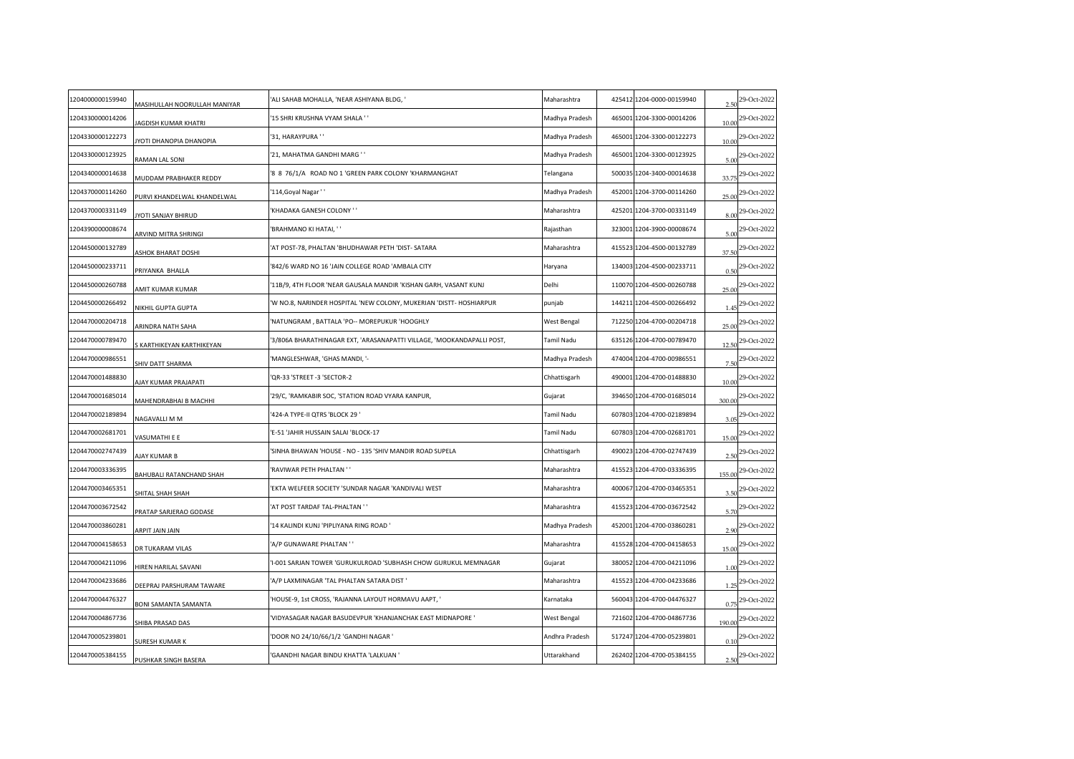| 1204000000159940 | MASIHULLAH NOORULLAH MANIYAR      | ALI SAHAB MOHALLA, 'NEAR ASHIYANA BLDG, '                             | Maharashtra    | 425412 1204-0000-00159940 | 2.50   | 29-Oct-2022                   |
|------------------|-----------------------------------|-----------------------------------------------------------------------|----------------|---------------------------|--------|-------------------------------|
| 1204330000014206 | JAGDISH KUMAR KHATRI              | 15 SHRI KRUSHNA VYAM SHALA ''                                         | Madhya Pradesh | 465001 1204-3300-00014206 | 10.00  | 29-Oct-2022                   |
| 1204330000122273 | YOTI DHANOPIA DHANOPIA            | '31, HARAYPURA ' '                                                    | Madhya Pradesh | 465001 1204-3300-00122273 | 10.00  | 29-Oct-2022                   |
| 1204330000123925 | RAMAN LAL SONI                    | '21, MAHATMA GANDHI MARG ' '                                          | Madhya Pradesh | 465001 1204-3300-00123925 |        | $5.00$ <sup>29-Oct-2022</sup> |
| 1204340000014638 | <b>MUDDAM PRABHAKER REDDY</b>     | '8 8 76/1/A ROAD NO 1 'GREEN PARK COLONY 'KHARMANGHAT                 | Telangana      | 500035 1204-3400-00014638 | 33.75  | 29-Oct-2022                   |
| 1204370000114260 | <b>URVI KHANDELWAL KHANDELWAL</b> | '114, Goyal Nagar''                                                   | Madhya Pradesh | 452001 1204-3700-00114260 | 25.00  | 29-Oct-2022                   |
| 1204370000331149 | YOTI SANJAY BHIRUD                | KHADAKA GANESH COLONY ''                                              | Maharashtra    | 425201 1204-3700-00331149 | 8.00   | 29-Oct-2022                   |
| 1204390000008674 | <b>ARVIND MITRA SHRINGI</b>       | BRAHMANO KI HATAI, ''                                                 | Rajasthan      | 323001 1204-3900-00008674 | 5.00   | 29-Oct-2022                   |
| 1204450000132789 | ASHOK BHARAT DOSHI                | AT POST-78, PHALTAN 'BHUDHAWAR PETH 'DIST- SATARA                     | Maharashtra    | 415523 1204-4500-00132789 | 37.50  | 29-Oct-2022                   |
| 1204450000233711 | <b>RIYANKA BHALLA</b>             | 842/6 WARD NO 16 'JAIN COLLEGE ROAD 'AMBALA CITY                      | Haryana        | 134003 1204-4500-00233711 | 0.50   | 29-Oct-2022                   |
| 1204450000260788 | AMIT KUMAR KUMAR                  | 11B/9, 4TH FLOOR 'NEAR GAUSALA MANDIR 'KISHAN GARH, VASANT KUNJ       | Delhi          | 110070 1204-4500-00260788 | 25.00  | 29-Oct-2022                   |
| 1204450000266492 | NIKHIL GUPTA GUPTA                | W NO.8, NARINDER HOSPITAL 'NEW COLONY, MUKERIAN 'DISTT- HOSHIARPUR    | punjab         | 144211 1204-4500-00266492 | 1.45   | 29-Oct-2022                   |
| 1204470000204718 | ARINDRA NATH SAHA                 | NATUNGRAM, BATTALA 'PO -- MOREPUKUR 'HOOGHLY                          | West Bengal    | 712250 1204-4700-00204718 | 25.00  | 29-Oct-2022                   |
| 1204470000789470 | KARTHIKEYAN KARTHIKEYAN           | 3/806A BHARATHINAGAR EXT, 'ARASANAPATTI VILLAGE, 'MOOKANDAPALLI POST, | Tamil Nadu     | 635126 1204-4700-00789470 | 12.50  | 29-Oct-2022                   |
| 1204470000986551 | HIV DATT SHARMA                   | MANGLESHWAR, 'GHAS MANDI, '-                                          | Madhya Pradesh | 474004 1204-4700-00986551 | 7.50   | 29-Oct-2022                   |
| 1204470001488830 | UAY KUMAR PRAJAPATI               | QR-33 'STREET -3 'SECTOR-2                                            | Chhattisgarh   | 490001 1204-4700-01488830 | 10.00  | 29-Oct-2022                   |
| 1204470001685014 | MAHENDRABHAI B MACHHI             | 29/C, 'RAMKABIR SOC, 'STATION ROAD VYARA KANPUR,                      | Gujarat        | 394650 1204-4700-01685014 | 300.00 | 29-Oct-2022                   |
| 1204470002189894 | NAGAVALLI M M                     | 424-A TYPE-II QTRS 'BLOCK 29 '                                        | Tamil Nadu     | 607803 1204-4700-02189894 | 3.05   | 29-Oct-2022                   |
| 1204470002681701 | /ASUMATHI E E                     | E-51 'JAHIR HUSSAIN SALAI 'BLOCK-17                                   | Tamil Nadu     | 607803 1204-4700-02681701 | 15.00  | 29-Oct-2022                   |
| 1204470002747439 | <b>NAY KUMAR B</b>                | SINHA BHAWAN 'HOUSE - NO - 135 'SHIV MANDIR ROAD SUPELA               | Chhattisgarh   | 490023 1204-4700-02747439 | 2.50   | 29-Oct-2022                   |
| 1204470003336395 | BAHUBALI RATANCHAND SHAH          | RAVIWAR PETH PHALTAN ''                                               | Maharashtra    | 415523 1204-4700-03336395 | 155.00 | 29-Oct-2022                   |
| 1204470003465351 | SHITAL SHAH SHAH                  | EKTA WELFEER SOCIETY 'SUNDAR NAGAR 'KANDIVALI WEST                    | Maharashtra    | 400067 1204-4700-03465351 | 3.50   | 29-Oct-2022                   |
| 1204470003672542 | PRATAP SARJERAO GODASE            | AT POST TARDAF TAL-PHALTAN ''                                         | Maharashtra    | 415523 1204-4700-03672542 | 5.70   | 29-Oct-2022                   |
| 1204470003860281 | <b>AIAL AIAL TI9AA</b>            | 14 KALINDI KUNJ 'PIPLIYANA RING ROAD '                                | Madhya Pradesh | 452001 1204-4700-03860281 | 2.90   | 29-Oct-2022                   |
| 1204470004158653 | OR TUKARAM VILAS                  | A/P GUNAWARE PHALTAN '                                                | Maharashtra    | 415528 1204-4700-04158653 | 15.00  | 29-Oct-2022                   |
| 1204470004211096 | <b>HIREN HARILAL SAVANI</b>       | -001 SARJAN TOWER 'GURUKULROAD 'SUBHASH CHOW GURUKUL MEMNAGAR         | Gujarat        | 380052 1204-4700-04211096 | 1.00   | 29-Oct-2022                   |
| 1204470004233686 | DEEPRAJ PARSHURAM TAWARE          | A/P LAXMINAGAR 'TAL PHALTAN SATARA DIST'                              | Maharashtra    | 415523 1204-4700-04233686 | 1.25   | 29-Oct-2022                   |
| 1204470004476327 | <b>BONI SAMANTA SAMANTA</b>       | HOUSE-9, 1st CROSS, 'RAJANNA LAYOUT HORMAVU AAPT, '                   | Karnataka      | 560043 1204-4700-04476327 | 0.75   | 29-Oct-2022                   |
| 1204470004867736 | HIBA PRASAD DAS                   | VIDYASAGAR NAGAR BASUDEVPUR 'KHANJANCHAK EAST MIDNAPORE '             | West Bengal    | 721602 1204-4700-04867736 | 190.00 | 29-Oct-2022                   |
| 1204470005239801 | URESH KUMAR K                     | DOOR NO 24/10/66/1/2 'GANDHI NAGAR '                                  | Andhra Pradesh | 517247 1204-4700-05239801 | 0.10   | 29-Oct-2022                   |
| 1204470005384155 | PUSHKAR SINGH BASERA              | GAANDHI NAGAR BINDU KHATTA 'LALKUAN '                                 | Uttarakhand    | 262402 1204-4700-05384155 |        | $2.50$ <sup>29-Oct-2022</sup> |
|                  |                                   |                                                                       |                |                           |        |                               |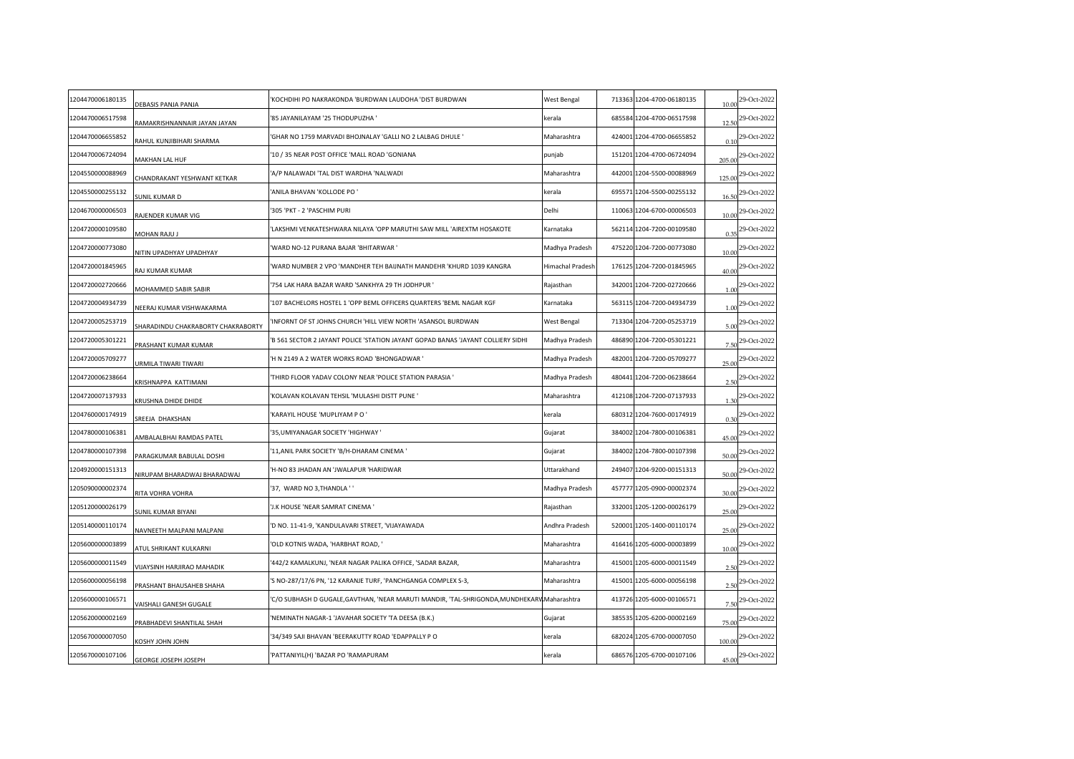| 1204470006180135 | DEBASIS PANJA PANJA               | KOCHDIHI PO NAKRAKONDA 'BURDWAN LAUDOHA 'DIST BURDWAN                                      | West Bengal             | 713363 1204-4700-06180135 | 10.00  | 29-Oct-2022 |
|------------------|-----------------------------------|--------------------------------------------------------------------------------------------|-------------------------|---------------------------|--------|-------------|
| 1204470006517598 | RAMAKRISHNANNAIR JAYAN JAYAN      | 85 JAYANILAYAM '25 THODUPUZHA '                                                            | kerala                  | 685584 1204-4700-06517598 | 12.50  | 29-Oct-2022 |
| 1204470006655852 | RAHUL KUNJIBIHARI SHARMA          | GHAR NO 1759 MARVADI BHOJNALAY 'GALLI NO 2 LALBAG DHULE '                                  | Maharashtra             | 424001 1204-4700-06655852 | 0.10   | 29-Oct-2022 |
| 1204470006724094 | MAKHAN LAL HUF                    | 10 / 35 NEAR POST OFFICE 'MALL ROAD 'GONIANA                                               | punjab                  | 151201 1204-4700-06724094 | 205.00 | 29-Oct-2022 |
| 1204550000088969 | CHANDRAKANT YESHWANT KETKAR       | A/P NALAWADI 'TAL DIST WARDHA 'NALWADI                                                     | Maharashtra             | 442001 1204-5500-00088969 | 125.00 | 29-Oct-2022 |
| 1204550000255132 | SUNIL KUMAR D                     | ANILA BHAVAN 'KOLLODE PO'                                                                  | kerala                  | 695571 1204-5500-00255132 | 16.50  | 29-Oct-2022 |
| 1204670000006503 | RAJENDER KUMAR VIG                | 305 'PKT - 2 'PASCHIM PURI                                                                 | Delhi                   | 110063 1204-6700-00006503 | 10.00  | 29-Oct-2022 |
| 1204720000109580 | MOHAN RAJU J                      | LAKSHMI VENKATESHWARA NILAYA 'OPP MARUTHI SAW MILL 'AIREXTM HOSAKOTE                       | Karnataka               | 562114 1204-7200-00109580 | 0.35   | 29-Oct-2022 |
| 1204720000773080 | NITIN UPADHYAY UPADHYAY           | WARD NO-12 PURANA BAJAR 'BHITARWAR'                                                        | Madhya Pradesh          | 475220 1204-7200-00773080 | 10.00  | 29-Oct-2022 |
| 1204720001845965 | AJ KUMAR KUMAR                    | WARD NUMBER 2 VPO 'MANDHER TEH BAIJNATH MANDEHR 'KHURD 1039 KANGRA                         | <b>Himachal Pradesh</b> | 176125 1204-7200-01845965 | 40.00  | 29-Oct-2022 |
| 1204720002720666 | MOHAMMED SABIR SABIR              | 754 LAK HARA BAZAR WARD 'SANKHYA 29 TH JODHPUR '                                           | Rajasthan               | 342001 1204-7200-02720666 | 1.00   | 29-Oct-2022 |
| 1204720004934739 | NEERAJ KUMAR VISHWAKARMA          | '107 BACHELORS HOSTEL 1 'OPP BEML OFFICERS QUARTERS 'BEML NAGAR KGF                        | Karnataka               | 563115 1204-7200-04934739 | 1.00   | 29-Oct-2022 |
| 1204720005253719 | HARADINDU CHAKRABORTY CHAKRABORTY | INFORNT OF ST JOHNS CHURCH 'HILL VIEW NORTH 'ASANSOL BURDWAN'                              | West Bengal             | 713304 1204-7200-05253719 | 5.00   | 29-Oct-2022 |
| 1204720005301221 | <b>PRASHANT KUMAR KUMAR</b>       | B 561 SECTOR 2 JAYANT POLICE 'STATION JAYANT GOPAD BANAS 'JAYANT COLLIERY SIDHI'           | Madhya Pradesh          | 486890 1204-7200-05301221 | 7.50   | 29-Oct-2022 |
| 1204720005709277 | JRMILA TIWARI TIWARI              | H N 2149 A 2 WATER WORKS ROAD 'BHONGADWAR '                                                | Madhya Pradesh          | 482001 1204-7200-05709277 | 25.00  | 29-Oct-2022 |
| 1204720006238664 | KRISHNAPPA KATTIMANI              | THIRD FLOOR YADAV COLONY NEAR 'POLICE STATION PARASIA '                                    | Madhya Pradesh          | 480441 1204-7200-06238664 | 2.50   | 29-Oct-2022 |
| 1204720007137933 | <b>KRUSHNA DHIDE DHIDE</b>        | KOLAVAN KOLAVAN TEHSIL 'MULASHI DISTT PUNE '                                               | Maharashtra             | 412108 1204-7200-07137933 | 1.30   | 29-Oct-2022 |
| 1204760000174919 | REEJA DHAKSHAN                    | KARAYIL HOUSE 'MUPLIYAM P O '                                                              | kerala                  | 680312 1204-7600-00174919 | 0.30   | 29-Oct-2022 |
| 1204780000106381 | <b>MBALALBHAI RAMDAS PATEL</b>    | 35, UMIYANAGAR SOCIETY 'HIGHWAY'                                                           | Gujarat                 | 384002 1204-7800-00106381 | 45.00  | 29-Oct-2022 |
| 1204780000107398 | ARAGKUMAR BABULAL DOSHI           | 11, ANIL PARK SOCIETY 'B/H-DHARAM CINEMA'                                                  | Gujarat                 | 384002 1204-7800-00107398 | 50.00  | 29-Oct-2022 |
| 1204920000151313 | NIRUPAM BHARADWAJ BHARADWAJ       | H-NO 83 JHADAN AN 'JWALAPUR 'HARIDWAR                                                      | Uttarakhand             | 249407 1204-9200-00151313 | 50.00  | 29-Oct-2022 |
| 1205090000002374 | RITA VOHRA VOHRA                  | '37, WARD NO 3, THANDLA ' '                                                                | Madhya Pradesh          | 457777 1205-0900-00002374 | 30.00  | 29-Oct-2022 |
| 1205120000026179 | UNIL KUMAR BIYANI                 | J.K HOUSE 'NEAR SAMRAT CINEMA '                                                            | Rajasthan               | 332001 1205-1200-00026179 | 25.00  | 29-Oct-2022 |
| 1205140000110174 | NAVNEETH MALPANI MALPANI          | 'D NO. 11-41-9, 'KANDULAVARI STREET, 'VIJAYAWADA                                           | Andhra Pradesh          | 520001 1205-1400-00110174 | 25.00  | 29-Oct-2022 |
| 1205600000003899 | <b>ITUL SHRIKANT KULKARNI</b>     | OLD KOTNIS WADA, 'HARBHAT ROAD, '                                                          | Maharashtra             | 416416 1205-6000-00003899 | 10.00  | 29-Oct-2022 |
| 1205600000011549 | VIJAYSINH HARJIRAO MAHADIK        | 442/2 KAMALKUNJ, 'NEAR NAGAR PALIKA OFFICE, 'SADAR BAZAR,                                  | Maharashtra             | 415001 1205-6000-00011549 | 2.50   | 29-Oct-2022 |
| 1205600000056198 | PRASHANT BHAUSAHEB SHAHA          | 'S NO-287/17/6 PN, '12 KARANJE TURF, 'PANCHGANGA COMPLEX S-3,                              | Maharashtra             | 415001 1205-6000-00056198 | 2.50   | 29-Oct-2022 |
| 1205600000106571 | AISHALI GANESH GUGALE             | C/O SUBHASH D GUGALE, GAVTHAN, 'NEAR MARUTI MANDIR, 'TAL-SHRIGONDA, MUNDHEKARV Maharashtra |                         | 413726 1205-6000-00106571 | 7.50   | 29-Oct-2022 |
| 1205620000002169 | RABHADEVI SHANTILAL SHAH          | NEMINATH NAGAR-1 'JAVAHAR SOCIETY 'TA DEESA (B.K.)                                         | Gujarat                 | 385535 1205-6200-00002169 | 75.00  | 29-Oct-2022 |
| 1205670000007050 | <b>UHOL NHOL YHZO)</b>            | 34/349 SAJI BHAVAN 'BEERAKUTTY ROAD 'EDAPPALLY PO                                          | kerala                  | 682024 1205-6700-00007050 | 100.00 | 29-Oct-2022 |
| 1205670000107106 | GEORGE JOSEPH JOSEPH              | PATTANIYIL(H) 'BAZAR PO 'RAMAPURAM                                                         | kerala                  | 686576 1205-6700-00107106 | 45.00  | 29-Oct-2022 |
|                  |                                   |                                                                                            |                         |                           |        |             |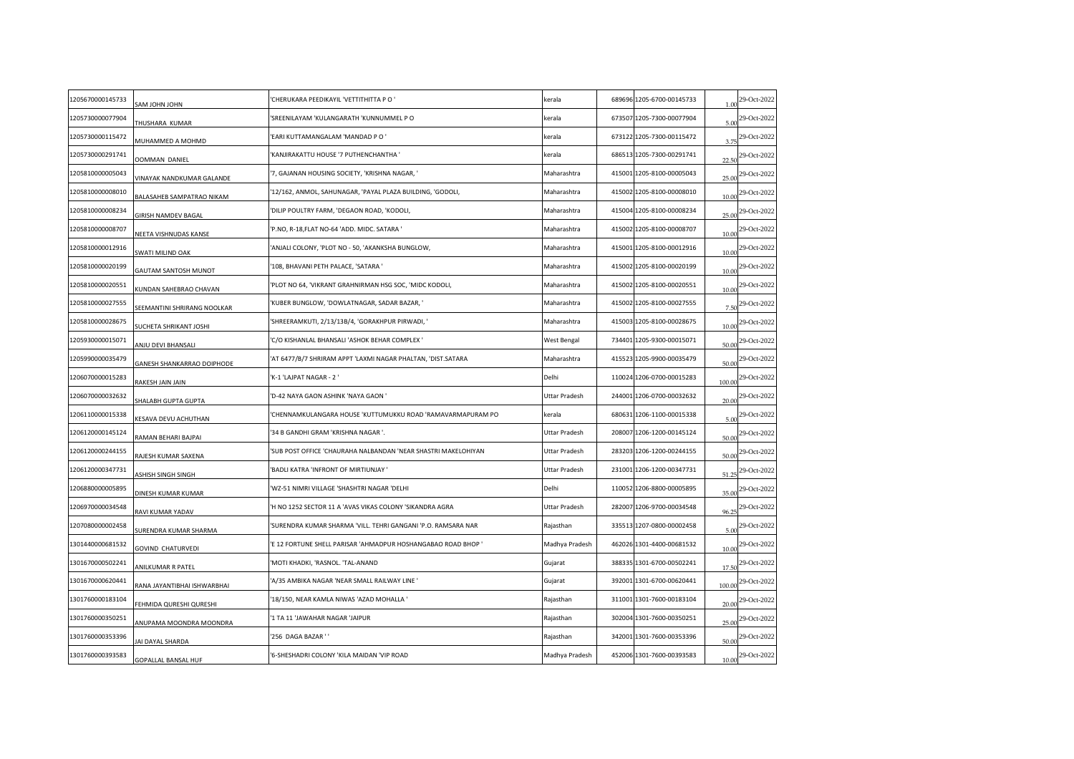| 1205670000145733 | <b>UHOL UHOL MAS</b>               | CHERUKARA PEEDIKAYIL 'VETTITHITTA P O '                       | kerala         | 689696 1205-6700-00145733 | 1.00   | 29-Oct-2022      |
|------------------|------------------------------------|---------------------------------------------------------------|----------------|---------------------------|--------|------------------|
| 1205730000077904 | THUSHARA KUMAR                     | SREENILAYAM 'KULANGARATH 'KUNNUMMEL PO                        | kerala         | 673507 1205-7300-00077904 | 5.00   | 29-Oct-2022      |
| 1205730000115472 | MUHAMMED A MOHMD                   | EARI KUTTAMANGALAM 'MANDAD PO'                                | kerala         | 673122 1205-7300-00115472 | 3.75   | 29-Oct-2022      |
| 1205730000291741 | OOMMAN DANIEL                      | KANJIRAKATTU HOUSE '7 PUTHENCHANTHA '                         | kerala         | 686513 1205-7300-00291741 | 22.50  | 29-Oct-2022      |
| 1205810000005043 | INAYAK NANDKUMAR GALANDE           | 7, GAJANAN HOUSING SOCIETY, 'KRISHNA NAGAR, '                 | Maharashtra    | 415001 1205-8100-00005043 | 25.00  | 29-Oct-2022      |
| 1205810000008010 | BALASAHEB SAMPATRAO NIKAM          | 12/162, ANMOL, SAHUNAGAR, 'PAYAL PLAZA BUILDING, 'GODOLI,     | Maharashtra    | 415002 1205-8100-00008010 | 10.00  | 29-Oct-2022      |
| 1205810000008234 | <b>GIRISH NAMDEV BAGAL</b>         | DILIP POULTRY FARM, 'DEGAON ROAD, 'KODOLI,                    | Maharashtra    | 415004 1205-8100-00008234 | 25.00  | 29-Oct-2022      |
| 1205810000008707 | NEETA VISHNUDAS KANSE              | P.NO, R-18, FLAT NO-64 'ADD. MIDC. SATARA '                   | Maharashtra    | 415002 1205-8100-00008707 | 10.00  | 29-Oct-2022      |
| 1205810000012916 | SWATI MILIND OAK                   | ANJALI COLONY, 'PLOT NO - 50, 'AKANKSHA BUNGLOW,              | Maharashtra    | 415001 1205-8100-00012916 | 10.00  | 29-Oct-2022      |
| 1205810000020199 | <b>GAUTAM SANTOSH MUNOT</b>        | 108, BHAVANI PETH PALACE, 'SATARA '                           | Maharashtra    | 415002 1205-8100-00020199 | 10.00  | 29-Oct-2022      |
| 1205810000020551 | (UNDAN SAHEBRAO CHAVAN             | PLOT NO 64, 'VIKRANT GRAHNIRMAN HSG SOC, 'MIDC KODOLI,        | Maharashtra    | 415002 1205-8100-00020551 | 10.00  | 29-Oct-2022      |
| 1205810000027555 | <b>SEEMANTINI SHRIRANG NOOLKAR</b> | KUBER BUNGLOW, 'DOWLATNAGAR, SADAR BAZAR, '                   | Maharashtra    | 415002 1205-8100-00027555 | 7.50   | 29-Oct-2022      |
| 1205810000028675 | <b>JUCHETA SHRIKANT JOSHI</b>      | 'SHREERAMKUTI, 2/13/13B/4, 'GORAKHPUR PIRWADI, '              | Maharashtra    | 415003 1205-8100-00028675 | 10.00  | 29-Oct-2022      |
| 1205930000015071 | ANJU DEVI BHANSALI                 | C/O KISHANLAL BHANSALI 'ASHOK BEHAR COMPLEX '                 | West Bengal    | 734401 1205-9300-00015071 | 50.00  | 29-Oct-2022      |
| 1205990000035479 | GANESH SHANKARRAO DOIPHODE         | AT 6477/B/7 SHRIRAM APPT 'LAXMI NAGAR PHALTAN, 'DIST.SATARA   | Maharashtra    | 415523 1205-9900-00035479 | 50.00  | 29-Oct-2022      |
| 1206070000015283 | AKESH JAIN JAIN                    | K-1 'LAJPAT NAGAR - 2 '                                       | Delhi          | 110024 1206-0700-00015283 | 100.00 | 29-Oct-2022      |
| 1206070000032632 | SHALABH GUPTA GUPTA                | 'D-42 NAYA GAON ASHINK 'NAYA GAON '                           | Uttar Pradesh  | 244001 1206-0700-00032632 | 20.00  | 29-Oct-2022      |
| 1206110000015338 | <b>(ESAVA DEVU ACHUTHAN</b>        | CHENNAMKULANGARA HOUSE 'KUTTUMUKKU ROAD 'RAMAVARMAPURAM PO    | kerala         | 680631 1206-1100-00015338 | 5.00   | 29-Oct-2022      |
| 1206120000145124 | RAMAN BEHARI BAJPAI                | 34 B GANDHI GRAM 'KRISHNA NAGAR '.                            | Uttar Pradesh  | 208007 1206-1200-00145124 | 50.00  | 29-Oct-2022      |
| 1206120000244155 | RAJESH KUMAR SAXENA                | SUB POST OFFICE 'CHAURAHA NALBANDAN 'NEAR SHASTRI MAKELOHIYAN | Uttar Pradesh  | 283203 1206-1200-00244155 | 50.00  | 29-Oct-2022      |
| 1206120000347731 | <b>ASHISH SINGH SINGH</b>          | BADLI KATRA 'INFRONT OF MIRTIUNJAY'                           | Uttar Pradesh  | 231001 1206-1200-00347731 | 51.25  | 29-Oct-2022      |
| 1206880000005895 | DINESH KUMAR KUMAR                 | WZ-51 NIMRI VILLAGE 'SHASHTRI NAGAR 'DELHI                    | Delhi          | 110052 1206-8800-00005895 | 35.00  | 29-Oct-2022      |
| 1206970000034548 | RAVI KUMAR YADAV                   | H NO 1252 SECTOR 11 A 'AVAS VIKAS COLONY 'SIKANDRA AGRA       | Uttar Pradesh  | 282007 1206-9700-00034548 | 96.25  | 29-Oct-2022      |
| 1207080000002458 | SURENDRA KUMAR SHARMA              | SURENDRA KUMAR SHARMA 'VILL. TEHRI GANGANI 'P.O. RAMSARA NAR  | Rajasthan      | 335513 1207-0800-00002458 |        | 5.00 29-Oct-2022 |
| 1301440000681532 | <b>GOVIND CHATURVEDI</b>           | E 12 FORTUNE SHELL PARISAR 'AHMADPUR HOSHANGABAO ROAD BHOP '  | Madhya Pradesh | 462026 1301-4400-00681532 | 10.00  | 29-Oct-2022      |
| 1301670000502241 | ANILKUMAR R PATEL                  | MOTI KHADKI, 'RASNOL. 'TAL-ANAND                              | Gujarat        | 388335 1301-6700-00502241 | 17.50  | 29-Oct-2022      |
| 1301670000620441 | RANA JAYANTIBHAI ISHWARBHAI        | A/35 AMBIKA NAGAR 'NEAR SMALL RAILWAY LINE '                  | Gujarat        | 392001 1301-6700-00620441 | 100.00 | 29-Oct-2022      |
| 1301760000183104 | FEHMIDA QURESHI QURESHI            | 18/150, NEAR KAMLA NIWAS 'AZAD MOHALLA '                      | Rajasthan      | 311001 1301-7600-00183104 | 20.00  | 29-Oct-2022      |
| 1301760000350251 | ANUPAMA MOONDRA MOONDRA            | 1 TA 11 'JAWAHAR NAGAR 'JAIPUR                                | Rajasthan      | 302004 1301-7600-00350251 | 25.00  | 29-Oct-2022      |
| 1301760000353396 | JAI DAYAL SHARDA                   | '256 DAGA BAZAR''                                             | Rajasthan      | 342001 1301-7600-00353396 | 50.00  | 29-Oct-2022      |
| 1301760000393583 | GOPALLAL BANSAL HUF                | 6-SHESHADRI COLONY 'KILA MAIDAN 'VIP ROAD                     | Madhya Pradesh | 452006 1301-7600-00393583 | 10.00  | 29-Oct-2022      |
|                  |                                    |                                                               |                |                           |        |                  |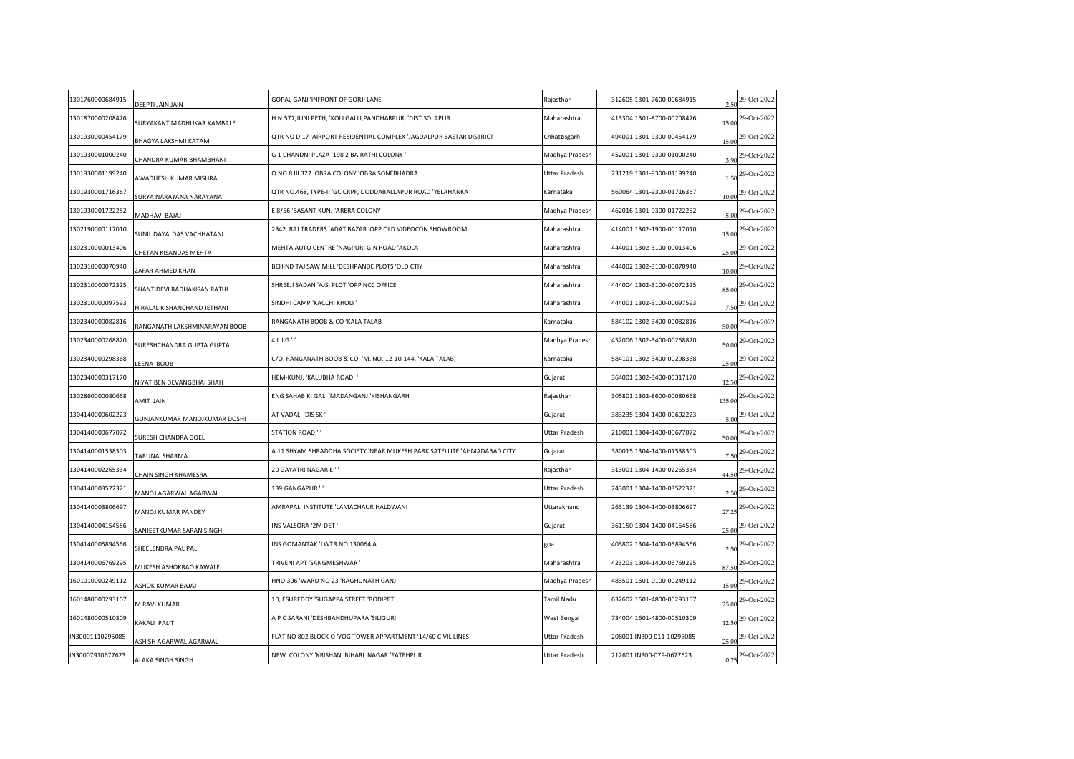| 1301760000684915 | DEEPTI JAIN JAIN                  | GOPAL GANJ 'INFRONT OF GORJI LANE'                                      | Rajasthan      | 312605 1301-7600-00684915 | 2.50   | 29-Oct-2022                   |
|------------------|-----------------------------------|-------------------------------------------------------------------------|----------------|---------------------------|--------|-------------------------------|
| 1301870000208476 | <b>JURYAKANT MADHUKAR KAMBALE</b> | H.N.577,JUNI PETH, 'KOLI GALLI,PANDHARPUR, 'DIST.SOLAPUR                | Maharashtra    | 413304 1301-8700-00208476 | 15.00  | 29-Oct-2022                   |
| 1301930000454179 | BHAGYA LAKSHMI KATAM              | QTR NO D 17 'AIRPORT RESIDENTIAL COMPLEX 'JAGDALPUR BASTAR DISTRICT     | Chhattisgarh   | 494001 1301-9300-00454179 | 15.00  | 29-Oct-2022                   |
| 1301930001000240 | CHANDRA KUMAR BHAMBHANI           | 'G 1 CHANDNI PLAZA '198 2 BAIRATHI COLONY '                             | Madhya Pradesh | 452001 1301-9300-01000240 | 3.90   | 29-Oct-2022                   |
| 1301930001199240 | <b>WADHESH KUMAR MISHRA</b>       | Q NO 8 III 322 'OBRA COLONY 'OBRA SONEBHADRA                            | Uttar Pradesh  | 231219 1301-9300-01199240 | 1.50   | 29-Oct-2022                   |
| 1301930001716367 | SURYA NARAYANA NARAYANA           | QTR NO.468, TYPE-II 'GC CRPF, DODDABALLAPUR ROAD 'YELAHANKA             | Karnataka      | 560064 1301-9300-01716367 | 10.00  | 29-Oct-2022                   |
| 1301930001722252 | MADHAV BAJAJ                      | E 8/56 'BASANT KUNJ 'ARERA COLONY                                       | Madhya Pradesh | 462016 1301-9300-01722252 | 5.00   | 29-Oct-2022                   |
| 1302190000117010 | UNIL DAYALDAS VACHHATANI          | '2342 RAJ TRADERS 'ADAT BAZAR 'OPP OLD VIDEOCON SHOWROOM                | Maharashtra    | 414001 1302-1900-00117010 | 15.00  | 29-Oct-2022                   |
| 1302310000013406 | <b>CHETAN KISANDAS MEHTA</b>      | MEHTA AUTO CENTRE 'NAGPURI GIN ROAD 'AKOLA                              | Maharashtra    | 444001 1302-3100-00013406 | 25.00  | 29-Oct-2022                   |
| 1302310000070940 | AFAR AHMED KHAN                   | BEHIND TAJ SAW MILL 'DESHPANDE PLOTS 'OLD CTIY                          | Maharashtra    | 444002 1302-3100-00070940 | 10.00  | 29-Oct-2022                   |
| 1302310000072325 | HANTIDEVI RADHAKISAN RATHI        | SHREEJI SADAN 'AJSI PLOT 'OPP NCC OFFICE                                | Maharashtra    | 444004 1302-3100-00072325 | 85.00  | 29-Oct-2022                   |
| 1302310000097593 | HIRALAL KISHANCHAND JETHANI       | SINDHI CAMP 'KACCHI KHOLI'                                              | Maharashtra    | 444001 1302-3100-00097593 |        | 29-Oct-2022                   |
| 1302340000082816 | RANGANATH LAKSHMINARAYAN BOOB     | RANGANATH BOOB & CO 'KALA TALAB '                                       | Karnataka      | 584102 1302-3400-00082816 | 50.00  | 29-Oct-2022                   |
| 1302340000268820 | URESHCHANDRA GUPTA GUPTA          | '4 L.I.G ' '                                                            | Madhya Pradesh | 452006 1302-3400-00268820 | 50.00  | 29-Oct-2022                   |
| 1302340000298368 | EENA BOOB                         | C/O. RANGANATH BOOB & CO, 'M. NO. 12-10-144, 'KALA TALAB,               | Karnataka      | 584101 1302-3400-00298368 | 25.00  | 29-Oct-2022                   |
| 1302340000317170 | <b>NIYATIBEN DEVANGBHAI SHAH</b>  | HEM-KUNJ, 'KALUBHA ROAD, '                                              | Gujarat        | 364001 1302-3400-00317170 | 12.50  | 29-Oct-2022                   |
| 1302860000080668 | AMIT JAIN                         | ENG SAHAB KI GALI 'MADANGANJ 'KISHANGARH                                | Rajasthan      | 305801 1302-8600-00080668 | 135.00 | 29-Oct-2022                   |
| 1304140000602223 | GUNJANKUMAR MANOJKUMAR DOSHI      | AT VADALI 'DIS SK '                                                     | Gujarat        | 383235 1304-1400-00602223 | 5.00   | 29-Oct-2022                   |
| 1304140000677072 | URESH CHANDRA GOEL                | 'STATION ROAD ' '                                                       | Uttar Pradesh  | 210001 1304-1400-00677072 | 50.00  | 29-Oct-2022                   |
| 1304140001538303 | TARUNA SHARMA                     | A 11 SHYAM SHRADDHA SOCIETY 'NEAR MUKESH PARK SATELLITE 'AHMADABAD CITY | Gujarat        | 380015 1304-1400-01538303 | 7.50   | 29-Oct-2022                   |
| 1304140002265334 | CHAIN SINGH KHAMESRA              | 20 GAYATRI NAGAR E ' '                                                  | Rajasthan      | 313001 1304-1400-02265334 | 44.50  | 29-Oct-2022                   |
| 1304140003522321 | MANOJ AGARWAL AGARWAL             | 139 GANGAPUR ' '                                                        | Uttar Pradesh  | 243001 1304-1400-03522321 | 2.50   | 29-Oct-2022                   |
| 1304140003806697 | MANOJ KUMAR PANDEY                | AMRAPALI INSTITUTE 'LAMACHAUR HALDWANI '                                | Uttarakhand    | 263139 1304-1400-03806697 | 27.25  | 29-Oct-2022                   |
| 1304140004154586 | SANJEETKUMAR SARAN SINGH          | INS VALSORA '2M DET '                                                   | Gujarat        | 361150 1304-1400-04154586 | 25.00  | 29-Oct-2022                   |
| 1304140005894566 | HEELENDRA PAL PAL                 | INS GOMANTAK 'LWTR NO 130064 A '                                        | goa            | 403802 1304-1400-05894566 | 2.50   | 29-Oct-2022                   |
| 1304140006769295 | MUKESH ASHOKRAO KAWALE            | TRIVENI APT 'SANGMESHWAR '                                              | Maharashtra    | 423203 1304-1400-06769295 | 87.50  | 29-Oct-2022                   |
| 1601010000249112 | <b><i>ASHOK KUMAR BAJAJ</i></b>   | HNO 306 'WARD NO 23 'RAGHUNATH GANJ                                     | Madhya Pradesh | 483501 1601-0100-00249112 | 15.00  | 29-Oct-2022                   |
| 1601480000293107 | M RAVI KUMAR                      | 10, ESUREDDY 'SUGAPPA STREET 'BODIPET                                   | Tamil Nadu     | 632602 1601-4800-00293107 | 25.00  | 29-Oct-2022                   |
| 1601480000510309 | <b><i>CAKALI PALIT</i></b>        | A P C SARANI 'DESHBANDHUPARA 'SILIGURI                                  | West Bengal    | 734004 1601-4800-00510309 | 12.50  | 29-Oct-2022                   |
| N30001110295085  | <b>SHISH AGARWAL AGARWAL</b>      | FLAT NO 802 BLOCK O 'YOG TOWER APPARTMENT '14/60 CIVIL LINES            | Uttar Pradesh  | 208001 IN300-011-10295085 | 25.00  | 29-Oct-2022                   |
| N30007910677623  | ALAKA SINGH SINGH                 | NEW COLONY 'KRISHAN BIHARI NAGAR 'FATEHPUR                              | Uttar Pradesh  | 212601 IN300-079-0677623  |        | $0.25$ <sup>29-Oct-2022</sup> |
|                  |                                   |                                                                         |                |                           |        |                               |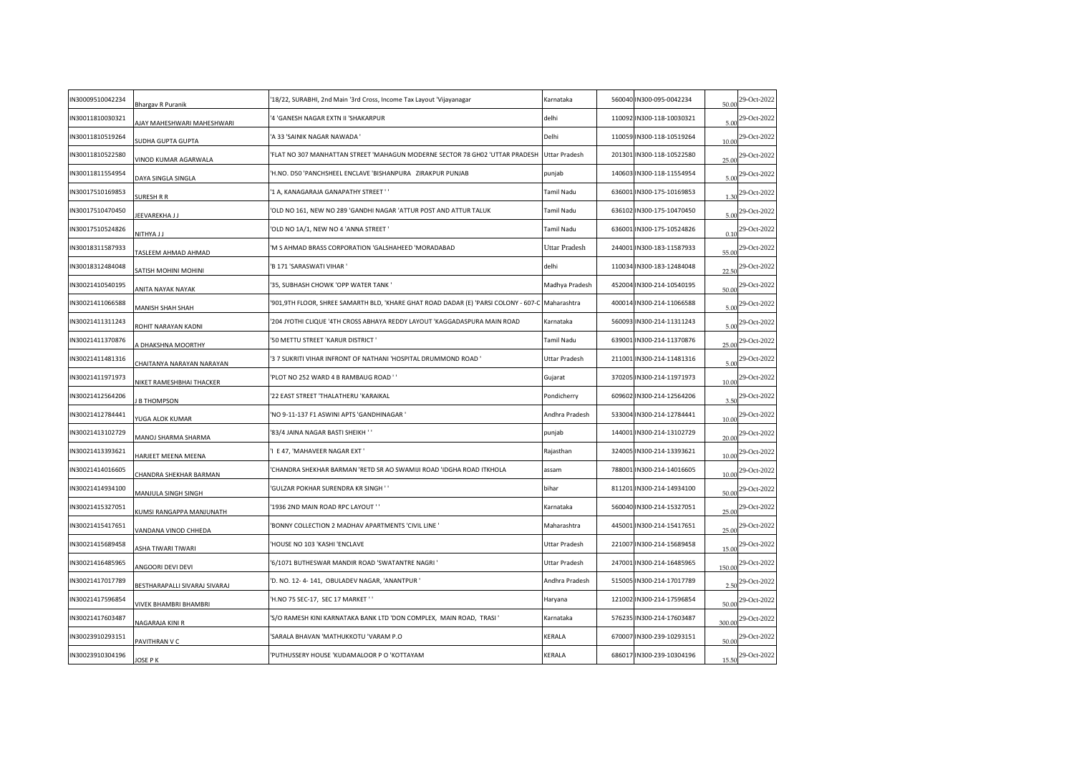| IN30009510042234 | <b>Bhargav R Puranik</b>          | '18/22, SURABHI, 2nd Main '3rd Cross, Income Tax Layout 'Vijayanagar                             | Karnataka      | 560040 IN300-095-0042234  | 50.00  | 29-Oct-2022       |
|------------------|-----------------------------------|--------------------------------------------------------------------------------------------------|----------------|---------------------------|--------|-------------------|
| IN30011810030321 | <b>JJAY MAHESHWARI MAHESHWARI</b> | '4 'GANESH NAGAR EXTN II 'SHAKARPUR                                                              | delhi          | 110092 IN300-118-10030321 | 5.00   | 29-Oct-2022       |
| IN30011810519264 | <b>JUDHA GUPTA GUPTA</b>          | 'A 33 'SAINIK NAGAR NAWADA '                                                                     | Delhi          | 110059 IN300-118-10519264 | 10.00  | 29-Oct-2022       |
| IN30011810522580 | VINOD KUMAR AGARWALA              | FLAT NO 307 MANHATTAN STREET 'MAHAGUN MODERNE SECTOR 78 GH02 'UTTAR PRADESH'                     | Uttar Pradesh  | 201301 IN300-118-10522580 | 25.00  | 29-Oct-2022       |
| IN30011811554954 | DAYA SINGLA SINGLA                | 'H.NO. D50 'PANCHSHEEL ENCLAVE 'BISHANPURA ZIRAKPUR PUNJAB                                       | punjab         | 140603 IN300-118-11554954 | 5.00   | 29-Oct-2022       |
| IN30017510169853 | SURESH R R                        | '1 A, KANAGARAJA GANAPATHY STREET ' '                                                            | Tamil Nadu     | 636001 IN300-175-10169853 | 1.30   | 29-Oct-2022       |
| IN30017510470450 | EEVAREKHA J J                     | 'OLD NO 161, NEW NO 289 'GANDHI NAGAR 'ATTUR POST AND ATTUR TALUK                                | Tamil Nadu     | 636102 IN300-175-10470450 | 5.00   | 29-Oct-2022       |
| IN30017510524826 | <b>LLAYHTIV</b>                   | 'OLD NO 1A/1, NEW NO 4 'ANNA STREET'                                                             | Tamil Nadu     | 636001 IN300-175-10524826 | 0.10   | 29-Oct-2022       |
| IN30018311587933 | TASLEEM AHMAD AHMAD               | 'M S AHMAD BRASS CORPORATION 'GALSHAHEED 'MORADABAD                                              | Uttar Pradesh  | 244001 IN300-183-11587933 | 55.00  | 29-Oct-2022       |
| IN30018312484048 | ATISH MOHINI MOHINI               | 'B 171 'SARASWATI VIHAR '                                                                        | delhi          | 110034 IN300-183-12484048 | 22.50  | 29-Oct-2022       |
| IN30021410540195 | ANITA NAYAK NAYAK                 | '35, SUBHASH CHOWK 'OPP WATER TANK '                                                             | Madhya Pradesh | 452004 IN300-214-10540195 | 50.00  | 29-Oct-2022       |
| IN30021411066588 | <b>MANISH SHAH SHAH</b>           | 901,9TH FLOOR, SHREE SAMARTH BLD, 'KHARE GHAT ROAD DADAR (E) 'PARSI COLONY - 607-C  Maharashtra' |                | 400014 IN300-214-11066588 | 5.00   | 29-Oct-2022       |
| IN30021411311243 | ROHIT NARAYAN KADNI               | '204 JYOTHI CLIQUE '4TH CROSS ABHAYA REDDY LAYOUT 'KAGGADASPURA MAIN ROAD                        | Karnataka      | 560093 IN300-214-11311243 | 5.00   | 29-Oct-2022       |
| IN30021411370876 | A DHAKSHNA MOORTHY                | '50 METTU STREET 'KARUR DISTRICT '                                                               | Tamil Nadu     | 639001 IN300-214-11370876 | 25.00  | 29-Oct-2022       |
| IN30021411481316 | CHAITANYA NARAYAN NARAYAN         | 37 SUKRITI VIHAR INFRONT OF NATHANI 'HOSPITAL DRUMMOND ROAD '                                    | Uttar Pradesh  | 211001 IN300-214-11481316 | 5.00   | 29-Oct-2022       |
| IN30021411971973 | NIKET RAMESHBHAI THACKER          | 'PLOT NO 252 WARD 4 B RAMBAUG ROAD ' '                                                           | Gujarat        | 370205 IN300-214-11971973 | 10.00  | 29-Oct-2022       |
| IN30021412564206 | <b>B THOMPSON</b>                 | 22 EAST STREET 'THALATHERU 'KARAIKAL                                                             | Pondicherry    | 609602 IN300-214-12564206 | 3.50   | 29-Oct-2022       |
| IN30021412784441 | YUGA ALOK KUMAR                   | 'NO 9-11-137 F1 ASWINI APTS 'GANDHINAGAR '                                                       | Andhra Pradesh | 533004 IN300-214-12784441 | 10.00  | 29-Oct-2022       |
| IN30021413102729 | MANOJ SHARMA SHARMA               | '83/4 JAINA NAGAR BASTI SHEIKH ' '                                                               | punjab         | 144001 IN300-214-13102729 | 20.00  | 29-Oct-2022       |
| IN30021413393621 | HARJEET MEENA MEENA               | E 47, 'MAHAVEER NAGAR EXT'                                                                       | Rajasthan      | 324005 IN300-214-13393621 | 10.00  | 29-Oct-2022       |
| IN30021414016605 | CHANDRA SHEKHAR BARMAN            | CHANDRA SHEKHAR BARMAN 'RETD SR AO SWAMIJI ROAD 'IDGHA ROAD ITKHOLA                              | assam          | 788001 IN300-214-14016605 | 10.00  | 29-Oct-2022       |
| IN30021414934100 | MANJULA SINGH SINGH               | GULZAR POKHAR SURENDRA KR SINGH ' '                                                              | bihar          | 811201 IN300-214-14934100 | 50.00  | 29-Oct-2022       |
| IN30021415327051 | UMSI RANGAPPA MANJUNATH           | '1936 2ND MAIN ROAD RPC LAYOUT ''                                                                | Karnataka      | 560040 IN300-214-15327051 | 25.00  | 29-Oct-2022       |
| IN30021415417651 | VANDANA VINOD CHHEDA              | 'BONNY COLLECTION 2 MADHAV APARTMENTS 'CIVIL LINE '                                              | Maharashtra    | 445001 IN300-214-15417651 |        | 25.00 29-Oct-2022 |
| IN30021415689458 | <b><i>ASHA TIWARI TIWARI</i></b>  | HOUSE NO 103 'KASHI 'ENCLAVE                                                                     | Uttar Pradesh  | 221007 IN300-214-15689458 | 15.00  | 29-Oct-2022       |
| IN30021416485965 | ANGOORI DEVI DEVI                 | '6/1071 BUTHESWAR MANDIR ROAD 'SWATANTRE NAGRI'                                                  | Uttar Pradesh  | 247001 IN300-214-16485965 | 150.00 | 29-Oct-2022       |
| IN30021417017789 | BESTHARAPALLI SIVARAJ SIVARAJ     | 'D. NO. 12-4-141, OBULADEV NAGAR, 'ANANTPUR'                                                     | Andhra Pradesh | 515005 IN300-214-17017789 | 2.50   | 29-Oct-2022       |
| IN30021417596854 | VIVEK BHAMBRI BHAMBRI             | 'H.NO 75 SEC-17, SEC 17 MARKET ' '                                                               | Haryana        | 121002 IN300-214-17596854 | 50.00  | 29-Oct-2022       |
| IN30021417603487 | NAGARAJA KINI R                   | 'S/O RAMESH KINI KARNATAKA BANK LTD 'DON COMPLEX, MAIN ROAD, TRASI '                             | Karnataka      | 576235 IN300-214-17603487 | 300.00 | 29-Oct-2022       |
| IN30023910293151 | PAVITHRAN V C                     | SARALA BHAVAN 'MATHUKKOTU 'VARAM P.O                                                             | KERALA         | 670007 IN300-239-10293151 | 50.00  | 29-Oct-2022       |
| IN30023910304196 | <b>IOSE P K</b>                   | PUTHUSSERY HOUSE 'KUDAMALOOR P O 'KOTTAYAM                                                       | KERALA         | 686017 IN300-239-10304196 | 15.50  | 29-Oct-2022       |
|                  |                                   |                                                                                                  |                |                           |        |                   |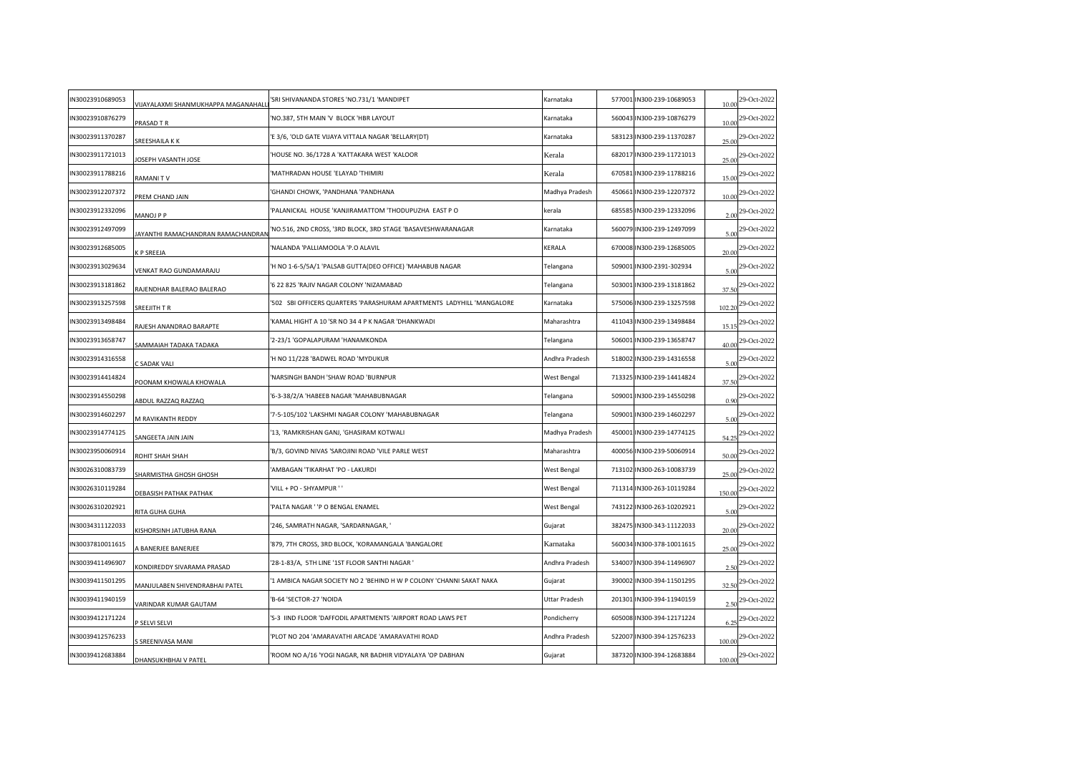| IN30023910689053 | VIJAYALAXMI SHANMUKHAPPA MAGANAHALI | 'SRI SHIVANANDA STORES 'NO.731/1 'MANDIPET                            | Karnataka      | 577001 IN300-239-10689053 | 10.00  | 29-Oct-2022 |
|------------------|-------------------------------------|-----------------------------------------------------------------------|----------------|---------------------------|--------|-------------|
| IN30023910876279 | PRASAD T R                          | 'NO.387, 5TH MAIN 'V BLOCK 'HBR LAYOUT                                | Karnataka      | 560043 IN300-239-10876279 | 10.00  | 29-Oct-2022 |
| IN30023911370287 | SREESHAILA K K                      | 'E 3/6, 'OLD GATE VIJAYA VITTALA NAGAR 'BELLARY(DT)                   | Karnataka      | 583123 IN300-239-11370287 | 25.00  | 29-Oct-2022 |
| IN30023911721013 | OSEPH VASANTH JOSE                  | 'HOUSE NO. 36/1728 A 'KATTAKARA WEST 'KALOOR                          | Kerala         | 682017 IN300-239-11721013 | 25.00  | 29-Oct-2022 |
| IN30023911788216 | <b>RAMANITY</b>                     | MATHRADAN HOUSE 'ELAYAD 'THIMIRI                                      | Kerala         | 670581 IN300-239-11788216 | 15.00  | 29-Oct-2022 |
| IN30023912207372 | PREM CHAND JAIN                     | GHANDI CHOWK, 'PANDHANA 'PANDHANA                                     | Madhya Pradesh | 450661 IN300-239-12207372 | 10.00  | 29-Oct-2022 |
| IN30023912332096 | MANOJ P P                           | PALANICKAL HOUSE 'KANJIRAMATTOM 'THODUPUZHA EAST P O                  | kerala         | 685585 IN300-239-12332096 | 2.00   | 29-Oct-2022 |
| IN30023912497099 | AYANTHI RAMACHANDRAN RAMACHANDRAI   | 'NO.516, 2ND CROSS, '3RD BLOCK, 3RD STAGE 'BASAVESHWARANAGAR          | Karnataka      | 560079 IN300-239-12497099 | 5.00   | 29-Oct-2022 |
| IN30023912685005 | <b>CP SREEJA</b>                    | 'NALANDA 'PALLIAMOOLA 'P.O ALAVIL                                     | KERALA         | 670008 IN300-239-12685005 | 20.00  | 29-Oct-2022 |
| IN30023913029634 | <b>/ENKAT RAO GUNDAMARAJU</b>       | 'H NO 1-6-5/5A/1 'PALSAB GUTTA(DEO OFFICE) 'MAHABUB NAGAR             | Telangana      | 509001 IN300-2391-302934  | 5.00   | 29-Oct-2022 |
| IN30023913181862 | RAJENDHAR BALERAO BALERAO           | 6 22 825 'RAJIV NAGAR COLONY 'NIZAMABAD'                              | Telangana      | 503001 IN300-239-13181862 | 37.50  | 29-Oct-2022 |
| IN30023913257598 | SREEJITH T R                        | 502 SBI OFFICERS QUARTERS 'PARASHURAM APARTMENTS LADYHILL 'MANGALORE' | Karnataka      | 575006 IN300-239-13257598 | 102.20 | 29-Oct-2022 |
| IN30023913498484 | RAJESH ANANDRAO BARAPTE             | 'KAMAL HIGHT A 10 'SR NO 34 4 P K NAGAR 'DHANKWADI                    | Maharashtra    | 411043 IN300-239-13498484 | 15.15  | 29-Oct-2022 |
| IN30023913658747 | SAMMAIAH TADAKA TADAKA              | '2-23/1 'GOPALAPURAM 'HANAMKONDA                                      | Telangana      | 506001 IN300-239-13658747 | 40.00  | 29-Oct-2022 |
| IN30023914316558 | C SADAK VALI                        | 'H NO 11/228 'BADWEL ROAD 'MYDUKUR                                    | Andhra Pradesh | 518002 IN300-239-14316558 | 5.00   | 29-Oct-2022 |
| IN30023914414824 | POONAM KHOWALA KHOWALA              | 'NARSINGH BANDH 'SHAW ROAD 'BURNPUR                                   | West Bengal    | 713325 IN300-239-14414824 | 37.50  | 29-Oct-2022 |
| IN30023914550298 | ABDUL RAZZAQ RAZZAQ                 | '6-3-38/2/A 'HABEEB NAGAR 'MAHABUBNAGAR                               | Telangana      | 509001 IN300-239-14550298 | 0.90   | 29-Oct-2022 |
| IN30023914602297 | <b>M RAVIKANTH REDDY</b>            | 7-5-105/102 'LAKSHMI NAGAR COLONY 'MAHABUBNAGAR'                      | Telangana      | 509001 IN300-239-14602297 | 5.00   | 29-Oct-2022 |
| IN30023914774125 | <b>SANGEETA JAIN JAIN</b>           | '13, 'RAMKRISHAN GANJ, 'GHASIRAM KOTWALI                              | Madhya Pradesh | 450001 IN300-239-14774125 | 54.25  | 29-Oct-2022 |
| IN30023950060914 | ROHIT SHAH SHAH                     | 'B/3, GOVIND NIVAS 'SAROJINI ROAD 'VILE PARLE WEST                    | Maharashtra    | 400056 IN300-239-50060914 | 50.00  | 29-Oct-2022 |
| IN30026310083739 | SHARMISTHA GHOSH GHOSH              | AMBAGAN 'TIKARHAT 'PO - LAKURDI                                       | West Bengal    | 713102 IN300-263-10083739 | 25.00  | 29-Oct-2022 |
| IN30026310119284 | DEBASISH PATHAK PATHAK              | VILL + PO - SHYAMPUR ' '                                              | West Bengal    | 711314 IN300-263-10119284 | 150.00 | 29-Oct-2022 |
| IN30026310202921 | RITA GUHA GUHA                      | 'PALTA NAGAR ' 'P O BENGAL ENAMEL                                     | West Bengal    | 743122 IN300-263-10202921 | 5.00   | 29-Oct-2022 |
| IN30034311122033 | (ISHORSINH JATUBHA RANA             | '246, SAMRATH NAGAR, 'SARDARNAGAR, '                                  | Gujarat        | 382475 IN300-343-11122033 | 20.00  | 29-Oct-2022 |
| IN30037810011615 | <b>BANERJEE BANERJEE</b>            | '879, 7TH CROSS, 3RD BLOCK, 'KORAMANGALA 'BANGALORE                   | Karnataka      | 560034 IN300-378-10011615 | 25.00  | 29-Oct-2022 |
| IN30039411496907 | KONDIREDDY SIVARAMA PRASAD          | '28-1-83/A, 5TH LINE '1ST FLOOR SANTHI NAGAR '                        | Andhra Pradesh | 534007 IN300-394-11496907 | 2.50   | 29-Oct-2022 |
| IN30039411501295 | MANJULABEN SHIVENDRABHAI PATEL      | '1 AMBICA NAGAR SOCIETY NO 2 'BEHIND H W P COLONY 'CHANNI SAKAT NAKA  | Gujarat        | 390002 IN300-394-11501295 | 32.50  | 29-Oct-2022 |
| IN30039411940159 | <b>/ARINDAR KUMAR GAUTAM</b>        | 'B-64 'SECTOR-27 'NOIDA                                               | Uttar Pradesh  | 201301 IN300-394-11940159 | 2.50   | 29-Oct-2022 |
| IN30039412171224 | SELVI SELVI                         | 'S-3 IIND FLOOR 'DAFFODIL APARTMENTS 'AIRPORT ROAD LAWS PET           | Pondicherry    | 605008 IN300-394-12171224 | 6.25   | 29-Oct-2022 |
| IN30039412576233 | SREENIVASA MANI                     | PLOT NO 204 'AMARAVATHI ARCADE 'AMARAVATHI ROAD                       | Andhra Pradesh | 522007 IN300-394-12576233 | 100.00 | 29-Oct-2022 |
| IN30039412683884 | DHANSUKHBHAI V PATEL                | ROOM NO A/16 'YOGI NAGAR, NR BADHIR VIDYALAYA 'OP DABHAN'             | Gujarat        | 387320 IN300-394-12683884 | 100.00 | 29-Oct-2022 |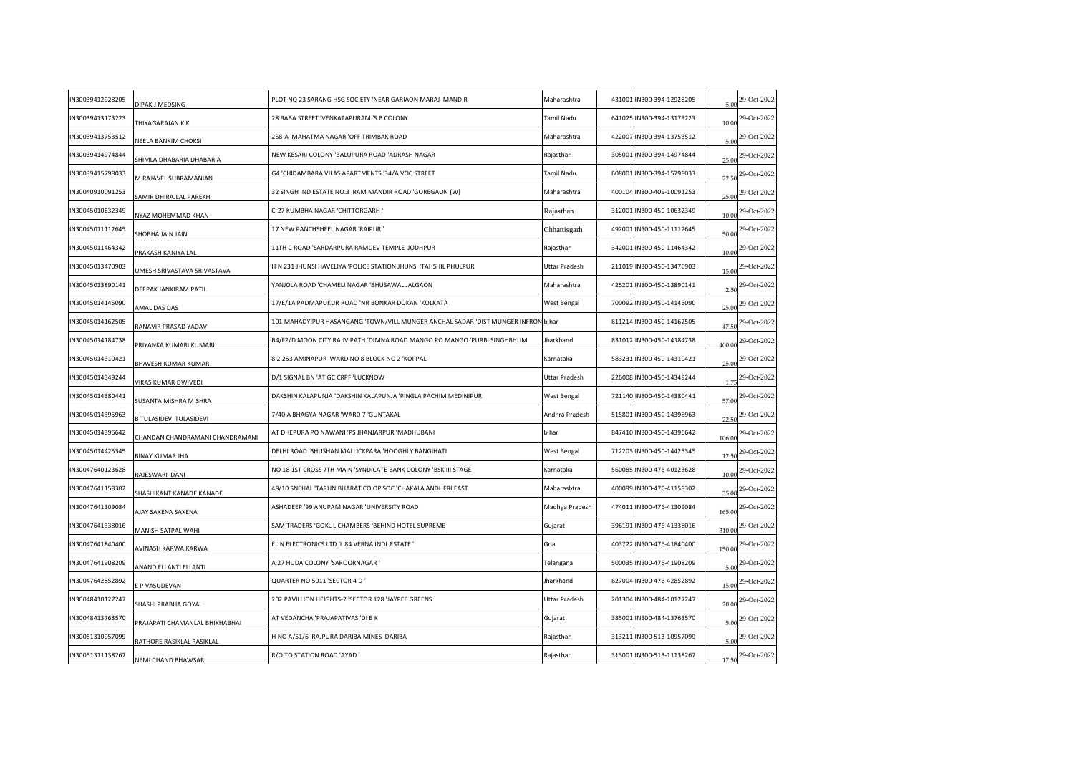| N30039412928205 | DIPAK J MEDSING                 | PLOT NO 23 SARANG HSG SOCIETY 'NEAR GARIAON MARAJ 'MANDIR                          | Maharashtra    | 431001 IN300-394-12928205 | 5.00   | 29-Oct-2022 |
|-----------------|---------------------------------|------------------------------------------------------------------------------------|----------------|---------------------------|--------|-------------|
| N30039413173223 | THIYAGARAJAN K K                | 28 BABA STREET 'VENKATAPURAM 'S B COLONY                                           | Tamil Nadu     | 641025 IN300-394-13173223 | 10.00  | 29-Oct-2022 |
| N30039413753512 | <b>VEELA BANKIM CHOKSI</b>      | '258-A 'MAHATMA NAGAR 'OFF TRIMBAK ROAD                                            | Maharashtra    | 422007 IN300-394-13753512 | 5.00   | 29-Oct-2022 |
| N30039414974844 | SHIMLA DHABARIA DHABARIA        | NEW KESARI COLONY 'BALUPURA ROAD 'ADRASH NAGAR                                     | Rajasthan      | 305001 IN300-394-14974844 | 25.00  | 29-Oct-2022 |
| N30039415798033 | M RAJAVEL SUBRAMANIAN           | G4 'CHIDAMBARA VILAS APARTMENTS '34/A VOC STREET                                   | Tamil Nadu     | 608001 IN300-394-15798033 | 22.50  | 29-Oct-2022 |
| N30040910091253 | <b>SAMIR DHIRAJLAL PAREKH</b>   | 32 SINGH IND ESTATE NO.3 'RAM MANDIR ROAD 'GOREGAON (W)                            | Maharashtra    | 400104 IN300-409-10091253 | 25.00  | 29-Oct-2022 |
| N30045010632349 | <b>NYAZ MOHEMMAD KHAN</b>       | C-27 KUMBHA NAGAR 'CHITTORGARH'                                                    | Rajasthan      | 312001 IN300-450-10632349 | 10.00  | 29-Oct-2022 |
| N30045011112645 | <b>UIAL ANRU AHBOH</b>          | '17 NEW PANCHSHEEL NAGAR 'RAIPUR'                                                  | Chhattisgarh   | 492001 IN300-450-11112645 | 50.00  | 29-Oct-2022 |
| N30045011464342 | PRAKASH KANIYA LAL              | 11TH C ROAD 'SARDARPURA RAMDEV TEMPLE 'JODHPUR'                                    | Rajasthan      | 342001 IN300-450-11464342 | 10.00  | 29-Oct-2022 |
| N30045013470903 | JMESH SRIVASTAVA SRIVASTAVA     | H N 231 JHUNSI HAVELIYA 'POLICE STATION JHUNSI 'TAHSHIL PHULPUR                    | Uttar Pradesh  | 211019 IN300-450-13470903 | 15.00  | 29-Oct-2022 |
| N30045013890141 | DEEPAK JANKIRAM PATIL           | YANJOLA ROAD 'CHAMELI NAGAR 'BHUSAWAL JALGAON                                      | Maharashtra    | 425201 IN300-450-13890141 | 2.50   | 29-Oct-2022 |
| N30045014145090 | <b>MAL DAS DAS</b>              | 17/E/1A PADMAPUKUR ROAD 'NR BONKAR DOKAN 'KOLKATA                                  | West Bengal    | 700092 IN300-450-14145090 | 25.00  | 29-Oct-2022 |
| N30045014162505 | RANAVIR PRASAD YADAV            | 101 MAHADYIPUR HASANGANG 'TOWN/VILL MUNGER ANCHAL SADAR 'DIST MUNGER INFRON bihar' |                | 811214 IN300-450-14162505 | 47.50  | 29-Oct-2022 |
| N30045014184738 | PRIYANKA KUMARI KUMARI          | 'B4/F2/D MOON CITY RAJIV PATH 'DIMNA ROAD MANGO PO MANGO 'PURBI SINGHBHUM          | Jharkhand      | 831012 IN300-450-14184738 | 400.00 | 29-Oct-2022 |
| N30045014310421 | BHAVESH KUMAR KUMAR             | 8 2 253 AMINAPUR 'WARD NO 8 BLOCK NO 2 'KOPPAL                                     | Karnataka      | 583231 IN300-450-14310421 | 25.00  | 29-Oct-2022 |
| N30045014349244 | /IKAS KUMAR DWIVEDI             | D/1 SIGNAL BN 'AT GC CRPF 'LUCKNOW                                                 | Uttar Pradesh  | 226008 IN300-450-14349244 | 1.75   | 29-Oct-2022 |
| N30045014380441 | SUSANTA MISHRA MISHRA           | DAKSHIN KALAPUNJA 'DAKSHIN KALAPUNJA 'PINGLA PACHIM MEDINIPUR                      | West Bengal    | 721140 IN300-450-14380441 | 57.00  | 29-Oct-2022 |
| N30045014395963 | <b>TULASIDEVI TULASIDEVI</b>    | 7/40 A BHAGYA NAGAR 'WARD 7 'GUNTAKAL                                              | Andhra Pradesh | 515801 IN300-450-14395963 | 22.50  | 29-Oct-2022 |
| N30045014396642 | CHANDAN CHANDRAMANI CHANDRAMANI | AT DHEPURA PO NAWANI 'PS JHANJARPUR 'MADHUBANI                                     | bihar          | 847410 IN300-450-14396642 | 106.00 | 29-Oct-2022 |
| N30045014425345 | <b>BINAY KUMAR JHA</b>          | DELHI ROAD 'BHUSHAN MALLICKPARA 'HOOGHLY BANGIHATI'                                | West Bengal    | 712203 IN300-450-14425345 | 12.50  | 29-Oct-2022 |
| N30047640123628 | RAJESWARI DANI                  | NO 18 1ST CROSS 7TH MAIN 'SYNDICATE BANK COLONY 'BSK III STAGE                     | Karnataka      | 560085 IN300-476-40123628 | 10.00  | 29-Oct-2022 |
| N30047641158302 | <b>SHASHIKANT KANADE KANADE</b> | 48/10 SNEHAL 'TARUN BHARAT CO OP SOC 'CHAKALA ANDHERI EAST                         | Maharashtra    | 400099 IN300-476-41158302 | 35.00  | 29-Oct-2022 |
| N30047641309084 | <b>JJAY SAXENA SAXENA</b>       | ASHADEEP '99 ANUPAM NAGAR 'UNIVERSITY ROAD                                         | Madhya Pradesh | 474011 IN300-476-41309084 | 165.00 | 29-Oct-2022 |
| N30047641338016 | MANISH SATPAL WAHI              | SAM TRADERS 'GOKUL CHAMBERS 'BEHIND HOTEL SUPREME                                  | Gujarat        | 396191 IN300-476-41338016 | 310.00 | 29-Oct-2022 |
| N30047641840400 | VINASH KARWA KARWA              | ELIN ELECTRONICS LTD 'L 84 VERNA INDL ESTATE '                                     | Goa            | 403722 IN300-476-41840400 | 150.00 | 29-Oct-2022 |
| N30047641908209 | ANAND ELLANTI ELLANTI           | A 27 HUDA COLONY 'SAROORNAGAR'                                                     | Telangana      | 500035 IN300-476-41908209 | 5.00   | 29-Oct-2022 |
| N30047642852892 | P VASUDEVAN                     | QUARTER NO 5011 'SECTOR 4 D '                                                      | Jharkhand      | 827004 IN300-476-42852892 | 15.00  | 29-Oct-2022 |
| N30048410127247 | HASHI PRABHA GOYAL              | '202 PAVILLION HEIGHTS-2 'SECTOR 128 'JAYPEE GREENS                                | Uttar Pradesh  | 201304 IN300-484-10127247 | 20.00  | 29-Oct-2022 |
| N30048413763570 | PRAJAPATI CHAMANLAL BHIKHABHAI  | AT VEDANCHA 'PRAJAPATIVAS 'DI B K                                                  | Gujarat        | 385001 IN300-484-13763570 | 5.00   | 29-Oct-2022 |
| N30051310957099 | RATHORE RASIKLAL RASIKLAL       | H NO A/51/6 'RAJPURA DARIBA MINES 'DARIBA                                          | Rajasthan      | 313211 IN300-513-10957099 |        | 29-Oct-2022 |
| N30051311138267 | NEMI CHAND BHAWSAR              | R/O TO STATION ROAD 'AYAD'                                                         | Rajasthan      | 313001 IN300-513-11138267 | 17.50  | 29-Oct-2022 |
|                 |                                 |                                                                                    |                |                           |        |             |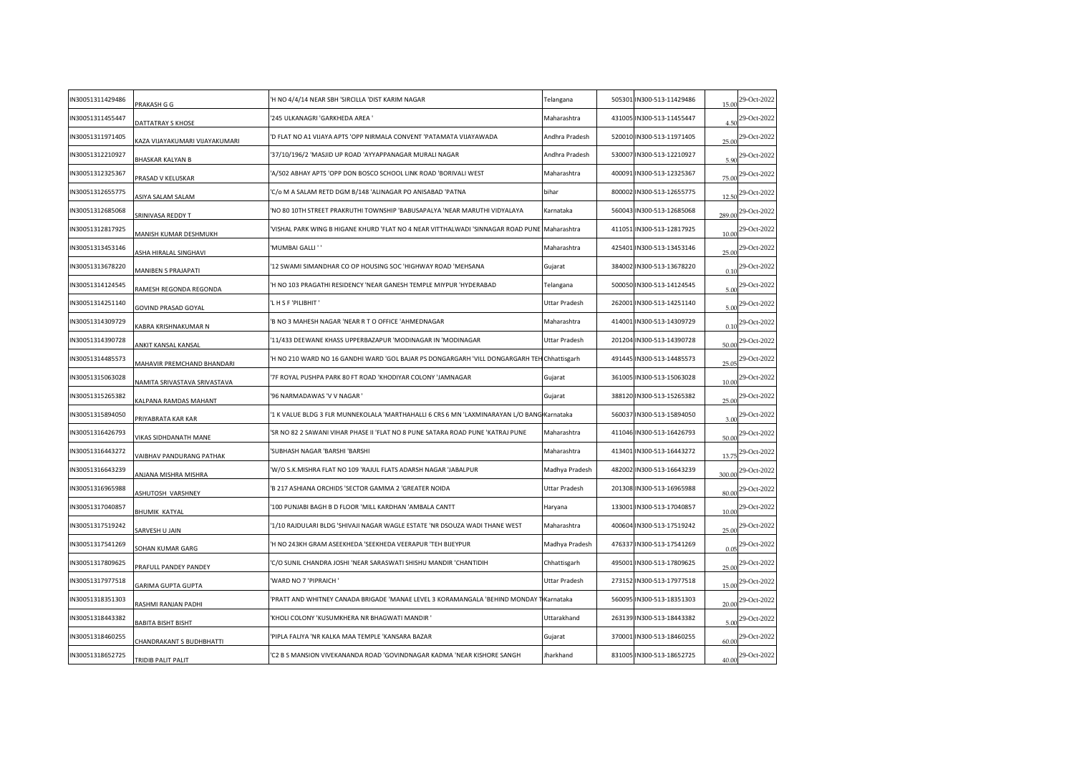| IN30051311429486 | PRAKASH G G                       | 'H NO 4/4/14 NEAR SBH 'SIRCILLA 'DIST KARIM NAGAR                                            | Telangana      | 505301 IN300-513-11429486 | 15.00  | 29-Oct-2022                 |
|------------------|-----------------------------------|----------------------------------------------------------------------------------------------|----------------|---------------------------|--------|-----------------------------|
| IN30051311455447 | DATTATRAY S KHOSE                 | '245 ULKANAGRI 'GARKHEDA AREA '                                                              | Maharashtra    | 431005 IN300-513-11455447 | 4.50   | 29-Oct-2022                 |
| IN30051311971405 | AZA VIJAYAKUMARI VIJAYAKUMARI     | 'D FLAT NO A1 VIJAYA APTS 'OPP NIRMALA CONVENT 'PATAMATA VIJAYAWADA                          | Andhra Pradesh | 520010 IN300-513-11971405 | 25.00  | 29-Oct-2022                 |
| IN30051312210927 | <b>BHASKAR KALYAN B</b>           | 37/10/196/2 'MASJID UP ROAD 'AYYAPPANAGAR MURALI NAGAR                                       | Andhra Pradesh | 530007 IN300-513-12210927 |        | 5.90 <sup>29-Oct-2022</sup> |
| IN30051312325367 | PRASAD V KELUSKAR                 | A/502 ABHAY APTS 'OPP DON BOSCO SCHOOL LINK ROAD 'BORIVALI WEST                              | Maharashtra    | 400091 IN300-513-12325367 | 75.00  | 29-Oct-2022                 |
| IN30051312655775 | ASIYA SALAM SALAM                 | C/o M A SALAM RETD DGM B/148 'ALINAGAR PO ANISABAD 'PATNA                                    | bihar          | 800002 IN300-513-12655775 | 12.50  | 29-Oct-2022                 |
| IN30051312685068 | SRINIVASA REDDY T                 | 'NO 80 10TH STREET PRAKRUTHI TOWNSHIP 'BABUSAPALYA 'NEAR MARUTHI VIDYALAYA                   | Karnataka      | 560043 IN300-513-12685068 | 289.00 | 29-Oct-2022                 |
| IN30051312817925 | MANISH KUMAR DESHMUKH             | 'VISHAL PARK WING B HIGANE KHURD 'FLAT NO 4 NEAR VITTHALWADI 'SINNAGAR ROAD PUNE Maharashtra |                | 411051 IN300-513-12817925 | 10.00  | 29-Oct-2022                 |
| IN30051313453146 | ASHA HIRALAL SINGHAVI             | 'MUMBAI GALLI ' '                                                                            | Maharashtra    | 425401 IN300-513-13453146 | 25.00  | 29-Oct-2022                 |
| IN30051313678220 | <b>MANIBEN S PRAJAPATI</b>        | 12 SWAMI SIMANDHAR CO OP HOUSING SOC 'HIGHWAY ROAD 'MEHSANA                                  | Gujarat        | 384002 IN300-513-13678220 | 0.10   | 29-Oct-2022                 |
| IN30051314124545 | RAMESH REGONDA REGONDA            | 'H NO 103 PRAGATHI RESIDENCY 'NEAR GANESH TEMPLE MIYPUR 'HYDERABAD                           | Telangana      | 500050 IN300-513-14124545 | 5.00   | 29-Oct-2022                 |
| IN30051314251140 | GOVIND PRASAD GOYAL               | 'L H S F 'PILIBHIT '                                                                         | Uttar Pradesh  | 262001 IN300-513-14251140 | 5.00   | 29-Oct-2022                 |
| IN30051314309729 | (ABRA KRISHNAKUMAR N              | 'B NO 3 MAHESH NAGAR 'NEAR R T O OFFICE 'AHMEDNAGAR                                          | Maharashtra    | 414001 IN300-513-14309729 | 0.10   | 29-Oct-2022                 |
| IN30051314390728 | ANKIT KANSAL KANSAL               | '11/433 DEEWANE KHASS UPPERBAZAPUR 'MODINAGAR IN 'MODINAGAR                                  | Uttar Pradesh  | 201204 IN300-513-14390728 | 50.00  | 29-Oct-2022                 |
| IN30051314485573 | <b>MAHAVIR PREMCHAND BHANDARI</b> | H NO 210 WARD NO 16 GANDHI WARD 'GOL BAJAR PS DONGARGARH 'VILL DONGARGARH TEH Chhattisgarh'  |                | 491445 IN300-513-14485573 | 25.05  | 29-Oct-2022                 |
| IN30051315063028 | NAMITA SRIVASTAVA SRIVASTAVA      | 7F ROYAL PUSHPA PARK 80 FT ROAD 'KHODIYAR COLONY 'JAMNAGAR                                   | Gujarat        | 361005 IN300-513-15063028 | 10.00  | 29-Oct-2022                 |
| IN30051315265382 | KALPANA RAMDAS MAHANT             | '96 NARMADAWAS 'V V NAGAR '                                                                  | Gujarat        | 388120 IN300-513-15265382 | 25.00  | 29-Oct-2022                 |
| IN30051315894050 | PRIYABRATA KAR KAR                | '1 K VALUE BLDG 3 FLR MUNNEKOLALA 'MARTHAHALLI 6 CRS 6 MN 'LAXMINARAYAN L/O BANG Karnataka   |                | 560037 IN300-513-15894050 | 3.00   | 29-Oct-2022                 |
| IN30051316426793 | VIKAS SIDHDANATH MANE             | 'SR NO 82 2 SAWANI VIHAR PHASE II 'FLAT NO 8 PUNE SATARA ROAD PUNE 'KATRAJ PUNE              | Maharashtra    | 411046 IN300-513-16426793 | 50.00  | 29-Oct-2022                 |
| IN30051316443272 | VAIBHAV PANDURANG PATHAK          | SUBHASH NAGAR 'BARSHI 'BARSHI                                                                | Maharashtra    | 413401 IN300-513-16443272 | 13.75  | 29-Oct-2022                 |
| IN30051316643239 | ANJANA MISHRA MISHRA              | W/O S.K.MISHRA FLAT NO 109 'RAJUL FLATS ADARSH NAGAR 'JABALPUR'                              | Madhya Pradesh | 482002 IN300-513-16643239 | 300.00 | 29-Oct-2022                 |
| IN30051316965988 | ASHUTOSH VARSHNEY                 | 'B 217 ASHIANA ORCHIDS 'SECTOR GAMMA 2 'GREATER NOIDA                                        | Uttar Pradesh  | 201308 IN300-513-16965988 | 80.00  | 29-Oct-2022                 |
| IN30051317040857 | BHUMIK KATYAL                     | 100 PUNJABI BAGH B D FLOOR 'MILL KARDHAN 'AMBALA CANTT                                       | Haryana        | 133001 IN300-513-17040857 | 10.00  | 29-Oct-2022                 |
| IN30051317519242 | SARVESH U JAIN                    | '1/10 RAJDULARI BLDG 'SHIVAJI NAGAR WAGLE ESTATE 'NR DSOUZA WADI THANE WEST                  | Maharashtra    | 400604 IN300-513-17519242 | 25.00  | 29-Oct-2022                 |
| IN30051317541269 | <b>SOHAN KUMAR GARG</b>           | 'H NO 243KH GRAM ASEEKHEDA 'SEEKHEDA VEERAPUR 'TEH BIJEYPUR                                  | Madhya Pradesh | 476337 IN300-513-17541269 | 0.05   | 29-Oct-2022                 |
| IN30051317809625 | PRAFULL PANDEY PANDEY             | C/O SUNIL CHANDRA JOSHI 'NEAR SARASWATI SHISHU MANDIR 'CHANTIDIH                             | Chhattisgarh   | 495001 IN300-513-17809625 | 25.00  | 29-Oct-2022                 |
| IN30051317977518 | GARIMA GUPTA GUPTA                | 'WARD NO 7 'PIPRAICH '                                                                       | Uttar Pradesh  | 273152 IN300-513-17977518 | 15.00  | 29-Oct-2022                 |
| IN30051318351303 | RASHMI RANJAN PADHI               | 'PRATT AND WHITNEY CANADA BRIGADE 'MANAE LEVEL 3 KORAMANGALA 'BEHIND MONDAY T                | Karnataka      | 560095 IN300-513-18351303 | 20.00  | 29-Oct-2022                 |
| IN30051318443382 | BABITA BISHT BISHT                | 'KHOLI COLONY 'KUSUMKHERA NR BHAGWATI MANDIR '                                               | Uttarakhand    | 263139 IN300-513-18443382 | 5.00   | 29-Oct-2022                 |
| IN30051318460255 | HANDRAKANT S BUDHBHATTI           | PIPLA FALIYA 'NR KALKA MAA TEMPLE 'KANSARA BAZAR                                             | Gujarat        | 370001 IN300-513-18460255 | 60.00  | 29-Oct-2022                 |
| IN30051318652725 | TRIDIB PALIT PALIT                | 'C2 B S MANSION VIVEKANANDA ROAD 'GOVINDNAGAR KADMA 'NEAR KISHORE SANGH                      | Jharkhand      | 831005 IN300-513-18652725 |        | 40.00 29-Oct-2022           |
|                  |                                   |                                                                                              |                |                           |        |                             |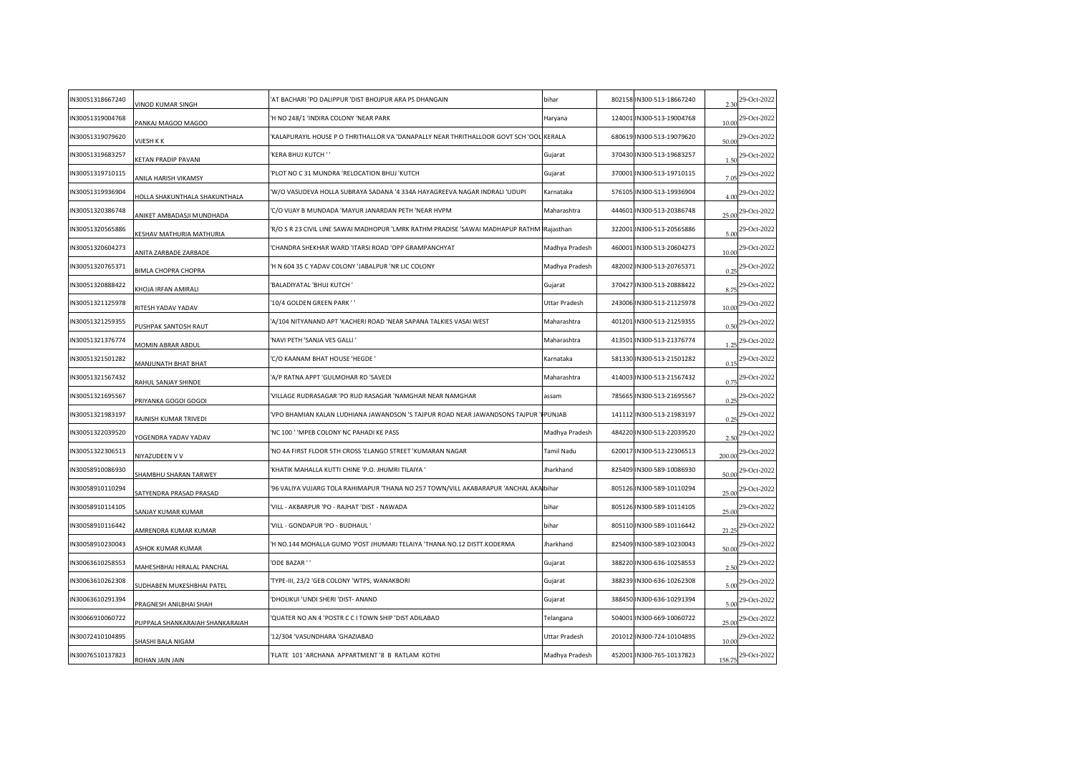| N30051318667240 | /INOD KUMAR SINGH                | AT BACHARI 'PO DALIPPUR 'DIST BHOJPUR ARA PS DHANGAIN                                     | bihar            | 802158 IN300-513-18667240 | 2.30   | 29-Oct-2022 |
|-----------------|----------------------------------|-------------------------------------------------------------------------------------------|------------------|---------------------------|--------|-------------|
| N30051319004768 | PANKAJ MAGOO MAGOO               | H NO 248/1 'INDIRA COLONY 'NEAR PARK                                                      | Haryana          | 124001 IN300-513-19004768 | 10.00  | 29-Oct-2022 |
| N30051319079620 | <b>IJESH K K</b>                 | KALAPURAYIL HOUSE P O THRITHALLOR VA 'DANAPALLY NEAR THRITHALLOOR GOVT SCH 'OOL KERALA    |                  | 680619 IN300-513-19079620 | 50.00  | 29-Oct-2022 |
| N30051319683257 | <b>ETAN PRADIP PAVANI</b>        | KERA BHUJ KUTCH ' '                                                                       | Gujarat          | 370430 IN300-513-19683257 | 1.50   | 29-Oct-2022 |
| N30051319710115 | <b>NILA HARISH VIKAMSY</b>       | PLOT NO C 31 MUNDRA 'RELOCATION BHUJ 'KUTCH                                               | Gujarat          | 370001 IN300-513-19710115 | 7.05   | 29-Oct-2022 |
| N30051319936904 | HOLLA SHAKUNTHALA SHAKUNTHALA    | W/O VASUDEVA HOLLA SUBRAYA SADANA '4 334A HAYAGREEVA NAGAR INDRALI 'UDUPI'                | Karnataka        | 576105 IN300-513-19936904 | 4.00   | 29-Oct-2022 |
| N30051320386748 | ANIKET AMBADASJI MUNDHADA        | C/O VIJAY B MUNDADA 'MAYUR JANARDAN PETH 'NEAR HVPM                                       | Maharashtra      | 444601 IN300-513-20386748 | 25.00  | 29-Oct-2022 |
| N30051320565886 | (ESHAV MATHURIA MATHURIA         | R/O S R 23 CIVIL LINE SAWAI MADHOPUR 'LMRK RATHM PRADISE 'SAWAI MADHAPUP RATHM Rajasthan' |                  | 322001 IN300-513-20565886 | 5.00   | 29-Oct-2022 |
| N30051320604273 | ANITA ZARBADE ZARBADE            | CHANDRA SHEKHAR WARD 'ITARSI ROAD 'OPP GRAMPANCHYAT                                       | Madhya Pradesh   | 460001 IN300-513-20604273 | 10.00  | 29-Oct-2022 |
| N30051320765371 | <b>BIMLA CHOPRA CHOPRA</b>       | H N 604 35 C YADAV COLONY 'JABALPUR 'NR LIC COLONY                                        | Madhya Pradesh   | 482002 IN300-513-20765371 |        | 29-Oct-2022 |
| N30051320888422 | KHOJA IRFAN AMIRALI              | BALADIYATAL 'BHUJ KUTCH'                                                                  | Gujarat          | 370427 IN300-513-20888422 | 8.75   | 29-Oct-2022 |
| N30051321125978 | RITESH YADAV YADAV               | 10/4 GOLDEN GREEN PARK''                                                                  | Uttar Pradesh    | 243006 IN300-513-21125978 | 10.00  | 29-Oct-2022 |
| N30051321259355 | USHPAK SANTOSH RAUT              | A/104 NITYANAND APT 'KACHERI ROAD 'NEAR SAPANA TALKIES VASAI WEST                         | Maharashtra      | 401201 IN300-513-21259355 | 0.50   | 29-Oct-2022 |
| N30051321376774 | MOMIN ABRAR ABDUL                | NAVI PETH 'SANJA VES GALLI '                                                              | Maharashtra      | 413501 IN300-513-21376774 | 1.25   | 29-Oct-2022 |
| N30051321501282 | MANJUNATH BHAT BHAT              | C/O KAANAM BHAT HOUSE 'HEGDE '                                                            | Karnataka        | 581330 IN300-513-21501282 | 0.15   | 29-Oct-2022 |
| N30051321567432 | RAHUL SANJAY SHINDE              | A/P RATNA APPT 'GULMOHAR RD 'SAVEDI                                                       | Maharashtra      | 414003 IN300-513-21567432 | 0.75   | 29-Oct-2022 |
| N30051321695567 | PRIYANKA GOGOI GOGOI             | VILLAGE RUDRASAGAR 'PO RUD RASAGAR 'NAMGHAR NEAR NAMGHAR                                  | assam            | 785665 IN300-513-21695567 | 0.25   | 29-Oct-2022 |
| N30051321983197 | AJNISH KUMAR TRIVEDI             | VPO BHAMIAN KALAN LUDHIANA JAWANDSON 'S TAJPUR ROAD NEAR JAWANDSONS TAJPUR 'FPUNJAB       |                  | 141112 IN300-513-21983197 | 0.25   | 29-Oct-2022 |
| N30051322039520 | <b>/OGENDRA YADAV YADAV</b>      | NC 100 ' 'MPEB COLONY NC PAHADI KE PASS                                                   | Madhya Pradesh   | 484220 IN300-513-22039520 | 2.50   | 29-Oct-2022 |
| N30051322306513 | <b>NIYAZUDEEN V V</b>            | NO 4A FIRST FLOOR 5TH CROSS 'ELANGO STREET 'KUMARAN NAGAR                                 | Tamil Nadu       | 620017 IN300-513-22306513 | 200.00 | 29-Oct-2022 |
| N30058910086930 | <b>SHAMBHU SHARAN TARWEY</b>     | KHATIK MAHALLA KUTTI CHINE 'P.O. JHUMRI TILAIYA '                                         | <b>Jharkhand</b> | 825409 IN300-589-10086930 | 50.00  | 29-Oct-2022 |
| N30058910110294 | ATYENDRA PRASAD PRASAD           | '96 VALIYA VUJARG TOLA RAHIMAPUR 'THANA NO 257 TOWN/VILL AKABARAPUR 'ANCHAL AKA bihar     |                  | 805126 IN300-589-10110294 | 25.00  | 29-Oct-2022 |
| N30058910114105 | ANJAY KUMAR KUMAR                | VILL - AKBARPUR 'PO - RAJHAT 'DIST - NAWADA                                               | bihar            | 805126 IN300-589-10114105 | 25.00  | 29-Oct-2022 |
| N30058910116442 | AMRENDRA KUMAR KUMAR             | VILL - GONDAPUR 'PO - BUDHAUL '                                                           | bihar            | 805110 IN300-589-10116442 | 21.25  | 29-Oct-2022 |
| N30058910230043 | <b><i>ASHOK KUMAR KUMAR</i></b>  | H NO.144 MOHALLA GUMO 'POST JHUMARI TELAIYA 'THANA NO.12 DISTT.KODERMA                    | Jharkhand        | 825409 IN300-589-10230043 | 50.00  | 29-Oct-2022 |
| N30063610258553 | MAHESHBHAI HIRALAL PANCHAL       | ODE BAZAR ' '                                                                             | Gujarat          | 388220 IN300-636-10258553 | 2.50   | 29-Oct-2022 |
| N30063610262308 | <b>SUDHABEN MUKESHBHAI PATEL</b> | TYPE-III, 23/2 'GEB COLONY 'WTPS, WANAKBORI                                               | Gujarat          | 388239 IN300-636-10262308 | 5.00   | 29-Oct-2022 |
| N30063610291394 | PRAGNESH ANILBHAI SHAH           | 'DHOLIKUI 'UNDI SHERI 'DIST- ANAND                                                        | Gujarat          | 388450 IN300-636-10291394 | 5.00   | 29-Oct-2022 |
| N30066910060722 | UPPALA SHANKARAIAH SHANKARAIAH   | QUATER NO AN 4 'POSTR C C I TOWN SHIP 'DIST ADILABAD                                      | Telangana        | 504001 IN300-669-10060722 | 25.00  | 29-Oct-2022 |
| N30072410104895 | HASHI BALA NIGAM                 | 12/304 'VASUNDHARA 'GHAZIABAD                                                             | Uttar Pradesh    | 201012 IN300-724-10104895 | 10.00  | 29-Oct-2022 |
| N30076510137823 | ROHAN JAIN JAIN                  | FLATE 101 'ARCHANA APPARTMENT '8 B RATLAM KOTHI                                           | Madhya Pradesh   | 452001 IN300-765-10137823 | 158.75 | 29-Oct-2022 |
|                 |                                  |                                                                                           |                  |                           |        |             |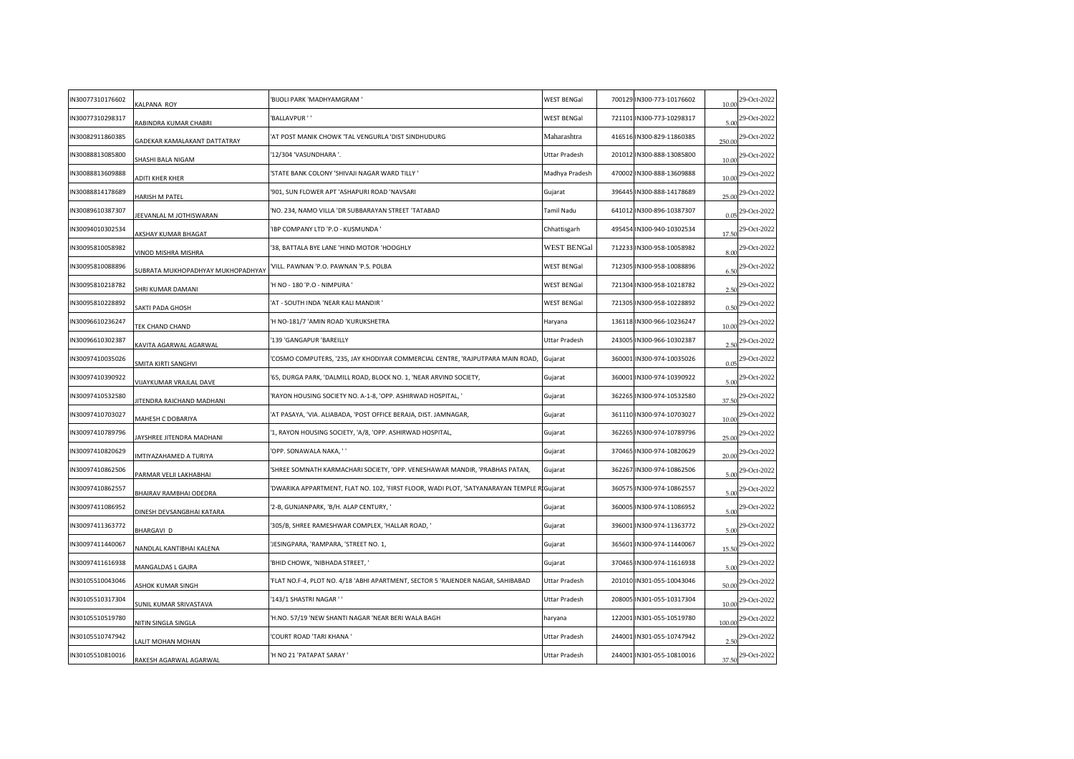| IN30077310176602 | KALPANA ROY                              | 'BIJOLI PARK 'MADHYAMGRAM '                                                                | <b>WEST BENGal</b> | 700129 IN300-773-10176602 | 10.00  | 29-Oct-2022                  |
|------------------|------------------------------------------|--------------------------------------------------------------------------------------------|--------------------|---------------------------|--------|------------------------------|
| IN30077310298317 | RABINDRA KUMAR CHABRI                    | 'BALLAVPUR ' '                                                                             | <b>WEST BENGal</b> | 721101 IN300-773-10298317 | 5.00   | 29-Oct-2022                  |
| IN30082911860385 | GADEKAR KAMALAKANT DATTATRAY             | 'AT POST MANIK CHOWK 'TAL VENGURLA 'DIST SINDHUDURG                                        | Maharashtra        | 416516 IN300-829-11860385 | 250.00 | 29-Oct-2022                  |
| IN30088813085800 | SHASHI BALA NIGAM                        | '12/304 'VASUNDHARA '.                                                                     | Uttar Pradesh      | 201012 IN300-888-13085800 | 10.00  | 29-Oct-2022                  |
| IN30088813609888 | <b>ADITI KHER KHER</b>                   | STATE BANK COLONY 'SHIVAJI NAGAR WARD TILLY '                                              | Madhya Pradesh     | 470002 IN300-888-13609888 | 10.00  | 29-Oct-2022                  |
| IN30088814178689 | HARISH M PATEL                           | '901, SUN FLOWER APT 'ASHAPURI ROAD 'NAVSARI                                               | Gujarat            | 396445 IN300-888-14178689 | 25.00  | 29-Oct-2022                  |
| IN30089610387307 | <b>IEEVANLAL M JOTHISWARAN</b>           | 'NO. 234, NAMO VILLA 'DR SUBBARAYAN STREET 'TATABAD                                        | Tamil Nadu         | 641012 IN300-896-10387307 | 0.05   | 29-Oct-2022                  |
| IN30094010302534 | <b>AKSHAY KUMAR BHAGAT</b>               | 'IBP COMPANY LTD 'P.O - KUSMUNDA '                                                         | Chhattisgarh       | 495454 IN300-940-10302534 | 17.50  | 29-Oct-2022                  |
| IN30095810058982 | VINOD MISHRA MISHRA                      | 38, BATTALA BYE LANE 'HIND MOTOR 'HOOGHLY                                                  | <b>WEST BENGal</b> | 712233 IN300-958-10058982 | 8.00   | 29-Oct-2022                  |
| IN30095810088896 | <b>JUBRATA MUKHOPADHYAY MUKHOPADHYAY</b> | VILL. PAWNAN 'P.O. PAWNAN 'P.S. POLBA                                                      | <b>WEST BENGal</b> | 712305 IN300-958-10088896 | 6.50   | 29-Oct-2022                  |
| IN30095810218782 | SHRI KUMAR DAMANI                        | 'H NO - 180 'P.O - NIMPURA '                                                               | <b>WEST BENGal</b> | 721304 IN300-958-10218782 | 2.50   | 29-Oct-2022                  |
| IN30095810228892 | SAKTI PADA GHOSH                         | 'AT - SOUTH INDA 'NEAR KALI MANDIR '                                                       | <b>WEST BENGal</b> | 721305 IN300-958-10228892 | 0.50   | 29-Oct-2022                  |
| IN30096610236247 | TEK CHAND CHAND                          | 'H NO-181/7 'AMIN ROAD 'KURUKSHETRA                                                        | Haryana            | 136118 IN300-966-10236247 | 10.00  | 29-Oct-2022                  |
| IN30096610302387 | <b>KAVITA AGARWAL AGARWAL</b>            | '139 'GANGAPUR 'BAREILLY                                                                   | Uttar Pradesh      | 243005 IN300-966-10302387 | 2.50   | 29-Oct-2022                  |
| IN30097410035026 | SMITA KIRTI SANGHVI                      | COSMO COMPUTERS, '235, JAY KHODIYAR COMMERCIAL CENTRE, 'RAJPUTPARA MAIN ROAD,              | Gujarat            | 360001 IN300-974-10035026 | 0.05   | 29-Oct-2022                  |
| IN30097410390922 | VIJAYKUMAR VRAJLAL DAVE                  | '65, DURGA PARK, 'DALMILL ROAD, BLOCK NO. 1, 'NEAR ARVIND SOCIETY,                         | Gujarat            | 360001 IN300-974-10390922 | 5.00   | 29-Oct-2022                  |
| IN30097410532580 | IITENDRA RAICHAND MADHANI                | 'RAYON HOUSING SOCIETY NO. A-1-8, 'OPP. ASHIRWAD HOSPITAL, '                               | Gujarat            | 362265 IN300-974-10532580 | 37.50  | 29-Oct-2022                  |
| IN30097410703027 | MAHESH C DOBARIYA                        | AT PASAYA, 'VIA. ALIABADA, 'POST OFFICE BERAJA, DIST. JAMNAGAR,                            | Gujarat            | 361110 IN300-974-10703027 | 10.00  | 29-Oct-2022                  |
| IN30097410789796 | AYSHREE JITENDRA MADHANI                 | '1, RAYON HOUSING SOCIETY, 'A/8, 'OPP. ASHIRWAD HOSPITAL,                                  | Gujarat            | 362265 IN300-974-10789796 | 25.00  | 29-Oct-2022                  |
| IN30097410820629 | MTIYAZAHAMED A TURIYA                    | 'OPP. SONAWALA NAKA, ' '                                                                   | Gujarat            | 370465 IN300-974-10820629 | 20.00  | 29-Oct-2022                  |
| IN30097410862506 | PARMAR VELJI LAKHABHAI                   | 'SHREE SOMNATH KARMACHARI SOCIETY, 'OPP. VENESHAWAR MANDIR, 'PRABHAS PATAN                 | Gujarat            | 362267 IN300-974-10862506 | 5.00   | 29-Oct-2022                  |
| IN30097410862557 | BHAIRAV RAMBHAI ODEDRA                   | 'DWARIKA APPARTMENT, FLAT NO. 102, 'FIRST FLOOR, WADI PLOT, 'SATYANARAYAN TEMPLE R Gujarat |                    | 360575 IN300-974-10862557 | 5.00   | 29-Oct-2022                  |
| IN30097411086952 | DINESH DEVSANGBHAI KATARA                | '2-B, GUNJANPARK, 'B/H. ALAP CENTURY, '                                                    | Gujarat            | 360005 IN300-974-11086952 | 5.00   | 29-Oct-2022                  |
| IN30097411363772 | BHARGAVI D                               | '305/B, SHREE RAMESHWAR COMPLEX, 'HALLAR ROAD, '                                           | Gujarat            | 396001 IN300-974-11363772 | 5.00   | 29-Oct-2022                  |
| IN30097411440067 | VANDLAL KANTIBHAI KALENA                 | JESINGPARA, 'RAMPARA, 'STREET NO. 1,                                                       | Gujarat            | 365601 IN300-974-11440067 | 15.50  | 29-Oct-2022                  |
| IN30097411616938 | MANGALDAS L GAJRA                        | 'BHID CHOWK, 'NIBHADA STREET, '                                                            | Gujarat            | 370465 IN300-974-11616938 | 5.00   | 29-Oct-2022                  |
| IN30105510043046 | ASHOK KUMAR SINGH                        | FLAT NO.F-4, PLOT NO. 4/18 'ABHI APARTMENT, SECTOR 5 'RAJENDER NAGAR, SAHIBABAD'           | Uttar Pradesh      | 201010 IN301-055-10043046 | 50.00  | 29-Oct-2022                  |
| IN30105510317304 | SUNIL KUMAR SRIVASTAVA                   | '143/1 SHASTRI NAGAR ' '                                                                   | Uttar Pradesh      | 208005 IN301-055-10317304 | 10.00  | 29-Oct-2022                  |
| IN30105510519780 | <b>NITIN SINGLA SINGLA</b>               | 'H.NO. 57/19 'NEW SHANTI NAGAR 'NEAR BERI WALA BAGH                                        | haryana            | 122001 IN301-055-10519780 | 100.00 | 29-Oct-2022                  |
| IN30105510747942 | ALIT MOHAN MOHAN                         | <b>COURT ROAD 'TARI KHANA'</b>                                                             | Uttar Pradesh      | 244001 IN301-055-10747942 | 2.50   | 29-Oct-2022                  |
| IN30105510810016 | RAKESH AGARWAL AGARWAL                   | 'H NO 21 'PATAPAT SARAY '                                                                  | Uttar Pradesh      | 244001 IN301-055-10810016 |        | 37.50 <sup>29-Oct-2022</sup> |
|                  |                                          |                                                                                            |                    |                           |        |                              |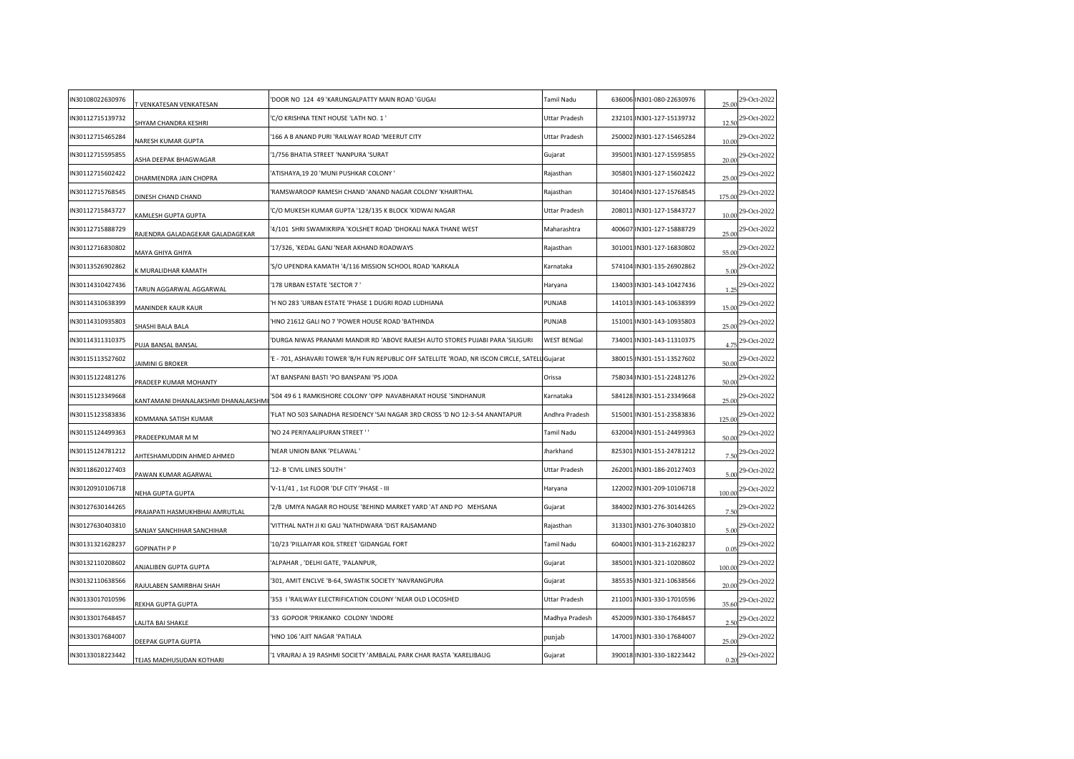| N30108022630976 | T VENKATESAN VENKATESAN            | DOOR NO 124 49 KARUNGALPATTY MAIN ROAD 'GUGAI                                                  | Tamil Nadu         | 636006 IN301-080-22630976 | 25.00  | 29-Oct-2022      |
|-----------------|------------------------------------|------------------------------------------------------------------------------------------------|--------------------|---------------------------|--------|------------------|
| N30112715139732 | HYAM CHANDRA KESHRI                | C/O KRISHNA TENT HOUSE 'LATH NO. 1 '                                                           | Uttar Pradesh      | 232101 IN301-127-15139732 | 12.50  | 29-Oct-2022      |
| N30112715465284 | <b>VARESH KUMAR GUPTA</b>          | 166 A B ANAND PURI 'RAILWAY ROAD 'MEERUT CITY                                                  | Uttar Pradesh      | 250002 IN301-127-15465284 | 10.00  | 29-Oct-2022      |
| N30112715595855 | ASHA DEEPAK BHAGWAGAR              | 1/756 BHATIA STREET 'NANPURA 'SURAT                                                            | Gujarat            | 395001 IN301-127-15595855 | 20.00  | 29-Oct-2022      |
| N30112715602422 | DHARMENDRA JAIN CHOPRA             | ATISHAYA, 19 20 'MUNI PUSHKAR COLONY '                                                         | Rajasthan          | 305801 IN301-127-15602422 | 25.00  | 29-Oct-2022      |
| N30112715768545 | DINESH CHAND CHAND                 | RAMSWAROOP RAMESH CHAND 'ANAND NAGAR COLONY 'KHAIRTHAL                                         | Rajasthan          | 301404 IN301-127-15768545 | 175.00 | 29-Oct-2022      |
| N30112715843727 | <b>AMLESH GUPTA GUPTA</b>          | C/O MUKESH KUMAR GUPTA '128/135 K BLOCK 'KIDWAI NAGAR                                          | Uttar Pradesh      | 208011 IN301-127-15843727 | 10.00  | 29-Oct-2022      |
| N30112715888729 | RAJENDRA GALADAGEKAR GALADAGEKAR   | 4/101 SHRI SWAMIKRIPA 'KOLSHET ROAD 'DHOKALI NAKA THANE WEST                                   | Maharashtra        | 400607 IN301-127-15888729 | 25.00  | 29-Oct-2022      |
| N30112716830802 | MAYA GHIYA GHIYA                   | 17/326, 'KEDAL GANJ 'NEAR AKHAND ROADWAYS                                                      | Rajasthan          | 301001 IN301-127-16830802 | 55.00  | 29-Oct-2022      |
| N30113526902862 | MURALIDHAR KAMATH                  | S/O UPENDRA KAMATH '4/116 MISSION SCHOOL ROAD 'KARKALA                                         | Karnataka          | 574104 IN301-135-26902862 | 5.00   | 29-Oct-2022      |
| N30114310427436 | TARUN AGGARWAL AGGARWAL            | 178 URBAN ESTATE 'SECTOR 7 '                                                                   | Haryana            | 134003 IN301-143-10427436 | 1.25   | 29-Oct-2022      |
| N30114310638399 | MANINDER KAUR KAUR                 | H NO 283 'URBAN ESTATE 'PHASE 1 DUGRI ROAD LUDHIANA                                            | PUNJAB             | 141013 IN301-143-10638399 | 15.00  | 29-Oct-2022      |
| N30114310935803 | HASHI BALA BALA                    | HNO 21612 GALI NO 7 'POWER HOUSE ROAD 'BATHINDA                                                | PUNJAB             | 151001 IN301-143-10935803 | 25.00  | 29-Oct-2022      |
| N30114311310375 | PUJA BANSAL BANSAL                 | DURGA NIWAS PRANAMI MANDIR RD 'ABOVE RAJESH AUTO STORES PUJABI PARA 'SILIGURI'                 | <b>WEST BENGal</b> | 734001 IN301-143-11310375 | 4.75   | 29-Oct-2022      |
| N30115113527602 | JAIMINI G BROKER                   | E - 701, ASHAVARI TOWER 'B/H FUN REPUBLIC OFF SATELLITE 'ROAD, NR ISCON CIRCLE, SATELLIGujarat |                    | 380015 IN301-151-13527602 | 50.00  | 29-Oct-2022      |
| N30115122481276 | PRADEEP KUMAR MOHANTY              | AT BANSPANI BASTI 'PO BANSPANI 'PS JODA                                                        | Orissa             | 758034 IN301-151-22481276 | 50.00  | 29-Oct-2022      |
| N30115123349668 | (ANTAMANI DHANALAKSHMI DHANALAKSHM | 504 49 6 1 RAMKISHORE COLONY 'OPP NAVABHARAT HOUSE 'SINDHANUR                                  | Karnataka          | 584128 IN301-151-23349668 | 25.00  | 29-Oct-2022      |
| N30115123583836 | <b>COMMANA SATISH KUMAR</b>        | FLAT NO 503 SAINADHA RESIDENCY 'SAI NAGAR 3RD CROSS 'D NO 12-3-54 ANANTAPUR                    | Andhra Pradesh     | 515001 IN301-151-23583836 | 125.00 | 29-Oct-2022      |
| N30115124499363 | PRADEEPKUMAR M M                   | NO 24 PERIYAALIPURAN STREET ''                                                                 | Tamil Nadu         | 632004 IN301-151-24499363 | 50.00  | 29-Oct-2022      |
| N30115124781212 | AHTESHAMUDDIN AHMED AHMED          | NEAR UNION BANK 'PELAWAL'                                                                      | Jharkhand          | 825301 IN301-151-24781212 | 7.50   | 29-Oct-2022      |
| N30118620127403 | PAWAN KUMAR AGARWAL                | 12- B 'CIVIL LINES SOUTH'                                                                      | Uttar Pradesh      | 262001 IN301-186-20127403 | 5.00   | 29-Oct-2022      |
| N30120910106718 | NEHA GUPTA GUPTA                   | 'V-11/41, 1st FLOOR 'DLF CITY 'PHASE - III                                                     | Haryana            | 122002 IN301-209-10106718 | 100.00 | 29-Oct-2022      |
| N30127630144265 | RAJAPATI HASMUKHBHAI AMRUTLAL      | '2/B UMIYA NAGAR RO HOUSE 'BEHIND MARKET YARD 'AT AND PO MEHSANA                               | Gujarat            | 384002 IN301-276-30144265 | 7.50   | 29-Oct-2022      |
| N30127630403810 | SANJAY SANCHIHAR SANCHIHAR         | VITTHAL NATH JI KI GALI 'NATHDWARA 'DIST RAJSAMAND                                             | Rajasthan          | 313301 IN301-276-30403810 |        | 5.00 29-Oct-2022 |
| N30131321628237 | <b>GOPINATH P P</b>                | 10/23 'PILLAIYAR KOIL STREET 'GIDANGAL FORT                                                    | Tamil Nadu         | 604001 IN301-313-21628237 | 0.05   | 29-Oct-2022      |
| N30132110208602 | ANJALIBEN GUPTA GUPTA              | ALPAHAR, 'DELHI GATE, 'PALANPUR,                                                               | Gujarat            | 385001 IN301-321-10208602 | 100.00 | 29-Oct-2022      |
| N30132110638566 | RAJULABEN SAMIRBHAI SHAH           | 301, AMIT ENCLVE 'B-64, SWASTIK SOCIETY 'NAVRANGPURA                                           | Gujarat            | 385535 IN301-321-10638566 | 20.00  | 29-Oct-2022      |
| N30133017010596 | REKHA GUPTA GUPTA                  | '353 I 'RAILWAY ELECTRIFICATION COLONY 'NEAR OLD LOCOSHED                                      | Uttar Pradesh      | 211001 IN301-330-17010596 | 35.60  | 29-Oct-2022      |
| N30133017648457 | ALITA BAI SHAKLE                   | '33 GOPOOR 'PRIKANKO COLONY 'INDORE                                                            | Madhya Pradesh     | 452009 IN301-330-17648457 | 2.50   | 29-Oct-2022      |
| N30133017684007 | DEEPAK GUPTA GUPTA                 | HNO 106 'AJIT NAGAR 'PATIALA                                                                   | punjab             | 147001 IN301-330-17684007 | 25.00  | 29-Oct-2022      |
| N30133018223442 | TEJAS MADHUSUDAN KOTHARI           | 1 VRAJRAJ A 19 RASHMI SOCIETY 'AMBALAL PARK CHAR RASTA 'KARELIBAUG                             | Gujarat            | 390018 IN301-330-18223442 | 0.20   | 29-Oct-2022      |
|                 |                                    |                                                                                                |                    |                           |        |                  |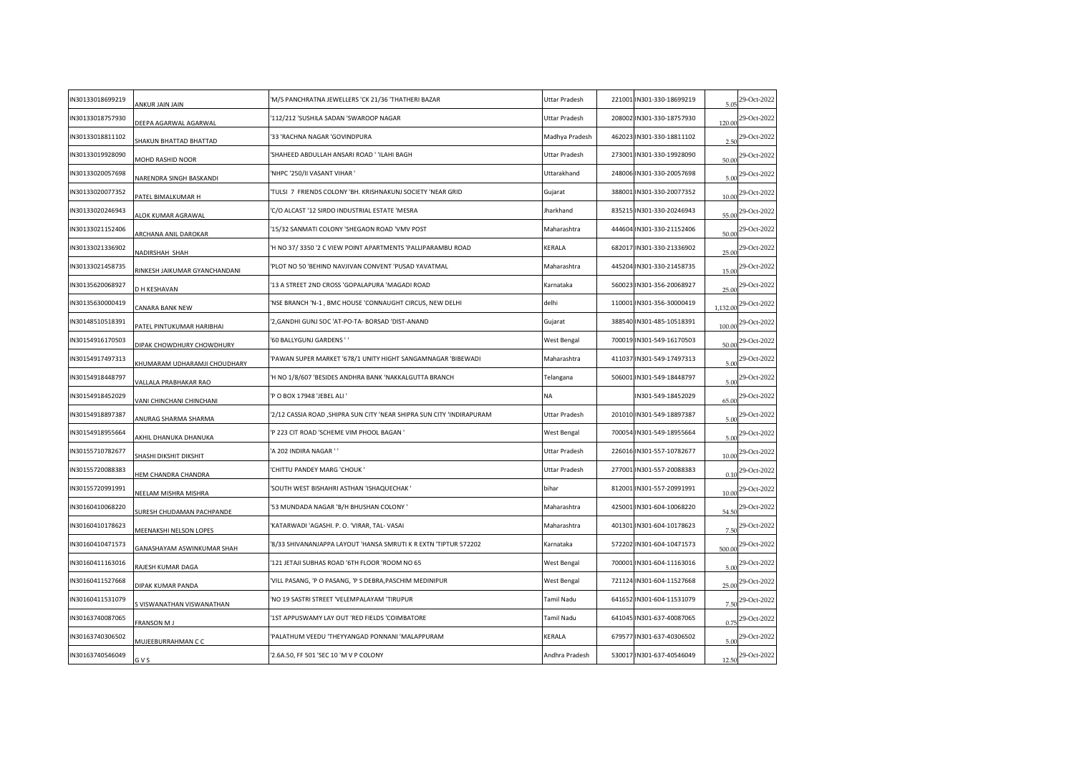| IN30133018699219 | ANKUR JAIN JAIN               | 'M/S PANCHRATNA JEWELLERS 'CK 21/36 'THATHERI BAZAR                   | Uttar Pradesh  | 221001 IN301-330-18699219 | 5.05     | 29-Oct-2022                |
|------------------|-------------------------------|-----------------------------------------------------------------------|----------------|---------------------------|----------|----------------------------|
| IN30133018757930 | DEEPA AGARWAL AGARWAL         | '112/212 'SUSHILA SADAN 'SWAROOP NAGAR                                | Uttar Pradesh  | 208002 IN301-330-18757930 | 120.00   | 29-Oct-2022                |
| IN30133018811102 | HAKUN BHATTAD BHATTAD         | '33 'RACHNA NAGAR 'GOVINDPURA                                         | Madhya Pradesh | 462023 IN301-330-18811102 | 2.50     | 29-Oct-2022                |
| IN30133019928090 | MOHD RASHID NOOR              | 'SHAHEED ABDULLAH ANSARI ROAD ' 'ILAHI BAGH                           | Uttar Pradesh  | 273001 IN301-330-19928090 | 50.00    | 29-Oct-2022                |
| IN30133020057698 | NARENDRA SINGH BASKANDI       | 'NHPC '250/II VASANT VIHAR '                                          | Uttarakhand    | 248006 IN301-330-20057698 | 5.00     | 29-Oct-2022                |
| IN30133020077352 | PATEL BIMALKUMAR H            | TULSI 7 FRIENDS COLONY 'BH. KRISHNAKUNJ SOCIETY 'NEAR GRID            | Gujarat        | 388001 IN301-330-20077352 | 10.00    | 29-Oct-2022                |
| IN30133020246943 | ALOK KUMAR AGRAWAL            | C/O ALCAST '12 SIRDO INDUSTRIAL ESTATE 'MESRA                         | Jharkhand      | 835215 IN301-330-20246943 | 55.00    | 29-Oct-2022                |
| IN30133021152406 | ARCHANA ANIL DAROKAR          | '15/32 SANMATI COLONY 'SHEGAON ROAD 'VMV POST                         | Maharashtra    | 444604 IN301-330-21152406 | 50.00    | 29-Oct-2022                |
| IN30133021336902 | <b>NADIRSHAH SHAH</b>         | 'H NO 37/3350 '2 C VIEW POINT APARTMENTS 'PALLIPARAMBU ROAD           | KERALA         | 682017 IN301-330-21336902 | 25.00    | 29-Oct-2022                |
| IN30133021458735 | INKESH JAIKUMAR GYANCHANDANI  | PLOT NO 50 'BEHIND NAVJIVAN CONVENT 'PUSAD YAVATMAL'                  | Maharashtra    | 445204 IN301-330-21458735 | 15.00    | 29-Oct-2022                |
| IN30135620068927 | D H KESHAVAN                  | '13 A STREET 2ND CROSS 'GOPALAPURA 'MAGADI ROAD                       | Karnataka      | 560023 IN301-356-20068927 | 25.00    | 29-Oct-2022                |
| IN30135630000419 | CANARA BANK NEW               | 'NSE BRANCH 'N-1, BMC HOUSE 'CONNAUGHT CIRCUS, NEW DELHI              | delhi          | 110001 IN301-356-30000419 | 1.132.00 | 29-Oct-2022                |
| IN30148510518391 | PATEL PINTUKUMAR HARIBHAI     | '2,GANDHI GUNJ SOC 'AT-PO-TA- BORSAD 'DIST-ANAND                      | Gujarat        | 388540 IN301-485-10518391 | 100.00   | 29-Oct-2022                |
| IN30154916170503 | DIPAK CHOWDHURY CHOWDHURY     | '60 BALLYGUNJ GARDENS''                                               | West Bengal    | 700019 IN301-549-16170503 | 50.00    | 29-Oct-2022                |
| IN30154917497313 | HUMARAM UDHARAMJI CHOUDHARY   | PAWAN SUPER MARKET '678/1 UNITY HIGHT SANGAMNAGAR 'BIBEWADI           | Maharashtra    | 411037 IN301-549-17497313 | 5.00     | 29-Oct-2022                |
| IN30154918448797 | VALLALA PRABHAKAR RAO         | 'H NO 1/8/607 'BESIDES ANDHRA BANK 'NAKKALGUTTA BRANCH                | Telangana      | 506001 IN301-549-18448797 | 5.00     | 29-Oct-2022                |
| IN30154918452029 | VANI CHINCHANI CHINCHANI      | 'P O BOX 17948 'JEBEL ALI '                                           | NA             | IN301-549-18452029        | 65.00    | 29-Oct-2022                |
| IN30154918897387 | ANURAG SHARMA SHARMA          | 2/12 CASSIA ROAD , SHIPRA SUN CITY 'NEAR SHIPRA SUN CITY 'INDIRAPURAM | Uttar Pradesh  | 201010 IN301-549-18897387 | 5.00     | 29-Oct-2022                |
| IN30154918955664 | AKHIL DHANUKA DHANUKA         | 'P 223 CIT ROAD 'SCHEME VIM PHOOL BAGAN '                             | West Bengal    | 700054 IN301-549-18955664 | 5.00     | 29-Oct-2022                |
| IN30155710782677 | SHASHI DIKSHIT DIKSHIT        | A 202 INDIRA NAGAR ' '                                                | Uttar Pradesh  | 226016 IN301-557-10782677 | 10.00    | 29-Oct-2022                |
| IN30155720088383 | HEM CHANDRA CHANDRA           | CHITTU PANDEY MARG 'CHOUK '                                           | Uttar Pradesh  | 277001 IN301-557-20088383 | 0.10     | 29-Oct-2022                |
| IN30155720991991 | NEELAM MISHRA MISHRA          | 'SOUTH WEST BISHAHRI ASTHAN 'ISHAQUECHAK '                            | bihar          | 812001 IN301-557-20991991 | 10.00    | 29-Oct-2022                |
| IN30160410068220 | SURESH CHUDAMAN PACHPANDE     | '53 MUNDADA NAGAR 'B/H BHUSHAN COLONY '                               | Maharashtra    | 425001 IN301-604-10068220 | 54.50    | 29-Oct-2022                |
| IN30160410178623 | <b>MEENAKSHI NELSON LOPES</b> | 'KATARWADI 'AGASHI. P. O. 'VIRAR, TAL- VASAI                          | Maharashtra    | 401301 IN301-604-10178623 | 7.50     | 29-Oct-2022                |
| IN30160410471573 | GANASHAYAM ASWINKUMAR SHAH    | 8/33 SHIVANANJAPPA LAYOUT 'HANSA SMRUTI K R EXTN 'TIPTUR 572202'      | Karnataka      | 572202 IN301-604-10471573 | 500.00   | 29-Oct-2022                |
| IN30160411163016 | RAJESH KUMAR DAGA             | 121 JETAJI SUBHAS ROAD '6TH FLOOR 'ROOM NO 65                         | West Bengal    | 700001 IN301-604-11163016 | 5.00     | 29-Oct-2022                |
| IN30160411527668 | DIPAK KUMAR PANDA             | 'VILL PASANG, 'P O PASANG, 'P S DEBRA, PASCHIM MEDINIPUR              | West Bengal    | 721124 IN301-604-11527668 | 25.00    | 29-Oct-2022                |
| IN30160411531079 | VISWANATHAN VISWANATHAN       | 'NO 19 SASTRI STREET 'VELEMPALAYAM 'TIRUPUR                           | Tamil Nadu     | 641652 IN301-604-11531079 | 7.50     | 29-Oct-2022                |
| IN30163740087065 | FRANSON M J                   | '1ST APPUSWAMY LAY OUT 'RED FIELDS 'COIMBATORE                        | Tamil Nadu     | 641045 IN301-637-40087065 | 0.75     | 29-Oct-2022                |
| IN30163740306502 | MUJEEBURRAHMAN C C            | PALATHUM VEEDU 'THEYYANGAD PONNANI 'MALAPPURAM                        | KERALA         | 679577 IN301-637-40306502 | 5.00     | 29-Oct-2022                |
| IN30163740546049 | G V S                         | '2.6A.50, FF 501 'SEC 10 'M V P COLONY                                | Andhra Pradesh | 530017 IN301-637-40546049 |          | $rac{12.50}{29}$ -Oct-2022 |
|                  |                               |                                                                       |                |                           |          |                            |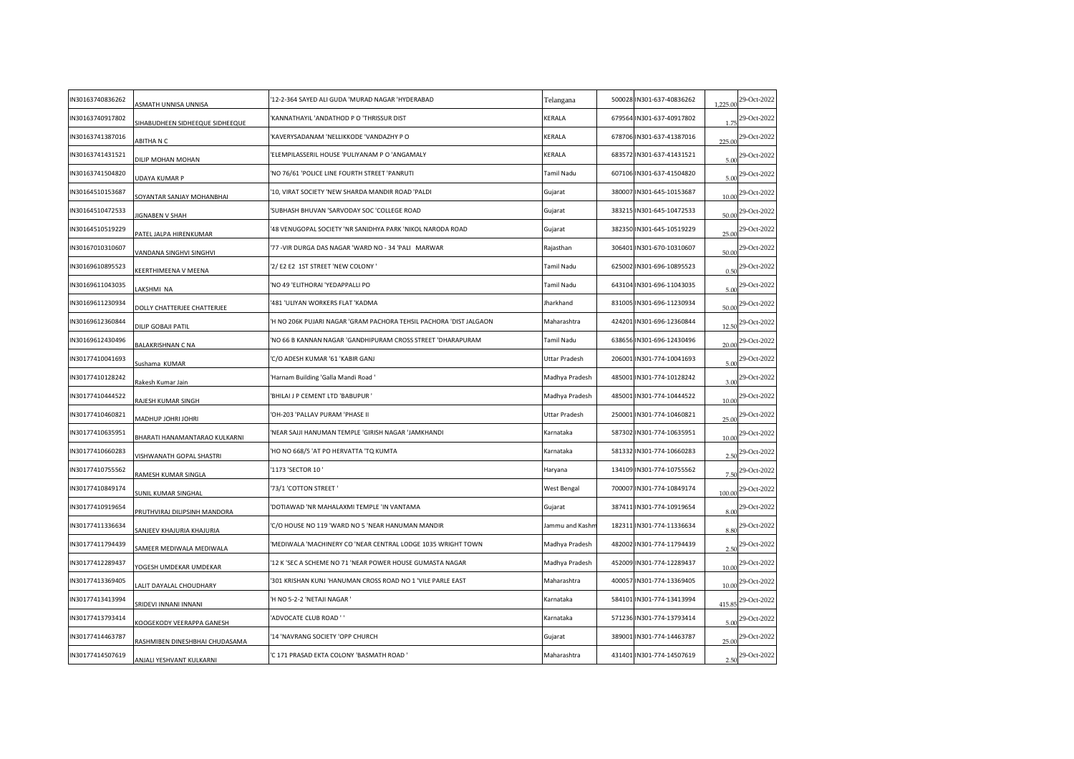| IN30163740836262 | ASMATH UNNISA UNNISA            | '12-2-364 SAYED ALI GUDA 'MURAD NAGAR 'HYDERABAD                   | Telangana       | 500028 IN301-637-40836262 | 1,225.00 | 29-Oct-2022                   |
|------------------|---------------------------------|--------------------------------------------------------------------|-----------------|---------------------------|----------|-------------------------------|
| IN30163740917802 | SIHABUDHEEN SIDHEEQUE SIDHEEQUE | KANNATHAYIL 'ANDATHOD P O 'THRISSUR DIST                           | KERALA          | 679564 IN301-637-40917802 | 1.75     | 29-Oct-2022                   |
| IN30163741387016 | ABITHA N C                      | KAVERYSADANAM 'NELLIKKODE 'VANDAZHY PO                             | KERALA          | 678706 IN301-637-41387016 | 225.00   | 29-Oct-2022                   |
| IN30163741431521 | DILIP MOHAN MOHAN               | 'ELEMPILASSERIL HOUSE 'PULIYANAM P O 'ANGAMALY                     | KERALA          | 683572 IN301-637-41431521 |          | $\frac{5.00}{29}$ -Oct-2022   |
| IN30163741504820 | JDAYA KUMAR P                   | NO 76/61 'POLICE LINE FOURTH STREET 'PANRUTI'                      | Tamil Nadu      | 607106 IN301-637-41504820 | 5.00     | 29-Oct-2022                   |
| IN30164510153687 | SOYANTAR SANJAY MOHANBHAI       | '10, VIRAT SOCIETY 'NEW SHARDA MANDIR ROAD 'PALDI                  | Gujarat         | 380007 IN301-645-10153687 | 10.00    | 29-Oct-2022                   |
| IN30164510472533 | <b>IIGNABEN V SHAH</b>          | SUBHASH BHUVAN 'SARVODAY SOC 'COLLEGE ROAD                         | Gujarat         | 383215 IN301-645-10472533 | 50.00    | 29-Oct-2022                   |
| IN30164510519229 | PATEL JALPA HIRENKUMAR          | '48 VENUGOPAL SOCIETY 'NR SANIDHYA PARK 'NIKOL NARODA ROAD         | Gujarat         | 382350 IN301-645-10519229 | 25.00    | 29-Oct-2022                   |
| IN30167010310607 | VANDANA SINGHVI SINGHVI         | '77 - VIR DURGA DAS NAGAR 'WARD NO - 34 'PALI MARWAR               | Rajasthan       | 306401 IN301-670-10310607 | 50.00    | 29-Oct-2022                   |
| IN30169610895523 | <b>CEERTHIMEENA V MEENA</b>     | 2/ E2 E2 1ST STREET 'NEW COLONY '                                  | Tamil Nadu      | 625002 IN301-696-10895523 | 0.50     | 29-Oct-2022                   |
| IN30169611043035 | AKSHMI NA                       | 'NO 49 'ELITHORAI 'YEDAPPALLI PO                                   | Tamil Nadu      | 643104 IN301-696-11043035 | 5.00     | 29-Oct-2022                   |
| IN30169611230934 | DOLLY CHATTERJEE CHATTERJEE     | 481 'ULIYAN WORKERS FLAT 'KADMA                                    | Jharkhand       | 831005 IN301-696-11230934 | 50.00    | 29-Oct-2022                   |
| IN30169612360844 | DILIP GOBAJI PATIL              | 'H NO 206K PUJARI NAGAR 'GRAM PACHORA TEHSIL PACHORA 'DIST JALGAON | Maharashtra     | 424201 IN301-696-12360844 | 12.50    | 29-Oct-2022                   |
| IN30169612430496 | BALAKRISHNAN C NA               | 'NO 66 B KANNAN NAGAR 'GANDHIPURAM CROSS STREET 'DHARAPURAM        | Tamil Nadu      | 638656 IN301-696-12430496 | 20.00    | 29-Oct-2022                   |
| IN30177410041693 | Sushama KUMAR                   | C/O ADESH KUMAR '61 'KABIR GANJ                                    | Uttar Pradesh   | 206001 IN301-774-10041693 | 5.00     | 29-Oct-2022                   |
| IN30177410128242 | Rakesh Kumar Jain               | 'Harnam Building 'Galla Mandi Road '                               | Madhya Pradesh  | 485001 IN301-774-10128242 | 3.00     | 29-Oct-2022                   |
| IN30177410444522 | RAJESH KUMAR SINGH              | 'BHILAI J P CEMENT LTD 'BABUPUR '                                  | Madhya Pradesh  | 485001 IN301-774-10444522 | 10.00    | 29-Oct-2022                   |
| IN30177410460821 | MADHUP JOHRI JOHRI              | 'OH-203 'PALLAV PURAM 'PHASE II                                    | Uttar Pradesh   | 250001 IN301-774-10460821 | 25.00    | 29-Oct-2022                   |
| IN30177410635951 | BHARATI HANAMANTARAO KULKARNI   | NEAR SAJJI HANUMAN TEMPLE 'GIRISH NAGAR 'JAMKHANDI'                | Karnataka       | 587302 IN301-774-10635951 | 10.00    | 29-Oct-2022                   |
| IN30177410660283 | VISHWANATH GOPAL SHASTRI        | HO NO 668/5 'AT PO HERVATTA 'TQ KUMTA                              | Karnataka       | 581332 IN301-774-10660283 | 2.50     | 29-Oct-2022                   |
| IN30177410755562 | RAMESH KUMAR SINGLA             | '1173 'SECTOR 10"                                                  | Haryana         | 134109 IN301-774-10755562 | 7.50     | 29-Oct-2022                   |
| IN30177410849174 | SUNIL KUMAR SINGHAL             | '73/1 'COTTON STREET '                                             | West Bengal     | 700007 IN301-774-10849174 | 100.00   | 29-Oct-2022                   |
| IN30177410919654 | PRUTHVIRAJ DILIPSINH MANDORA    | 'DOTIAWAD 'NR MAHALAXMI TEMPLE 'IN VANTAMA                         | Gujarat         | 387411 IN301-774-10919654 | 8.00     | 29-Oct-2022                   |
| IN30177411336634 | SANJEEV KHAJURIA KHAJURIA       | 'C/O HOUSE NO 119 'WARD NO 5 'NEAR HANUMAN MANDIR                  | Jammu and Kashn | 182311 IN301-774-11336634 | 8.80     | 29-Oct-2022                   |
| IN30177411794439 | SAMEER MEDIWALA MEDIWALA        | 'MEDIWALA 'MACHINERY CO 'NEAR CENTRAL LODGE 1035 WRIGHT TOWN       | Madhya Pradesh  | 482002 IN301-774-11794439 | 2.50     | 29-Oct-2022                   |
| IN30177412289437 | YOGESH UMDEKAR UMDEKAR          | '12 K 'SEC A SCHEME NO 71 'NEAR POWER HOUSE GUMASTA NAGAR          | Madhya Pradesh  | 452009 IN301-774-12289437 | 10.00    | 29-Oct-2022                   |
| IN30177413369405 | ALIT DAYALAL CHOUDHARY          | 301 KRISHAN KUNJ 'HANUMAN CROSS ROAD NO 1 'VILE PARLE EAST         | Maharashtra     | 400057 IN301-774-13369405 | 10.00    | 29-Oct-2022                   |
| IN30177413413994 | SRIDEVI INNANI INNANI           | 'H NO 5-2-2 'NETAJI NAGAR '                                        | Karnataka       | 584101 IN301-774-13413994 | 415.85   | 29-Oct-2022                   |
| IN30177413793414 | OOGEKODY VEERAPPA GANESH        | 'ADVOCATE CLUB ROAD ' '                                            | Karnataka       | 571236 IN301-774-13793414 | 5.00     | 29-Oct-2022                   |
| IN30177414463787 | RASHMIBEN DINESHBHAI CHUDASAMA  | '14 'NAVRANG SOCIETY 'OPP CHURCH                                   | Gujarat         | 389001 IN301-774-14463787 | 25.00    | 29-Oct-2022                   |
| IN30177414507619 | ANJALI YESHVANT KULKARNI        | C 171 PRASAD EKTA COLONY 'BASMATH ROAD '                           | Maharashtra     | 431401 IN301-774-14507619 |          | $2.50$ <sup>29-Oct-2022</sup> |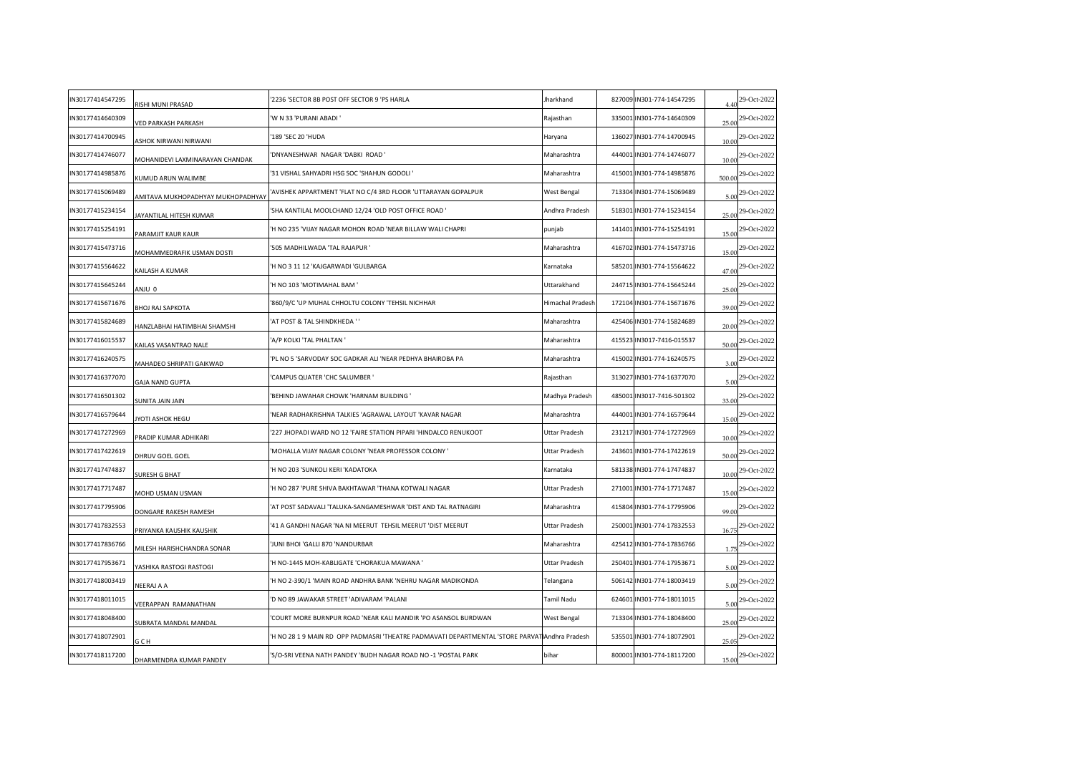| IN30177414547295 | RISHI MUNI PRASAD                 | 2236 'SECTOR 8B POST OFF SECTOR 9 'PS HARLA'                                                   | Jharkhand        | 827009 IN301-774-14547295 | 4.40   | 29-Oct-2022                    |
|------------------|-----------------------------------|------------------------------------------------------------------------------------------------|------------------|---------------------------|--------|--------------------------------|
| IN30177414640309 | VED PARKASH PARKASH               | 'W N 33 'PURANI ABADI '                                                                        | Rajasthan        | 335001 IN301-774-14640309 | 25.00  | 29-Oct-2022                    |
| IN30177414700945 | <b>ASHOK NIRWANI NIRWANI</b>      | '189 'SEC 20 'HUDA                                                                             | Haryana          | 136027 IN301-774-14700945 | 10.00  | 29-Oct-2022                    |
| IN30177414746077 | MOHANIDEVI LAXMINARAYAN CHANDAK   | 'DNYANESHWAR NAGAR 'DABKI ROAD '                                                               | Maharashtra      | 444001 IN301-774-14746077 | 10.00  | 29-Oct-2022                    |
| IN30177414985876 | (UMUD ARUN WALIMBE                | 31 VISHAL SAHYADRI HSG SOC 'SHAHUN GODOLI'                                                     | Maharashtra      | 415001 IN301-774-14985876 | 500.00 | 29-Oct-2022                    |
| IN30177415069489 | AMITAVA MUKHOPADHYAY MUKHOPADHYAY | AVISHEK APPARTMENT 'FLAT NO C/4 3RD FLOOR 'UTTARAYAN GOPALPUR                                  | West Bengal      | 713304 IN301-774-15069489 | 5.00   | 29-Oct-2022                    |
| IN30177415234154 | <b>IAYANTILAL HITESH KUMAR</b>    | 'SHA KANTILAL MOOLCHAND 12/24 'OLD POST OFFICE ROAD '                                          | Andhra Pradesh   | 518301 IN301-774-15234154 | 25.00  | 29-Oct-2022                    |
| IN30177415254191 | PARAMJIT KAUR KAUR                | 'H NO 235 'VIJAY NAGAR MOHON ROAD 'NEAR BILLAW WALI CHAPRI                                     | punjab           | 141401 IN301-774-15254191 | 15.00  | 29-Oct-2022                    |
| IN30177415473716 | MOHAMMEDRAFIK USMAN DOSTI         | '505 MADHILWADA 'TAL RAJAPUR '                                                                 | Maharashtra      | 416702 IN301-774-15473716 | 15.00  | 29-Oct-2022                    |
| IN30177415564622 | AILASH A KUMAR                    | 'H NO 3 11 12 'KAJGARWADI 'GULBARGA                                                            | Karnataka        | 585201 IN301-774-15564622 | 47.00  | 29-Oct-2022                    |
| IN30177415645244 | 0 UINA                            | 'H NO 103 'MOTIMAHAL BAM '                                                                     | Uttarakhand      | 244715 IN301-774-15645244 | 25.00  | 29-Oct-2022                    |
| IN30177415671676 | <b>BHOJ RAJ SAPKOTA</b>           | '860/9/C 'UP MUHAL CHHOLTU COLONY 'TEHSIL NICHHAR                                              | Himachal Pradesh | 172104 IN301-774-15671676 | 39.00  | 29-Oct-2022                    |
| IN30177415824689 | HANZLABHAI HATIMBHAI SHAMSHI      | 'AT POST & TAL SHINDKHEDA ' '                                                                  | Maharashtra      | 425406 IN301-774-15824689 | 20.00  | 29-Oct-2022                    |
| IN30177416015537 | <b>CAILAS VASANTRAO NALE</b>      | 'A/P KOLKI 'TAL PHALTAN '                                                                      | Maharashtra      | 415523 IN3017-7416-015537 | 50.00  | 29-Oct-2022                    |
| IN30177416240575 | <b>MAHADEO SHRIPATI GAIKWAD</b>   | 'PL NO 5 'SARVODAY SOC GADKAR ALI 'NEAR PEDHYA BHAIROBA PA                                     | Maharashtra      | 415002 IN301-774-16240575 | 3.00   | 29-Oct-2022                    |
| IN30177416377070 | <b>GAJA NAND GUPTA</b>            | CAMPUS QUATER 'CHC SALUMBER '                                                                  | Rajasthan        | 313027 IN301-774-16377070 | 5.00   | 29-Oct-2022                    |
| IN30177416501302 | <b>SUNITA JAIN JAIN</b>           | 'BEHIND JAWAHAR CHOWK 'HARNAM BUILDING '                                                       | Madhya Pradesh   | 485001 IN3017-7416-501302 | 33.00  | 29-Oct-2022                    |
| IN30177416579644 | YOTI ASHOK HEGU                   | 'NEAR RADHAKRISHNA TALKIES 'AGRAWAL LAYOUT 'KAVAR NAGAR                                        | Maharashtra      | 444001 IN301-774-16579644 | 15.00  | 29-Oct-2022                    |
| IN30177417272969 | PRADIP KUMAR ADHIKARI             | 227 JHOPADI WARD NO 12 'FAIRE STATION PIPARI 'HINDALCO RENUKOOT'                               | Uttar Pradesh    | 231217 IN301-774-17272969 | 10.00  | 29-Oct-2022                    |
| IN30177417422619 | DHRUV GOEL GOEL                   | MOHALLA VIJAY NAGAR COLONY 'NEAR PROFESSOR COLONY '                                            | Uttar Pradesh    | 243601 IN301-774-17422619 | 50.00  | 29-Oct-2022                    |
| IN30177417474837 | SURESH G BHAT                     | 'H NO 203 'SUNKOLI KERI 'KADATOKA                                                              | Karnataka        | 581338 IN301-774-17474837 | 10.00  | 29-Oct-2022                    |
| IN30177417717487 | MOHD USMAN USMAN                  | 'H NO 287 'PURE SHIVA BAKHTAWAR 'THANA KOTWALI NAGAR                                           | Uttar Pradesh    | 271001 IN301-774-17717487 | 15.00  | 29-Oct-2022                    |
| IN30177417795906 | DONGARE RAKESH RAMESH             | 'AT POST SADAVALI 'TALUKA-SANGAMESHWAR 'DIST AND TAL RATNAGIRI                                 | Maharashtra      | 415804 IN301-774-17795906 | 99.00  | 29-Oct-2022                    |
| IN30177417832553 | PRIYANKA KAUSHIK KAUSHIK          | 41 A GANDHI NAGAR 'NA NI MEERUT TEHSIL MEERUT 'DIST MEERUT                                     | Uttar Pradesh    | 250001 IN301-774-17832553 | 16.75  | 29-Oct-2022                    |
| IN30177417836766 | VILESH HARISHCHANDRA SONAR        | JUNI BHOI 'GALLI 870 'NANDURBAR                                                                | Maharashtra      | 425412 IN301-774-17836766 | 1.75   | 29-Oct-2022                    |
| IN30177417953671 | YASHIKA RASTOGI RASTOGI           | H NO-1445 MOH-KABLIGATE 'CHORAKUA MAWANA '                                                     | Uttar Pradesh    | 250401 IN301-774-17953671 | 5.00   | 29-Oct-2022                    |
| IN30177418003419 | NEERAJ A A                        | 'H NO 2-390/1 'MAIN ROAD ANDHRA BANK 'NEHRU NAGAR MADIKONDA                                    | Telangana        | 506142 IN301-774-18003419 | 5.00   | 29-Oct-2022                    |
| IN30177418011015 | VEERAPPAN RAMANATHAN              | 'D NO 89 JAWAKAR STREET 'ADIVARAM 'PALANI                                                      | Tamil Nadu       | 624601 IN301-774-18011015 | 5.00   | 29-Oct-2022                    |
| IN30177418048400 | <b>JUBRATA MANDAL MANDAL</b>      | COURT MORE BURNPUR ROAD 'NEAR KALI MANDIR 'PO ASANSOL BURDWAN'                                 | West Bengal      | 713304 IN301-774-18048400 | 25.00  | 29-Oct-2022                    |
| IN30177418072901 | G C H                             | H NO 28 1 9 MAIN RD OPP PADMASRI 'THEATRE PADMAVATI DEPARTMENTAL 'STORE PARVAT Andhra Pradesh' |                  | 535501 IN301-774-18072901 | 25.05  | 29-Oct-2022                    |
| IN30177418117200 | DHARMENDRA KUMAR PANDEY           | 'S/O-SRI VEENA NATH PANDEY 'BUDH NAGAR ROAD NO -1 'POSTAL PARK                                 | bihar            | 800001 IN301-774-18117200 |        | $15.00$ <sup>29-Oct-2022</sup> |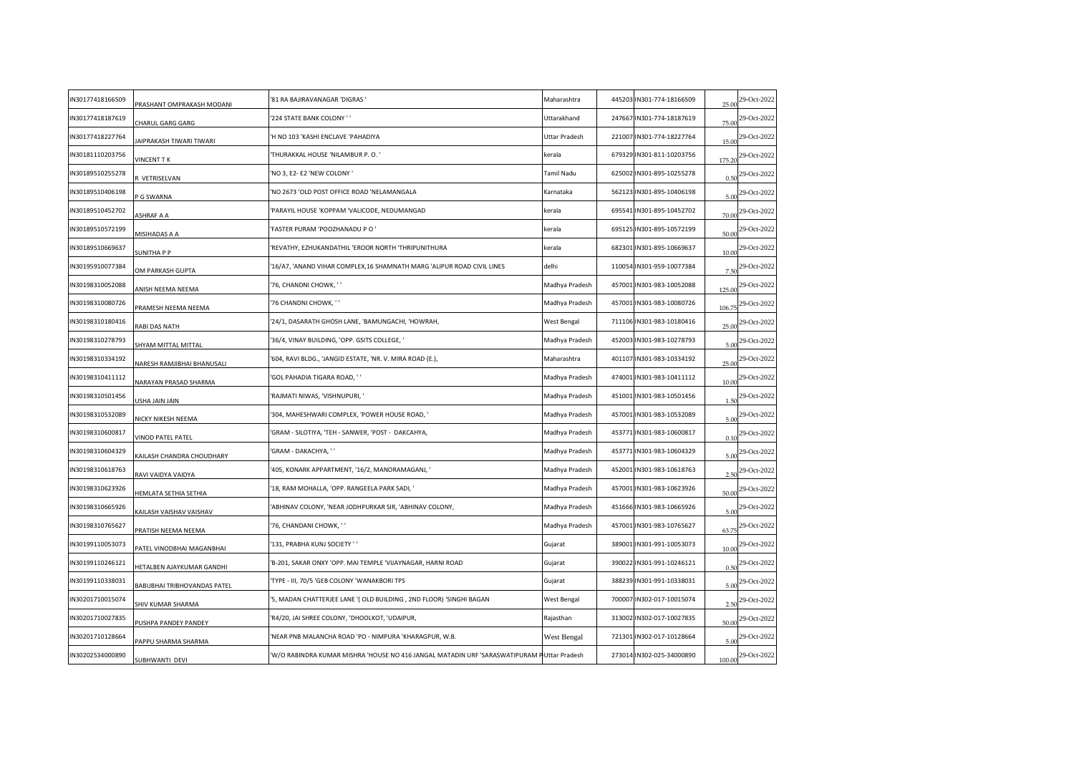| IN30177418166509 | PRASHANT OMPRAKASH MODANI        | '81 RA BAJIRAVANAGAR 'DIGRAS '                                                             | Maharashtra    | 445203 IN301-774-18166509 | 25.00  | 29-Oct-2022 |
|------------------|----------------------------------|--------------------------------------------------------------------------------------------|----------------|---------------------------|--------|-------------|
| IN30177418187619 | CHARUL GARG GARG                 | '224 STATE BANK COLONY ' '                                                                 | Uttarakhand    | 247667 IN301-774-18187619 | 75.00  | 29-Oct-2022 |
| IN30177418227764 | AIPRAKASH TIWARI TIWARI          | 'H NO 103 'KASHI ENCLAVE 'PAHADIYA                                                         | Uttar Pradesh  | 221007 IN301-774-18227764 | 15.00  | 29-Oct-2022 |
| IN30181110203756 | VINCENT TK                       | THURAKKAL HOUSE 'NILAMBUR P.O.'                                                            | kerala         | 679329 IN301-811-10203756 | 175.20 | 29-Oct-2022 |
| IN30189510255278 | <b>YETRISELVAN</b>               | 'NO 3, E2- E2 'NEW COLONY '                                                                | Tamil Nadu     | 625002 IN301-895-10255278 | 0.50   | 29-Oct-2022 |
| IN30189510406198 | P G SWARNA                       | 'NO 2673 'OLD POST OFFICE ROAD 'NELAMANGALA                                                | Karnataka      | 562123 IN301-895-10406198 | 5.00   | 29-Oct-2022 |
| IN30189510452702 | <b>SHRAF A A</b>                 | 'PARAYIL HOUSE 'KOPPAM 'VALICODE, NEDUMANGAD                                               | kerala         | 695541 IN301-895-10452702 | 70.00  | 29-Oct-2022 |
| IN30189510572199 | MISIHADAS A A                    | 'FASTER PURAM 'POOZHANADU PO'                                                              | kerala         | 695125 IN301-895-10572199 | 50.00  | 29-Oct-2022 |
| IN30189510669637 | SUNITHA P P                      | 'REVATHY, EZHUKANDATHIL 'EROOR NORTH 'THRIPUNITHURA                                        | kerala         | 682301 IN301-895-10669637 | 10.00  | 29-Oct-2022 |
| IN30195910077384 | OM PARKASH GUPTA                 | 16/A7, 'ANAND VIHAR COMPLEX,16 SHAMNATH MARG 'ALIPUR ROAD CIVIL LINES                      | delhi          | 110054 IN301-959-10077384 | 7.50   | 29-Oct-2022 |
| IN30198310052088 | ANISH NEEMA NEEMA                | '76, CHANDNI CHOWK, ''                                                                     | Madhya Pradesh | 457001 IN301-983-10052088 | 125.00 | 29-Oct-2022 |
| IN30198310080726 | PRAMESH NEEMA NEEMA              | '76 CHANDNI CHOWK, ' '                                                                     | Madhya Pradesh | 457001 IN301-983-10080726 | 106.75 | 29-Oct-2022 |
| IN30198310180416 | RABI DAS NATH                    | '24/1, DASARATH GHOSH LANE, 'BAMUNGACHI, 'HOWRAH,                                          | West Bengal    | 711106 IN301-983-10180416 | 25.00  | 29-Oct-2022 |
| IN30198310278793 | SHYAM MITTAL MITTAL              | '36/4, VINAY BUILDING, 'OPP. GSITS COLLEGE, '                                              | Madhya Pradesh | 452003 IN301-983-10278793 | 5.00   | 29-Oct-2022 |
| IN30198310334192 | NARESH RAMJIBHAI BHANUSALI       | '604, RAVI BLDG., 'JANGID ESTATE, 'NR. V. MIRA ROAD (E.),                                  | Maharashtra    | 401107 IN301-983-10334192 | 25.00  | 29-Oct-2022 |
| IN30198310411112 | NARAYAN PRASAD SHARMA            | GOL PAHADIA TIGARA ROAD, ''                                                                | Madhya Pradesh | 474001 IN301-983-10411112 | 10.00  | 29-Oct-2022 |
| IN30198310501456 | <b>JSHA JAIN JAIN</b>            | 'RAJMATI NIWAS, 'VISHNUPURI, '                                                             | Madhya Pradesh | 451001 IN301-983-10501456 | 1.50   | 29-Oct-2022 |
| IN30198310532089 | <b>VICKY NIKESH NEEMA</b>        | 304, MAHESHWARI COMPLEX, 'POWER HOUSE ROAD, '                                              | Madhya Pradesh | 457001 IN301-983-10532089 | 5.00   | 29-Oct-2022 |
| IN30198310600817 | VINOD PATEL PATEL                | 'GRAM - SILOTIYA, 'TEH - SANWER, 'POST - DAKCAHYA,                                         | Madhya Pradesh | 453771 IN301-983-10600817 | 0.10   | 29-Oct-2022 |
| IN30198310604329 | <b>KAILASH CHANDRA CHOUDHARY</b> | GRAM - DAKACHYA, ''                                                                        | Madhya Pradesh | 453771 IN301-983-10604329 | 5.00   | 29-Oct-2022 |
| IN30198310618763 | RAVI VAIDYA VAIDYA               | 405, KONARK APPARTMENT, '16/2, MANORAMAGANJ, '                                             | Madhya Pradesh | 452001 IN301-983-10618763 | 2.50   | 29-Oct-2022 |
| IN30198310623926 | HEMLATA SETHIA SETHIA            | '18, RAM MOHALLA, 'OPP. RANGEELA PARK SADI, '                                              | Madhya Pradesh | 457001 IN301-983-10623926 | 50.00  | 29-Oct-2022 |
| IN30198310665926 | KAILASH VAISHAV VAISHAV          | ABHINAV COLONY, 'NEAR JODHPURKAR SIR, 'ABHINAV COLONY,                                     | Madhya Pradesh | 451666 IN301-983-10665926 | 5.00   | 29-Oct-2022 |
| IN30198310765627 | PRATISH NEEMA NEEMA              | '76, CHANDANI CHOWK, ' '                                                                   | Madhya Pradesh | 457001 IN301-983-10765627 | 63.75  | 29-Oct-2022 |
| IN30199110053073 | ATEL VINODBHAI MAGANBHAI         | '131, PRABHA KUNJ SOCIETY ' '                                                              | Gujarat        | 389001 IN301-991-10053073 | 10.00  | 29-Oct-2022 |
| IN30199110246121 | <b>IETALBEN AJAYKUMAR GANDHI</b> | 'B-201, SAKAR ONXY 'OPP. MAI TEMPLE 'VIJAYNAGAR, HARNI ROAD                                | Gujarat        | 390022 IN301-991-10246121 | 0.50   | 29-Oct-2022 |
| IN30199110338031 | BABUBHAI TRIBHOVANDAS PATEL      | TYPE - III, 70/5 'GEB COLONY 'WANAKBORI TPS                                                | Gujarat        | 388239 IN301-991-10338031 | 5.00   | 29-Oct-2022 |
| IN30201710015074 | SHIV KUMAR SHARMA                | '5, MADAN CHATTERJEE LANE '( OLD BUILDING , 2ND FLOOR) 'SINGHI BAGAN                       | West Bengal    | 700007 IN302-017-10015074 | 2.50   | 29-Oct-2022 |
| IN30201710027835 | PUSHPA PANDEY PANDEY             | 'R4/20, JAI SHREE COLONY, 'DHOOLKOT, 'UDAIPUR,                                             | Rajasthan      | 313002 IN302-017-10027835 | 50.00  | 29-Oct-2022 |
| IN30201710128664 | PAPPU SHARMA SHARMA              | NEAR PNB MALANCHA ROAD 'PO - NIMPURA 'KHARAGPUR, W.B.                                      | West Bengal    | 721301 IN302-017-10128664 | 5.00   | 29-Oct-2022 |
| IN30202534000890 | SUBHWANTI DEVI                   | W/O RABINDRA KUMAR MISHRA 'HOUSE NO 416 JANGAL MATADIN URF 'SARASWATIPURAM PUttar Pradesh' |                | 273014 IN302-025-34000890 | 100.00 | 29-Oct-2022 |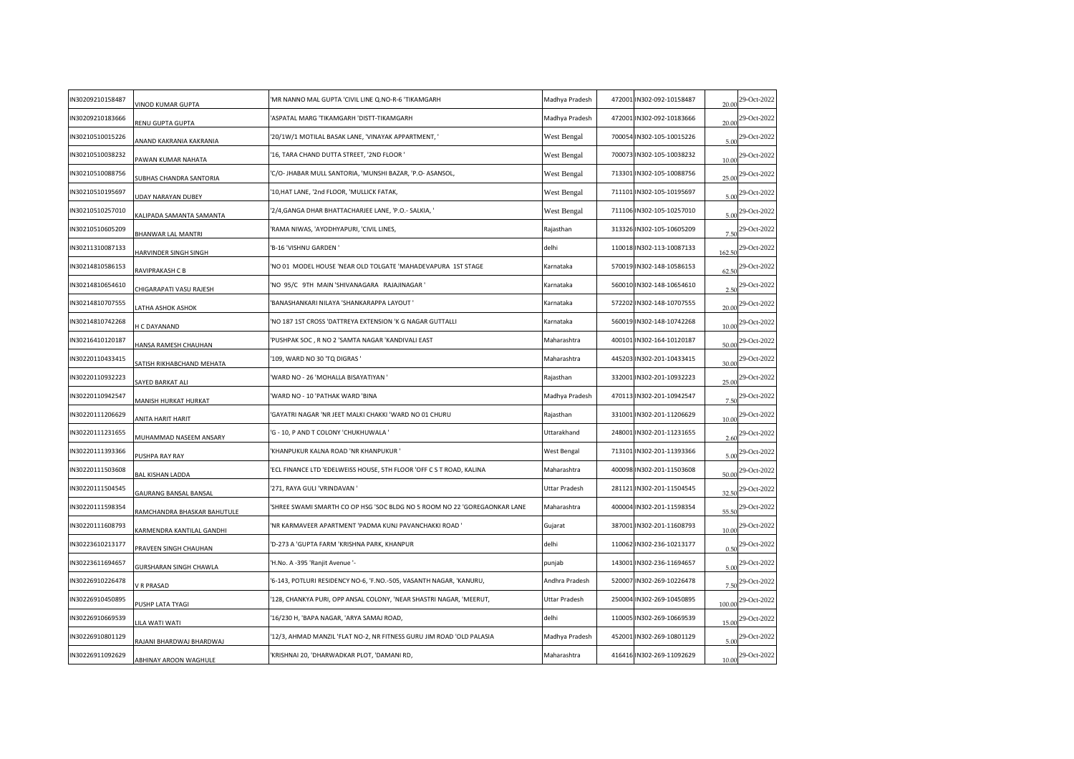| N30209210158487 | VINOD KUMAR GUPTA              | MR NANNO MAL GUPTA 'CIVIL LINE Q.NO-R-6 'TIKAMGARH                        | Madhya Pradesh | 472001 IN302-092-10158487 | 20.00  | 29-Oct-2022                  |
|-----------------|--------------------------------|---------------------------------------------------------------------------|----------------|---------------------------|--------|------------------------------|
| N30209210183666 | RENU GUPTA GUPTA               | ASPATAL MARG 'TIKAMGARH 'DISTT-TIKAMGARH                                  | Madhya Pradesh | 472001 IN302-092-10183666 | 20.00  | 29-Oct-2022                  |
| N30210510015226 | <b>INAND KAKRANIA KAKRANIA</b> | '20/1W/1 MOTILAL BASAK LANE, 'VINAYAK APPARTMENT, '                       | West Bengal    | 700054 IN302-105-10015226 | 5.00   | 29-Oct-2022                  |
| N30210510038232 | PAWAN KUMAR NAHATA             | '16, TARA CHAND DUTTA STREET, '2ND FLOOR '                                | West Bengal    | 700073 IN302-105-10038232 | 10.00  | 29-Oct-2022                  |
| N30210510088756 | UBHAS CHANDRA SANTORIA         | C/O- JHABAR MULL SANTORIA, 'MUNSHI BAZAR, 'P.O- ASANSOL,                  | West Bengal    | 713301 IN302-105-10088756 | 25.00  | 29-Oct-2022                  |
| N30210510195697 | JDAY NARAYAN DUBEY             | 10, HAT LANE, '2nd FLOOR, 'MULLICK FATAK,                                 | West Bengal    | 711101 IN302-105-10195697 | 5.00   | 29-Oct-2022                  |
| N30210510257010 | ALIPADA SAMANTA SAMANTA        | 2/4, GANGA DHAR BHATTACHARJEE LANE, 'P.O. - SALKIA, '                     | West Bengal    | 711106 IN302-105-10257010 | 5.00   | 29-Oct-2022                  |
| N30210510605209 | <b>BHANWAR LAL MANTRI</b>      | RAMA NIWAS, 'AYODHYAPURI, 'CIVIL LINES,                                   | Rajasthan      | 313326 IN302-105-10605209 | 7.50   | 29-Oct-2022                  |
| N30211310087133 | HARVINDER SINGH SINGH          | 'B-16 'VISHNU GARDEN'                                                     | delhi          | 110018 IN302-113-10087133 | 162.50 | 29-Oct-2022                  |
| N30214810586153 | RAVIPRAKASH C B                | NO 01 MODEL HOUSE 'NEAR OLD TOLGATE 'MAHADEVAPURA 1ST STAGE               | Karnataka      | 570019 IN302-148-10586153 | 62.50  | 29-Oct-2022                  |
| N30214810654610 | CHIGARAPATI VASU RAJESH        | 'NO 95/C 9TH MAIN 'SHIVANAGARA RAJAJINAGAR '                              | Karnataka      | 560010 IN302-148-10654610 | 2.50   | 29-Oct-2022                  |
| N30214810707555 | ATHA ASHOK ASHOK               | BANASHANKARI NILAYA 'SHANKARAPPA LAYOUT'                                  | Karnataka      | 572202 IN302-148-10707555 | 20.00  | 29-Oct-2022                  |
| N30214810742268 | <b>CDAYANAND</b>               | NO 187 1ST CROSS 'DATTREYA EXTENSION 'K G NAGAR GUTTALLI                  | Karnataka      | 560019 IN302-148-10742268 | 10.00  | 29-Oct-2022                  |
| N30216410120187 | HANSA RAMESH CHAUHAN           | PUSHPAK SOC, R NO 2 'SAMTA NAGAR 'KANDIVALI EAST                          | Maharashtra    | 400101 IN302-164-10120187 | 50.00  | 29-Oct-2022                  |
| N30220110433415 | ATISH RIKHABCHAND MEHATA       | 109, WARD NO 30 'TQ DIGRAS '                                              | Maharashtra    | 445203 IN302-201-10433415 | 30.00  | 29-Oct-2022                  |
| N30220110932223 | AYED BARKAT ALI                | WARD NO - 26 'MOHALLA BISAYATIYAN '                                       | Rajasthan      | 332001 IN302-201-10932223 | 25.00  | 29-Oct-2022                  |
| N30220110942547 | MANISH HURKAT HURKAT           | WARD NO - 10 'PATHAK WARD 'BINA'                                          | Madhya Pradesh | 470113 IN302-201-10942547 | 7.50   | 29-Oct-2022                  |
| N30220111206629 | <b>NITA HARIT HARIT</b>        | GAYATRI NAGAR 'NR JEET MALKI CHAKKI 'WARD NO 01 CHURU                     | Rajasthan      | 331001 IN302-201-11206629 | 10.00  | 29-Oct-2022                  |
| N30220111231655 | <b>MUHAMMAD NASEEM ANSARY</b>  | 'G - 10, P AND T COLONY 'CHUKHUWALA '                                     | Uttarakhand    | 248001 IN302-201-11231655 | 2.60   | 29-Oct-2022                  |
| N30220111393366 | PUSHPA RAY RAY                 | KHANPUKUR KALNA ROAD 'NR KHANPUKUR '                                      | West Bengal    | 713101 IN302-201-11393366 | 5.00   | 29-Oct-2022                  |
| N30220111503608 | <b>BAL KISHAN LADDA</b>        | ECL FINANCE LTD 'EDELWEISS HOUSE, 5TH FLOOR 'OFF C S T ROAD, KALINA       | Maharashtra    | 400098 IN302-201-11503608 | 50.00  | 29-Oct-2022                  |
| N30220111504545 | GAURANG BANSAL BANSAL          | '271, RAYA GULI 'VRINDAVAN'                                               | Uttar Pradesh  | 281121 IN302-201-11504545 | 32.50  | 29-Oct-2022                  |
| N30220111598354 | RAMCHANDRA BHASKAR BAHUTULE    | SHREE SWAMI SMARTH CO OP HSG 'SOC BLDG NO 5 ROOM NO 22 'GOREGAONKAR LANE' | Maharashtra    | 400004 IN302-201-11598354 | 55.50  | 29-Oct-2022                  |
| N30220111608793 | (ARMENDRA KANTILAL GANDHI      | 'NR KARMAVEER APARTMENT 'PADMA KUNJ PAVANCHAKKI ROAD '                    | Gujarat        | 387001 IN302-201-11608793 | 10.00  | 29-Oct-2022                  |
| N30223610213177 | <b>PRAVEEN SINGH CHAUHAN</b>   | D-273 A 'GUPTA FARM 'KRISHNA PARK, KHANPUR                                | delhi          | 110062 IN302-236-10213177 | 0.50   | 29-Oct-2022                  |
| N30223611694657 | <b>GURSHARAN SINGH CHAWLA</b>  | H.No. A -395 'Ranjit Avenue '-                                            | punjab         | 143001 IN302-236-11694657 | 5.00   | 29-Oct-2022                  |
| N30226910226478 | / R PRASAD                     | 6-143, POTLURI RESIDENCY NO-6, 'F.NO.-505, VASANTH NAGAR, 'KANURU,        | Andhra Pradesh | 520007 IN302-269-10226478 | 7.50   | 29-Oct-2022                  |
| N30226910450895 | <b>USHP LATA TYAGI</b>         | 128, CHANKYA PURI, OPP ANSAL COLONY, 'NEAR SHASTRI NAGAR, 'MEERUT,        | Uttar Pradesh  | 250004 IN302-269-10450895 | 100.00 | 29-Oct-2022                  |
| N30226910669539 | ILA WATI WATI                  | '16/230 H, 'BAPA NAGAR, 'ARYA SAMAJ ROAD,                                 | delhi          | 110005 IN302-269-10669539 | 15.00  | 29-Oct-2022                  |
| N30226910801129 | RAJANI BHARDWAJ BHARDWAJ       | 12/3, AHMAD MANZIL 'FLAT NO-2, NR FITNESS GURU JIM ROAD 'OLD PALASIA      | Madhya Pradesh | 452001 IN302-269-10801129 | 5.00   | 29-Oct-2022                  |
| N30226911092629 | ABHINAY AROON WAGHULE          | KRISHNAI 20, 'DHARWADKAR PLOT, 'DAMANI RD,                                | Maharashtra    | 416416 IN302-269-11092629 |        | $\frac{10.00}{29}$ -Oct-2022 |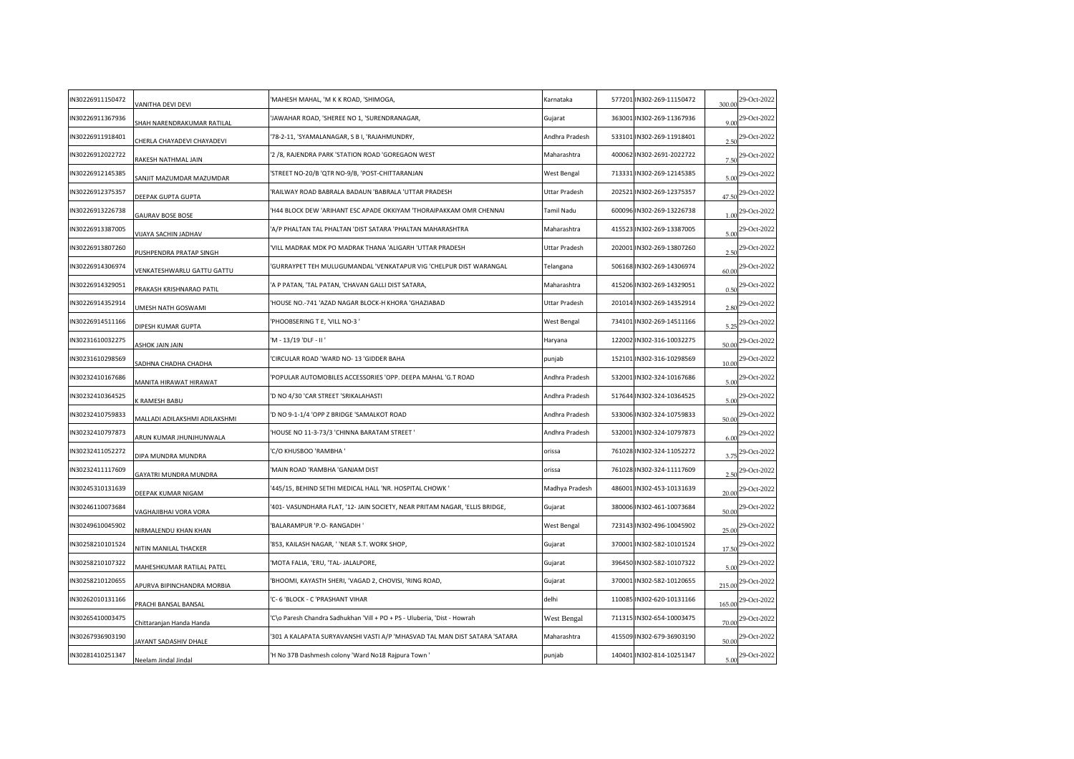| N30226911150472 | VANITHA DEVI DEVI             | 'MAHESH MAHAL, 'M K K ROAD, 'SHIMOGA,                                      | Karnataka      | 577201 IN302-269-11150472 | 300.00 | 29-Oct-2022                 |
|-----------------|-------------------------------|----------------------------------------------------------------------------|----------------|---------------------------|--------|-----------------------------|
|                 |                               |                                                                            |                |                           |        |                             |
| N30226911367936 | SHAH NARENDRAKUMAR RATILAL    | JAWAHAR ROAD, 'SHEREE NO 1, 'SURENDRANAGAR,                                | Gujarat        | 363001 IN302-269-11367936 | 9.00   | 29-Oct-2022                 |
| N30226911918401 | CHERLA CHAYADEVI CHAYADEVI    | 78-2-11, 'SYAMALANAGAR, S B I, 'RAJAHMUNDRY,                               | Andhra Pradesh | 533101 IN302-269-11918401 | 2.50   | 29-Oct-2022                 |
| N30226912022722 | RAKESH NATHMAL JAIN           | '2 /8, RAJENDRA PARK 'STATION ROAD 'GOREGAON WEST                          | Maharashtra    | 400062 IN302-2691-2022722 | 7.50   | 29-Oct-2022                 |
| N30226912145385 | ANJIT MAZUMDAR MAZUMDAR       | STREET NO-20/B 'QTR NO-9/B, 'POST-CHITTARANJAN                             | West Bengal    | 713331 IN302-269-12145385 | 5.00   | 29-Oct-2022                 |
| N30226912375357 | DEEPAK GUPTA GUPTA            | RAILWAY ROAD BABRALA BADAUN 'BABRALA 'UTTAR PRADESH                        | Uttar Pradesh  | 202521 IN302-269-12375357 | 47.50  | 29-Oct-2022                 |
| N30226913226738 | <b>GAURAV BOSE BOSE</b>       | H44 BLOCK DEW 'ARIHANT ESC APADE OKKIYAM 'THORAIPAKKAM OMR CHENNAI         | Tamil Nadu     | 600096 IN302-269-13226738 | 1.00   | 29-Oct-2022                 |
| N30226913387005 | <b>IIJAYA SACHIN JADHAV</b>   | A/P PHALTAN TAL PHALTAN 'DIST SATARA 'PHALTAN MAHARASHTRA                  | Maharashtra    | 415523 IN302-269-13387005 | 5.00   | 29-Oct-2022                 |
| N30226913807260 | PUSHPENDRA PRATAP SINGH       | VILL MADRAK MDK PO MADRAK THANA 'ALIGARH 'UTTAR PRADESH                    | Uttar Pradesh  | 202001 IN302-269-13807260 | 2.50   | 29-Oct-2022                 |
| N30226914306974 | ENKATESHWARLU GATTU GATTU     | GURRAYPET TEH MULUGUMANDAL 'VENKATAPUR VIG 'CHELPUR DIST WARANGAL          | Telangana      | 506168 IN302-269-14306974 | 60.00  | 29-Oct-2022                 |
| N30226914329051 | PRAKASH KRISHNARAO PATIL      | A P PATAN, 'TAL PATAN, 'CHAVAN GALLI DIST SATARA,                          | Maharashtra    | 415206 IN302-269-14329051 | 0.50   | 29-Oct-2022                 |
| N30226914352914 | UMESH NATH GOSWAMI            | HOUSE NO.-741 'AZAD NAGAR BLOCK-H KHORA 'GHAZIABAD                         | Uttar Pradesh  | 201014 IN302-269-14352914 | 2.80   | 29-Oct-2022                 |
| N30226914511166 | DIPESH KUMAR GUPTA            | PHOOBSERING T E, 'VILL NO-3'                                               | West Bengal    | 734101 IN302-269-14511166 | 5.25   | 29-Oct-2022                 |
| N30231610032275 | <b>SHOK JAIN JAIN</b>         | 'M - 13/19 'DLF - II'                                                      | Haryana        | 122002 IN302-316-10032275 | 50.00  | 29-Oct-2022                 |
| N30231610298569 | ADHNA CHADHA CHADHA           | CIRCULAR ROAD 'WARD NO-13 'GIDDER BAHA                                     | punjab         | 152101 IN302-316-10298569 | 10.00  | 29-Oct-2022                 |
| N30232410167686 | MANITA HIRAWAT HIRAWAT        | POPULAR AUTOMOBILES ACCESSORIES 'OPP. DEEPA MAHAL 'G.T ROAD                | Andhra Pradesh | 532001 IN302-324-10167686 | 5.00   | 29-Oct-2022                 |
| N30232410364525 | <b>RAMESH BABU</b>            | 'D NO 4/30 'CAR STREET 'SRIKALAHASTI                                       | Andhra Pradesh | 517644 IN302-324-10364525 | 5.00   | 29-Oct-2022                 |
| N30232410759833 | MALLADI ADILAKSHMI ADILAKSHMI | 'D NO 9-1-1/4 'OPP Z BRIDGE 'SAMALKOT ROAD                                 | Andhra Pradesh | 533006 IN302-324-10759833 | 50.00  | 29-Oct-2022                 |
| N30232410797873 | ARUN KUMAR JHUNJHUNWALA       | HOUSE NO 11-3-73/3 'CHINNA BARATAM STREET'                                 | Andhra Pradesh | 532001 IN302-324-10797873 | 6.00   | 29-Oct-2022                 |
| N30232411052272 | DIPA MUNDRA MUNDRA            | C/O KHUSBOO 'RAMBHA '                                                      | orissa         | 761028 IN302-324-11052272 | 3.75   | 29-Oct-2022                 |
| N30232411117609 | GAYATRI MUNDRA MUNDRA         | MAIN ROAD 'RAMBHA 'GANJAM DIST                                             | orissa         | 761028 IN302-324-11117609 | 2.50   | 29-Oct-2022                 |
| N30245310131639 | DEEPAK KUMAR NIGAM            | 445/15, BEHIND SETHI MEDICAL HALL 'NR. HOSPITAL CHOWK '                    | Madhya Pradesh | 486001 IN302-453-10131639 | 20.00  | 29-Oct-2022                 |
| N30246110073684 | /AGHAJIBHAI VORA VORA         | 401- VASUNDHARA FLAT, '12- JAIN SOCIETY, NEAR PRITAM NAGAR, 'ELLIS BRIDGE, | Gujarat        | 380006 IN302-461-10073684 | 50.00  | 29-Oct-2022                 |
| N30249610045902 | <b>VIRMALENDU KHAN KHAN</b>   | BALARAMPUR 'P.O- RANGADIH '                                                | West Bengal    | 723143 IN302-496-10045902 | 25.00  | 29-Oct-2022                 |
| N30258210101524 | <b>JITIN MANILAL THACKER</b>  | 853, KAILASH NAGAR, ' 'NEAR S.T. WORK SHOP,                                | Gujarat        | 370001 IN302-582-10101524 | 17.50  | 29-Oct-2022                 |
| N30258210107322 | MAHESHKUMAR RATILAL PATEL     | MOTA FALIA, 'ERU, 'TAL- JALALPORE,                                         | Gujarat        | 396450 IN302-582-10107322 | 5.00   | 29-Oct-2022                 |
| N30258210120655 | APURVA BIPINCHANDRA MORBIA    | 'BHOOMI, KAYASTH SHERI, 'VAGAD 2, CHOVISI, 'RING ROAD,                     | Gujarat        | 370001 IN302-582-10120655 | 215.00 | 29-Oct-2022                 |
| N30262010131166 | PRACHI BANSAL BANSAL          | C- 6 'BLOCK - C 'PRASHANT VIHAR                                            | delhi          | 110085 IN302-620-10131166 | 165.00 | 29-Oct-2022                 |
| N30265410003475 | Chittaranjan Handa Handa      | 'C\o Paresh Chandra Sadhukhan 'Vill + PO + PS - Uluberia, 'Dist - Howrah   | West Bengal    | 711315 IN302-654-10003475 | 70.00  | 29-Oct-2022                 |
| N30267936903190 | AYANT SADASHIV DHALE          | 301 A KALAPATA SURYAVANSHI VASTI A/P 'MHASVAD TAL MAN DIST SATARA 'SATARA  | Maharashtra    | 415509 IN302-679-36903190 | 50.00  | 29-Oct-2022                 |
| N30281410251347 | Neelam Jindal Jindal          | H No 37B Dashmesh colony 'Ward No18 Rajpura Town'                          | punjab         | 140401 IN302-814-10251347 |        | $\frac{5.00}{29}$ -Oct-2022 |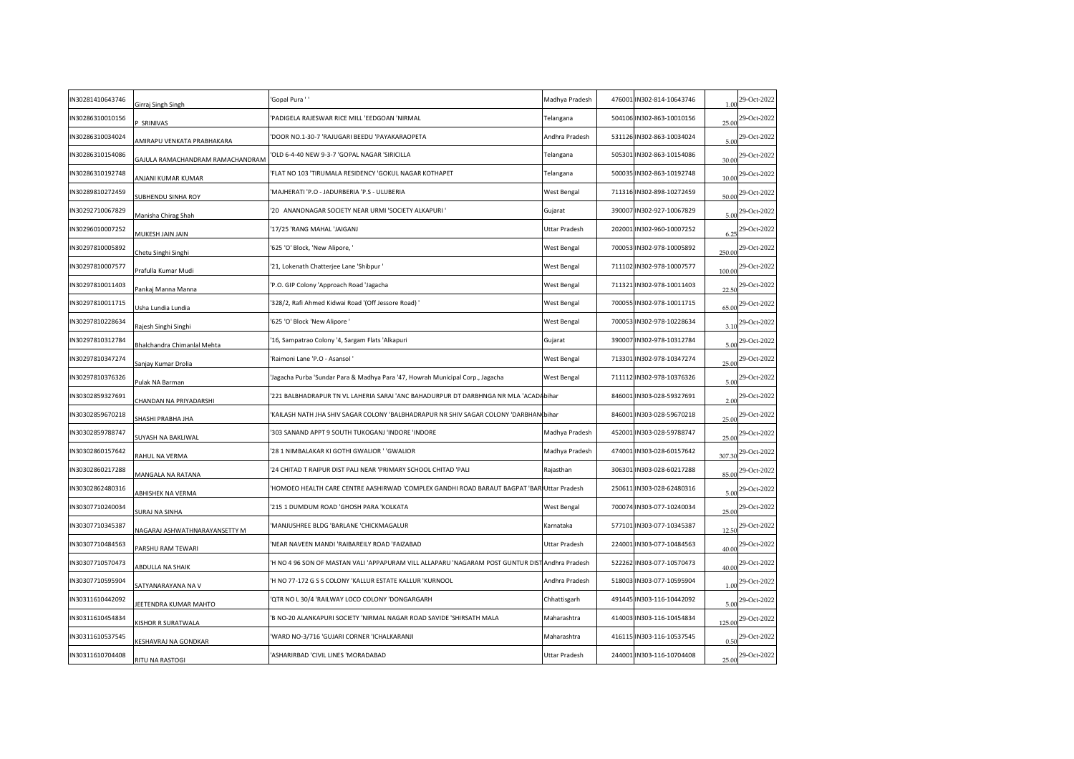| IN30281410643746 | Girraj Singh Singh               | 'Gopal Pura ' '                                                                                | Madhya Pradesh | 476001 IN302-814-10643746 | 1.00   | 29-Oct-2022                                  |
|------------------|----------------------------------|------------------------------------------------------------------------------------------------|----------------|---------------------------|--------|----------------------------------------------|
| IN30286310010156 | SRINIVAS                         | 'PADIGELA RAJESWAR RICE MILL 'EEDGOAN 'NIRMAL                                                  | Telangana      | 504106 IN302-863-10010156 | 25.00  | 29-Oct-2022                                  |
| IN30286310034024 | MIRAPU VENKATA PRABHAKARA        | 'DOOR NO.1-30-7 'RAJUGARI BEEDU 'PAYAKARAOPETA                                                 | Andhra Pradesh | 531126 IN302-863-10034024 | 5.00   | 29-Oct-2022                                  |
| IN30286310154086 | GAJULA RAMACHANDRAM RAMACHANDRAM | OLD 6-4-40 NEW 9-3-7 'GOPAL NAGAR 'SIRICILLA                                                   | Telangana      | 505301 IN302-863-10154086 | 30.00  | 29-Oct-2022                                  |
| IN30286310192748 | ANJANI KUMAR KUMAR               | FLAT NO 103 'TIRUMALA RESIDENCY 'GOKUL NAGAR KOTHAPET'                                         | Telangana      | 500035 IN302-863-10192748 | 10.00  | 29-Oct-2022                                  |
| IN30289810272459 | SUBHENDU SINHA ROY               | 'MAJHERATI 'P.O - JADURBERIA 'P.S - ULUBERIA                                                   | West Bengal    | 711316 IN302-898-10272459 | 50.00  | 29-Oct-2022                                  |
| IN30292710067829 | Manisha Chirag Shah              | 20 ANANDNAGAR SOCIETY NEAR URMI 'SOCIETY ALKAPURI '                                            | Gujarat        | 390007 IN302-927-10067829 | 5.00   | 29-Oct-2022                                  |
| IN30296010007252 | MUKESH JAIN JAIN                 | '17/25 'RANG MAHAL 'JAIGANJ                                                                    | Uttar Pradesh  | 202001 IN302-960-10007252 | 6.25   | 29-Oct-2022                                  |
| IN30297810005892 | Chetu Singhi Singhi              | '625 'O' Block, 'New Alipore, '                                                                | West Bengal    | 700053 IN302-978-10005892 | 250.00 | 29-Oct-2022                                  |
| IN30297810007577 | Prafulla Kumar Mudi              | '21, Lokenath Chatterjee Lane 'Shibpur '                                                       | West Bengal    | 711102 IN302-978-10007577 | 100.00 | 29-Oct-2022                                  |
| IN30297810011403 | Pankaj Manna Manna               | 'P.O. GIP Colony 'Approach Road 'Jagacha                                                       | West Bengal    | 711321 IN302-978-10011403 | 22.50  | 29-Oct-2022                                  |
| IN30297810011715 | Usha Lundia Lundia               | '328/2, Rafi Ahmed Kidwai Road '(Off Jessore Road) '                                           | West Bengal    | 700055 IN302-978-10011715 | 65.00  | 29-Oct-2022                                  |
| IN30297810228634 | Rajesh Singhi Singhi             | '625 'O' Block 'New Alipore '                                                                  | West Bengal    | 700053 IN302-978-10228634 | 3.10   | 29-Oct-2022                                  |
| IN30297810312784 | Bhalchandra Chimanlal Mehta      | '16, Sampatrao Colony '4, Sargam Flats 'Alkapuri                                               | Gujarat        | 390007 IN302-978-10312784 | 5.00   | 29-Oct-2022                                  |
| IN30297810347274 | Sanjay Kumar Drolia              | Raimoni Lane 'P.O - Asansol'                                                                   | West Bengal    | 713301 IN302-978-10347274 | 25.00  | 29-Oct-2022                                  |
| IN30297810376326 | Pulak NA Barman                  | Jagacha Purba 'Sundar Para & Madhya Para '47, Howrah Municipal Corp., Jagacha                  | West Bengal    | 711112 IN302-978-10376326 | 5.00   | 29-Oct-2022                                  |
| IN30302859327691 | CHANDAN NA PRIYADARSHI           | 221 BALBHADRAPUR TN VL LAHERIA SARAI 'ANC BAHADURPUR DT DARBHNGA NR MLA 'ACADAbihar'           |                | 846001 IN303-028-59327691 | 2.00   | 29-Oct-2022                                  |
| IN30302859670218 | SHASHI PRABHA JHA                | KAILASH NATH JHA SHIV SAGAR COLONY 'BALBHADRAPUR NR SHIV SAGAR COLONY 'DARBHAN bihar'          |                | 846001 IN303-028-59670218 | 25.00  | 29-Oct-2022                                  |
| IN30302859788747 | SUYASH NA BAKLIWAL               | 303 SANAND APPT 9 SOUTH TUKOGANJ 'INDORE 'INDORE                                               | Madhya Pradesh | 452001 IN303-028-59788747 | 25.00  | 29-Oct-2022                                  |
| IN30302860157642 | RAHUL NA VERMA                   | 28 1 NIMBALAKAR KI GOTHI GWALIOR ' 'GWALIOR                                                    | Madhya Pradesh | 474001 IN303-028-60157642 | 307.30 | 29-Oct-2022                                  |
| IN30302860217288 | MANGALA NA RATANA                | 24 CHITAD T RAIPUR DIST PALI NEAR 'PRIMARY SCHOOL CHITAD 'PALI                                 | Rajasthan      | 306301 IN303-028-60217288 | 85.00  | 29-Oct-2022                                  |
| IN30302862480316 | ABHISHEK NA VERMA                | HOMOEO HEALTH CARE CENTRE AASHIRWAD 'COMPLEX GANDHI ROAD BARAUT BAGPAT 'BAR Uttar Pradesh'     |                | 250611 IN303-028-62480316 | 5.00   | 29-Oct-2022                                  |
| IN30307710240034 | SURAJ NA SINHA                   | 215 1 DUMDUM ROAD 'GHOSH PARA 'KOLKATA                                                         | West Bengal    | 700074 IN303-077-10240034 | 25.00  | 29-Oct-2022                                  |
| IN30307710345387 | NAGARAJ ASHWATHNARAYANSETTY M    | 'MANJUSHREE BLDG 'BARLANE 'CHICKMAGALUR                                                        | Karnataka      | 577101 IN303-077-10345387 | 12.50  | 29-Oct-2022                                  |
| IN30307710484563 | ARSHU RAM TEWARI                 | NEAR NAVEEN MANDI 'RAIBAREILY ROAD 'FAIZABAD'                                                  | Uttar Pradesh  | 224001 IN303-077-10484563 | 40.00  | 29-Oct-2022                                  |
| IN30307710570473 | ABDULLA NA SHAIK                 | H NO 4 96 SON OF MASTAN VALI 'APPAPURAM VILL ALLAPARU 'NAGARAM POST GUNTUR DISTAndhra Pradesh' |                | 522262 IN303-077-10570473 | 40.00  | 29-Oct-2022                                  |
| IN30307710595904 | SATYANARAYANA NA V               | 'H NO 77-172 G S S COLONY 'KALLUR ESTATE KALLUR 'KURNOOL                                       | Andhra Pradesh | 518003 IN303-077-10595904 | 1.00   | 29-Oct-2022                                  |
| IN30311610442092 | EETENDRA KUMAR MAHTO             | QTR NO L 30/4 'RAILWAY LOCO COLONY 'DONGARGARH                                                 | Chhattisgarh   | 491445 IN303-116-10442092 | 5.00   | 29-Oct-2022                                  |
| IN30311610454834 | (ISHOR R SURATWALA               | 'B NO-20 ALANKAPURI SOCIETY 'NIRMAL NAGAR ROAD SAVIDE 'SHIRSATH MALA                           | Maharashtra    | 414003 IN303-116-10454834 | 125.00 | 29-Oct-2022                                  |
| IN30311610537545 | <b>(ESHAVRAJ NA GONDKAR</b>      | WARD NO-3/716 'GUJARI CORNER 'ICHALKARANJI'                                                    | Maharashtra    | 416115 IN303-116-10537545 | 0.50   | 29-Oct-2022                                  |
| IN30311610704408 | RITU NA RASTOGI                  | ASHARIRBAD 'CIVIL LINES 'MORADABAD                                                             | Uttar Pradesh  | 244001 IN303-116-10704408 |        | $\frac{25.00}{25.00}$ <sup>29-Oct-2022</sup> |
|                  |                                  |                                                                                                |                |                           |        |                                              |